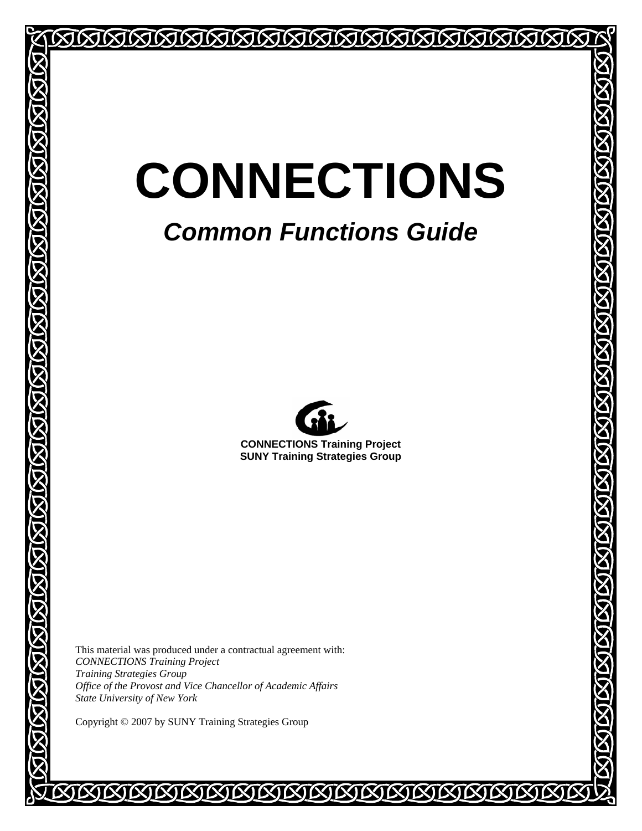# **CONNECTIONS**

## *Common Functions Guide*



**CONNECTIONS Training Project SUNY Training Strategies Group** 

This material was produced under a contractual agreement with: *CONNECTIONS Training Project Training Strategies Group Office of the Provost and Vice Chancellor of Academic Affairs State University of New York* 

Copyright © 2007 by SUNY Training Strategies Group

**SUSTERISTS OF A STRIP OF A STRIP OF A STRIP OF A STRIP OF A STRIP OF A STRIP OF A STRIP OF A STRIP OF A STRIP**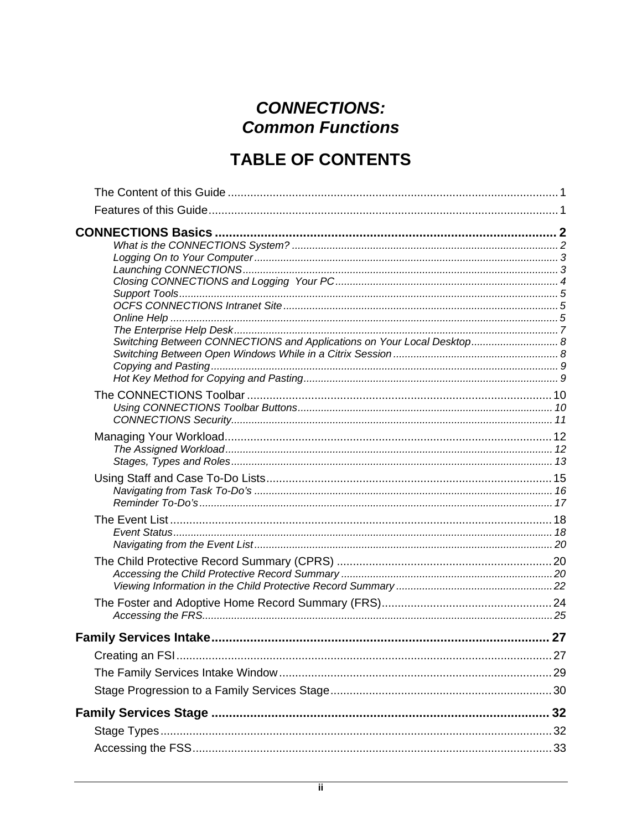## **CONNECTIONS: Common Functions**

## **TABLE OF CONTENTS**

| Switching Between CONNECTIONS and Applications on Your Local Desktop 8 |  |
|------------------------------------------------------------------------|--|
|                                                                        |  |
|                                                                        |  |
|                                                                        |  |
|                                                                        |  |
|                                                                        |  |
|                                                                        |  |
|                                                                        |  |
|                                                                        |  |
|                                                                        |  |
|                                                                        |  |
|                                                                        |  |
|                                                                        |  |
|                                                                        |  |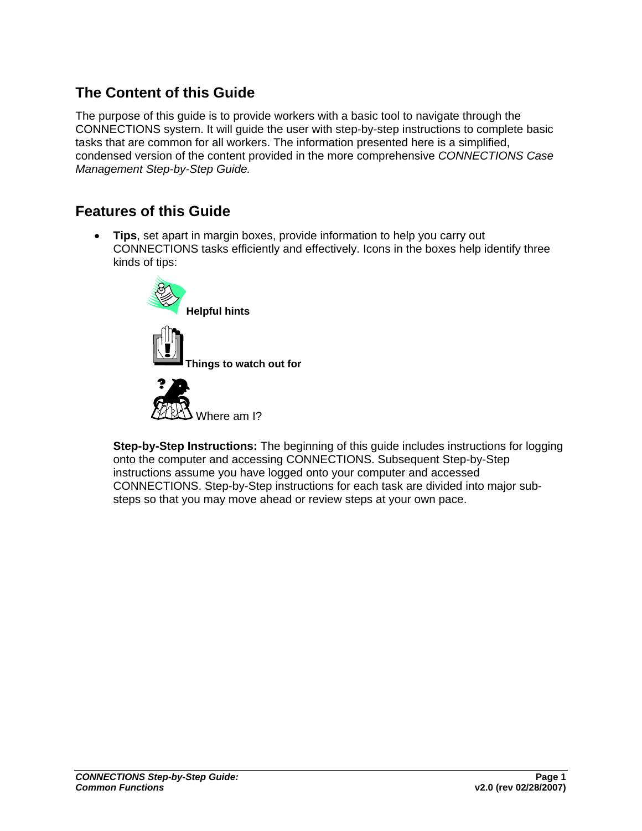## <span id="page-3-0"></span>**The Content of this Guide**

The purpose of this guide is to provide workers with a basic tool to navigate through the CONNECTIONS system. It will guide the user with step-by-step instructions to complete basic tasks that are common for all workers. The information presented here is a simplified, condensed version of the content provided in the more comprehensive *CONNECTIONS Case Management Step-by-Step Guide.*

## **Features of this Guide**

• **Tips**, set apart in margin boxes, provide information to help you carry out CONNECTIONS tasks efficiently and effectively. Icons in the boxes help identify three kinds of tips:





**Step-by-Step Instructions:** The beginning of this guide includes instructions for logging onto the computer and accessing CONNECTIONS. Subsequent Step-by-Step instructions assume you have logged onto your computer and accessed CONNECTIONS. Step-by-Step instructions for each task are divided into major substeps so that you may move ahead or review steps at your own pace.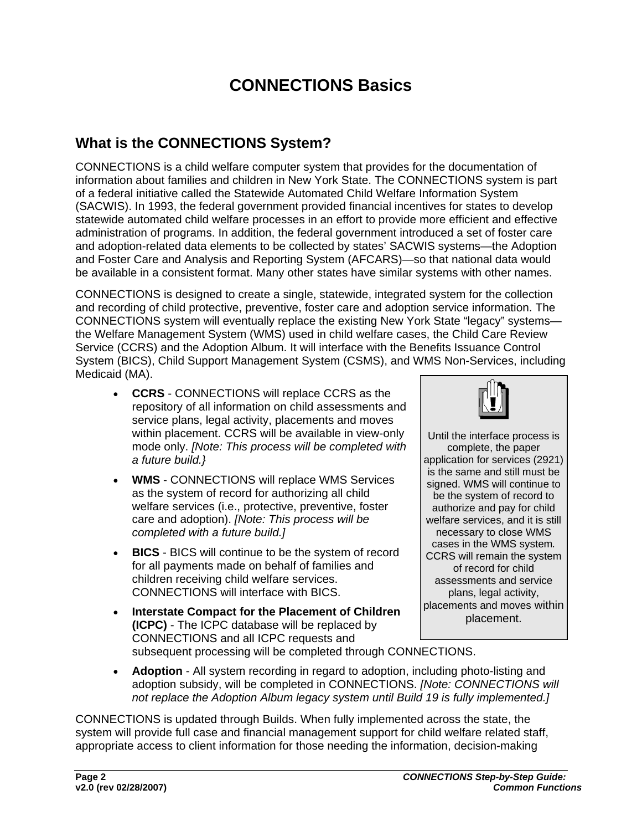## **CONNECTIONS Basics**

## <span id="page-4-0"></span>**What is the CONNECTIONS System?**

CONNECTIONS is a child welfare computer system that provides for the documentation of information about families and children in New York State. The CONNECTIONS system is part of a federal initiative called the Statewide Automated Child Welfare Information System (SACWIS). In 1993, the federal government provided financial incentives for states to develop statewide automated child welfare processes in an effort to provide more efficient and effective administration of programs. In addition, the federal government introduced a set of foster care and adoption-related data elements to be collected by states' SACWIS systems—the Adoption and Foster Care and Analysis and Reporting System (AFCARS)—so that national data would be available in a consistent format. Many other states have similar systems with other names.

CONNECTIONS is designed to create a single, statewide, integrated system for the collection and recording of child protective, preventive, foster care and adoption service information. The CONNECTIONS system will eventually replace the existing New York State "legacy" systems the Welfare Management System (WMS) used in child welfare cases, the Child Care Review Service (CCRS) and the Adoption Album. It will interface with the Benefits Issuance Control System (BICS), Child Support Management System (CSMS), and WMS Non-Services, including Medicaid (MA).

- **CCRS**  CONNECTIONS will replace CCRS as the repository of all information on child assessments and service plans, legal activity, placements and moves within placement. CCRS will be available in view-only mode only. *[Note: This process will be completed with a future build.}*
- **WMS** CONNECTIONS will replace WMS Services as the system of record for authorizing all child welfare services (i.e., protective, preventive, foster care and adoption). *[Note: This process will be completed with a future build.]*
- **BICS** BICS will continue to be the system of record for all payments made on behalf of families and children receiving child welfare services. CONNECTIONS will interface with BICS.
- **Interstate Compact for the Placement of Children (ICPC)** - The ICPC database will be replaced by CONNECTIONS and all ICPC requests and



Until the interface process is complete, the paper application for services (2921) is the same and still must be signed. WMS will continue to be the system of record to authorize and pay for child welfare services, and it is still necessary to close WMS cases in the WMS system*.*  CCRS will remain the system of record for child assessments and service plans, legal activity, placements and moves within placement.

subsequent processing will be completed through CONNECTIONS.

• **Adoption** - All system recording in regard to adoption, including photo-listing and adoption subsidy, will be completed in CONNECTIONS. *[Note: CONNECTIONS will not replace the Adoption Album legacy system until Build 19 is fully implemented.]*

CONNECTIONS is updated through Builds. When fully implemented across the state, the system will provide full case and financial management support for child welfare related staff, appropriate access to client information for those needing the information, decision-making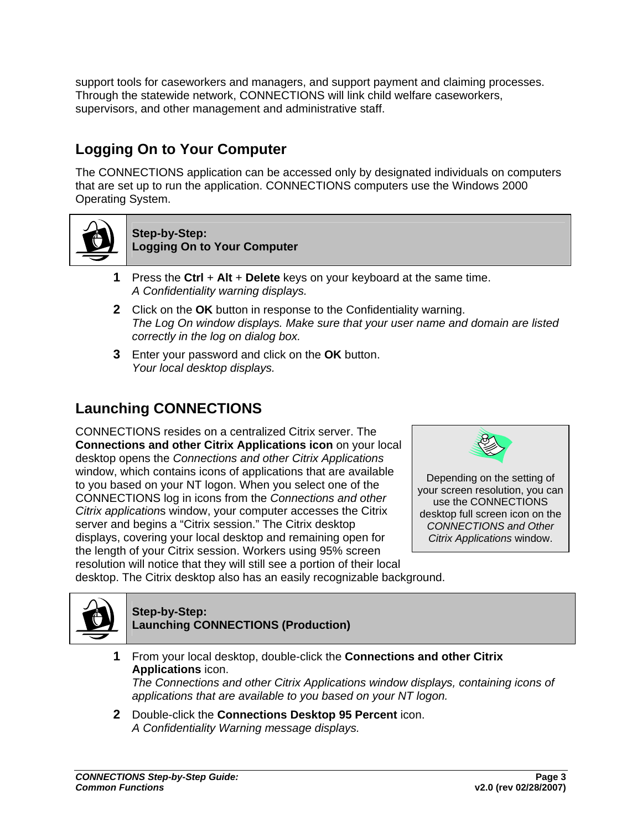<span id="page-5-0"></span>support tools for caseworkers and managers, and support payment and claiming processes. Through the statewide network, CONNECTIONS will link child welfare caseworkers, supervisors, and other management and administrative staff.

## **Logging On to Your Computer**

The CONNECTIONS application can be accessed only by designated individuals on computers that are set up to run the application. CONNECTIONS computers use the Windows 2000 Operating System.



#### **Step-by-Step: Logging On to Your Computer**

- **1** Press the **Ctrl** + **Alt** + **Delete** keys on your keyboard at the same time. *A Confidentiality warning displays.*
- **2** Click on the **OK** button in response to the Confidentiality warning. *The Log On window displays. Make sure that your user name and domain are listed correctly in the log on dialog box.*
- **3** Enter your password and click on the **OK** button. *Your local desktop displays.*

## **Launching CONNECTIONS**

CONNECTIONS resides on a centralized Citrix server. The **Connections and other Citrix Applications icon** on your local desktop opens the *Connections and other Citrix Applications* window, which contains icons of applications that are available to you based on your NT logon. When you select one of the CONNECTIONS log in icons from the *Connections and other Citrix application*s window, your computer accesses the Citrix server and begins a "Citrix session." The Citrix desktop displays, covering your local desktop and remaining open for the length of your Citrix session. Workers using 95% screen resolution will notice that they will still see a portion of their local



Depending on the setting of your screen resolution, you can use the CONNECTIONS desktop full screen icon on the *CONNECTIONS and Other Citrix Applications* window.

desktop. The Citrix desktop also has an easily recognizable background.



#### **Step-by-Step: Launching CONNECTIONS (Production)**

- **1** From your local desktop, double-click the **Connections and other Citrix Applications** icon. *The Connections and other Citrix Applications window displays, containing icons of applications that are available to you based on your NT logon.*
- **2** Double-click the **Connections Desktop 95 Percent** icon. *A Confidentiality Warning message displays.*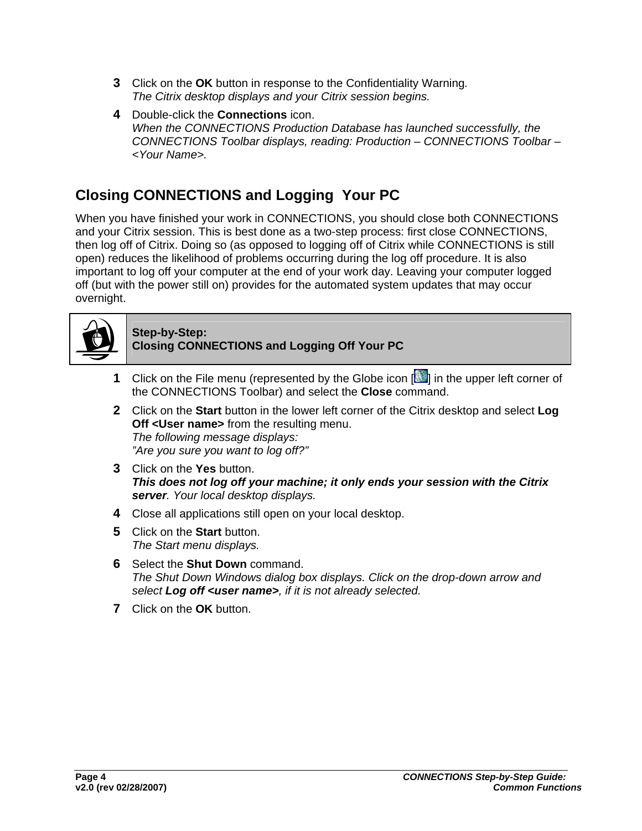- <span id="page-6-0"></span>**3** Click on the **OK** button in response to the Confidentiality Warning*. The Citrix desktop displays and your Citrix session begins.*
- **4** Double-click the **Connections** icon. *When the CONNECTIONS Production Database has launched successfully, the CONNECTIONS Toolbar displays, reading: Production – CONNECTIONS Toolbar – <Your Name>.*

## **Closing CONNECTIONS and Logging Your PC**

When you have finished your work in CONNECTIONS, you should close both CONNECTIONS and your Citrix session. This is best done as a two-step process: first close CONNECTIONS, then log off of Citrix. Doing so (as opposed to logging off of Citrix while CONNECTIONS is still open) reduces the likelihood of problems occurring during the log off procedure. It is also important to log off your computer at the end of your work day. Leaving your computer logged off (but with the power still on) provides for the automated system updates that may occur overnight.



#### **Step-by-Step: Closing CONNECTIONS and Logging Off Your PC**

- **1** Click on the File menu (represented by the Globe icon  $\begin{bmatrix} 1 & 1 \\ 0 & 1 \end{bmatrix}$  in the upper left corner of the CONNECTIONS Toolbar) and select the **Close** command.
- **2** Click on the **Start** button in the lower left corner of the Citrix desktop and select **Log Off <User name>** from the resulting menu. *The following message displays: "Are you sure you want to log off?"*
- **3** Click on the **Yes** button. *This does not log off your machine; it only ends your session with the Citrix server. Your local desktop displays.*
- **4** Close all applications still open on your local desktop.
- **5** Click on the **Start** button. *The Start menu displays.*
- **6** Select the **Shut Down** command. *The Shut Down Windows dialog box displays. Click on the drop-down arrow and select Log off <user name>, if it is not already selected.*
- **7** Click on the **OK** button.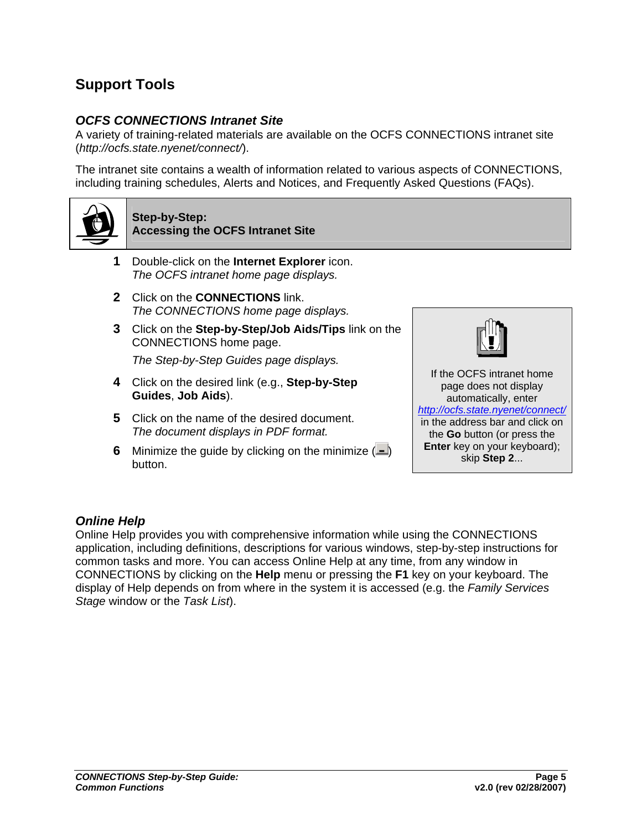## <span id="page-7-0"></span>**Support Tools**

#### *OCFS CONNECTIONS Intranet Site*

A variety of training-related materials are available on the OCFS CONNECTIONS intranet site (*http://ocfs.state.nyenet/connect/*).

The intranet site contains a wealth of information related to various aspects of CONNECTIONS, including training schedules, Alerts and Notices, and Frequently Asked Questions (FAQs).



#### **Step-by-Step: Accessing the OCFS Intranet Site**

- **1** Double-click on the **Internet Explorer** icon. *The OCFS intranet home page displays.*
- **2** Click on the **CONNECTIONS** link. *The CONNECTIONS home page displays.*
- **3** Click on the **Step-by-Step/Job Aids/Tips** link on the CONNECTIONS home page.

*The Step-by-Step Guides page displays.* 

- **4** Click on the desired link (e.g., **Step-by-Step Guides**, **Job Aids**).
- **5** Click on the name of the desired document. *The document displays in PDF format.*
- **6** Minimize the guide by clicking on the minimize  $($ button.



If the OCFS intranet home page does not display automatically, enter *<http://ocfs.state.nyenet/connect/>* in the address bar and click on the **Go** button (or press the **Enter** key on your keyboard); skip **Step 2**...

#### *Online Help*

Online Help provides you with comprehensive information while using the CONNECTIONS application, including definitions, descriptions for various windows, step-by-step instructions for common tasks and more. You can access Online Help at any time, from any window in CONNECTIONS by clicking on the **Help** menu or pressing the **F1** key on your keyboard. The display of Help depends on from where in the system it is accessed (e.g. the *Family Services Stage* window or the *Task List*).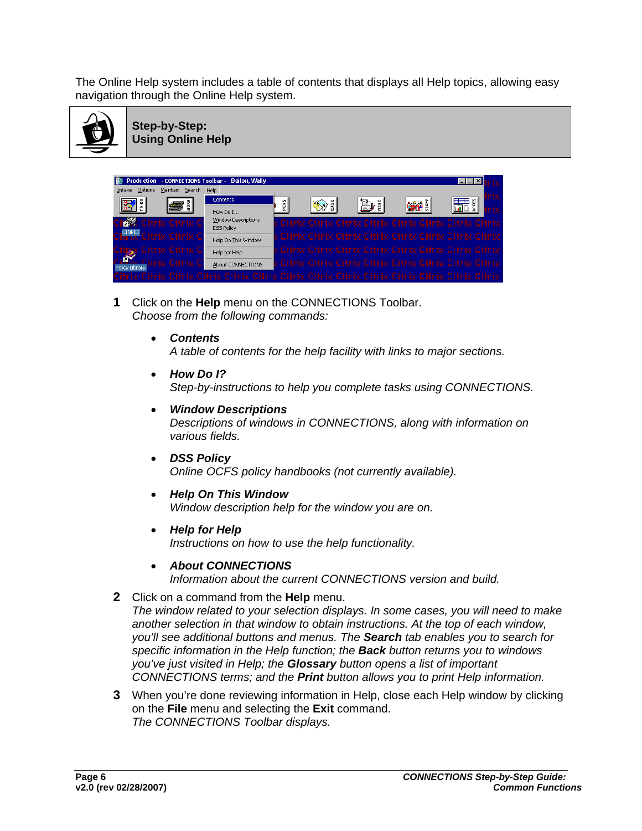The Online Help system includes a table of contents that displays all Help topics, allowing easy navigation through the Online Help system.



**Step-by-Step: Using Online Help**



- **1** Click on the **Help** menu on the CONNECTIONS Toolbar. *Choose from the following commands:* 
	- *Contents*

*A table of contents for the help facility with links to major sections.* 

- *How Do I? Step-by-instructions to help you complete tasks using CONNECTIONS.*
- *Window Descriptions Descriptions of windows in CONNECTIONS, along with information on various fields.*
- *DSS Policy Online OCFS policy handbooks (not currently available).*
- *Help On This Window Window description help for the window you are on.*
- *Help for Help Instructions on how to use the help functionality.*
- *About CONNECTIONS*

*Information about the current CONNECTIONS version and build.*

**2** Click on a command from the **Help** menu.

*The window related to your selection displays. In some cases, you will need to make another selection in that window to obtain instructions. At the top of each window, you'll see additional buttons and menus. The Search tab enables you to search for specific information in the Help function; the Back button returns you to windows you've just visited in Help; the Glossary button opens a list of important CONNECTIONS terms; and the Print button allows you to print Help information.*

**3** When you're done reviewing information in Help, close each Help window by clicking on the **File** menu and selecting the **Exit** command. *The CONNECTIONS Toolbar displays.*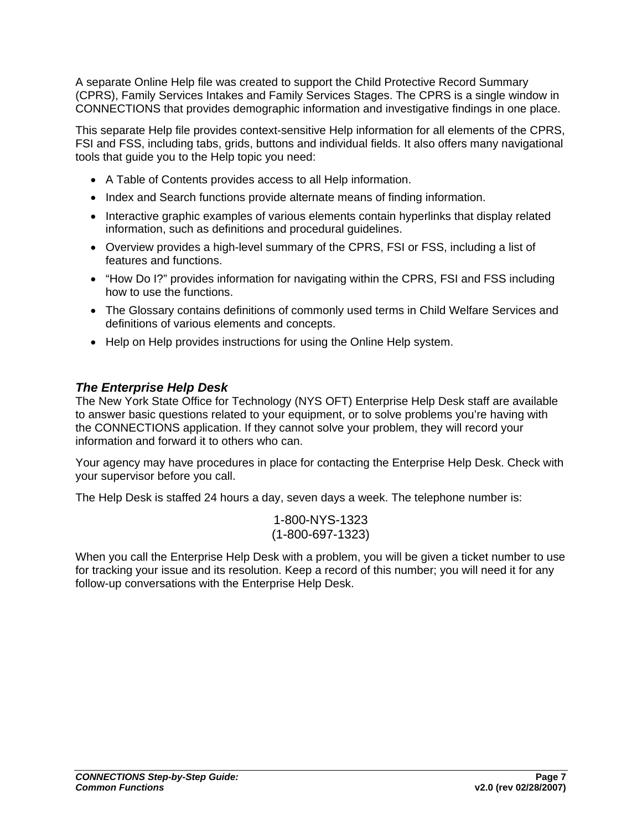<span id="page-9-0"></span>A separate Online Help file was created to support the Child Protective Record Summary (CPRS), Family Services Intakes and Family Services Stages. The CPRS is a single window in CONNECTIONS that provides demographic information and investigative findings in one place.

This separate Help file provides context-sensitive Help information for all elements of the CPRS, FSI and FSS, including tabs, grids, buttons and individual fields. It also offers many navigational tools that guide you to the Help topic you need:

- A Table of Contents provides access to all Help information.
- Index and Search functions provide alternate means of finding information.
- Interactive graphic examples of various elements contain hyperlinks that display related information, such as definitions and procedural guidelines.
- Overview provides a high-level summary of the CPRS, FSI or FSS, including a list of features and functions.
- "How Do I?" provides information for navigating within the CPRS, FSI and FSS including how to use the functions.
- The Glossary contains definitions of commonly used terms in Child Welfare Services and definitions of various elements and concepts.
- Help on Help provides instructions for using the Online Help system.

#### *The Enterprise Help Desk*

The New York State Office for Technology (NYS OFT) Enterprise Help Desk staff are available to answer basic questions related to your equipment, or to solve problems you're having with the CONNECTIONS application. If they cannot solve your problem, they will record your information and forward it to others who can.

Your agency may have procedures in place for contacting the Enterprise Help Desk. Check with your supervisor before you call.

The Help Desk is staffed 24 hours a day, seven days a week. The telephone number is:

1-800-NYS-1323 (1-800-697-1323)

When you call the Enterprise Help Desk with a problem, you will be given a ticket number to use for tracking your issue and its resolution. Keep a record of this number; you will need it for any follow-up conversations with the Enterprise Help Desk.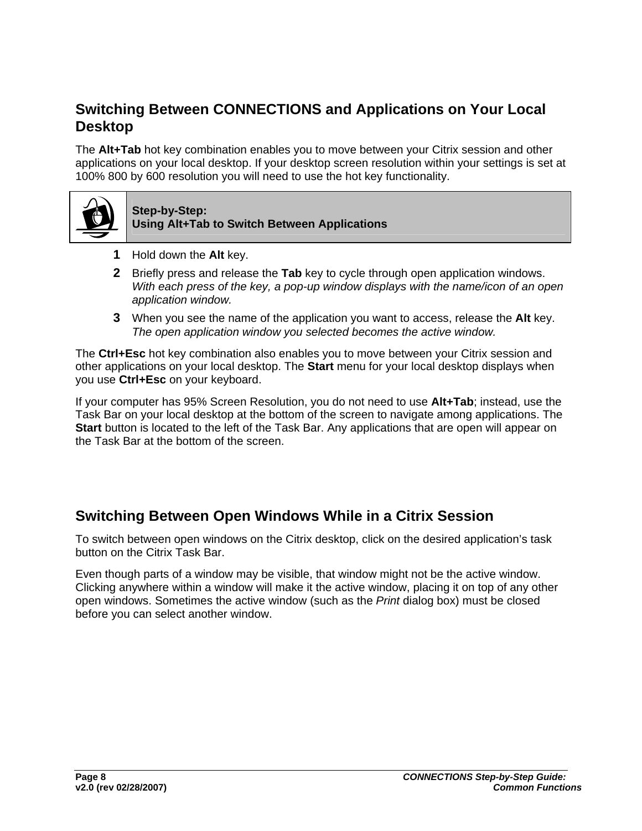## <span id="page-10-0"></span>**Switching Between CONNECTIONS and Applications on Your Local Desktop**

The **Alt+Tab** hot key combination enables you to move between your Citrix session and other applications on your local desktop. If your desktop screen resolution within your settings is set at 100% 800 by 600 resolution you will need to use the hot key functionality.



#### **Step-by-Step: Using Alt+Tab to Switch Between Applications**

- **1** Hold down the **Alt** key.
- **2** Briefly press and release the **Tab** key to cycle through open application windows. *With each press of the key, a pop-up window displays with the name/icon of an open application window.*
- **3** When you see the name of the application you want to access, release the **Alt** key. *The open application window you selected becomes the active window.*

The **Ctrl+Esc** hot key combination also enables you to move between your Citrix session and other applications on your local desktop. The **Start** menu for your local desktop displays when you use **Ctrl+Esc** on your keyboard.

If your computer has 95% Screen Resolution, you do not need to use **Alt+Tab**; instead, use the Task Bar on your local desktop at the bottom of the screen to navigate among applications. The **Start** button is located to the left of the Task Bar. Any applications that are open will appear on the Task Bar at the bottom of the screen.

## **Switching Between Open Windows While in a Citrix Session**

To switch between open windows on the Citrix desktop, click on the desired application's task button on the Citrix Task Bar.

Even though parts of a window may be visible, that window might not be the active window. Clicking anywhere within a window will make it the active window, placing it on top of any other open windows. Sometimes the active window (such as the *Print* dialog box) must be closed before you can select another window.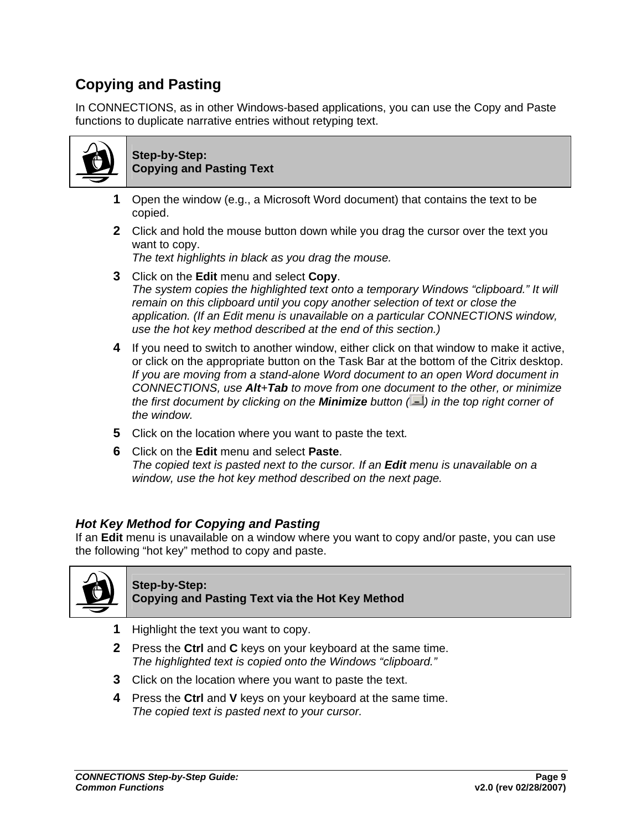## <span id="page-11-0"></span>**Copying and Pasting**

In CONNECTIONS, as in other Windows-based applications, you can use the Copy and Paste functions to duplicate narrative entries without retyping text.



**Step-by-Step: Copying and Pasting Text**

- **1** Open the window (e.g., a Microsoft Word document) that contains the text to be copied.
- **2** Click and hold the mouse button down while you drag the cursor over the text you want to copy.

*The text highlights in black as you drag the mouse.*

- **3** Click on the **Edit** menu and select **Copy**. *The system copies the highlighted text onto a temporary Windows "clipboard." It will remain on this clipboard until you copy another selection of text or close the application. (If an Edit menu is unavailable on a particular CONNECTIONS window, use the hot key method described at the end of this section.)*
- **4** If you need to switch to another window, either click on that window to make it active, or click on the appropriate button on the Task Bar at the bottom of the Citrix desktop. *If you are moving from a stand-alone Word document to an open Word document in CONNECTIONS, use Alt+Tab to move from one document to the other, or minimize the first document by clicking on the Minimize button ( ) in the top right corner of the window.*
- **5** Click on the location where you want to paste the text*.*
- **6** Click on the **Edit** menu and select **Paste**. *The copied text is pasted next to the cursor. If an Edit menu is unavailable on a window, use the hot key method described on the next page.*

#### *Hot Key Method for Copying and Pasting*

If an **Edit** menu is unavailable on a window where you want to copy and/or paste, you can use the following "hot key" method to copy and paste.



#### **Step-by-Step: Copying and Pasting Text via the Hot Key Method**

- **1** Highlight the text you want to copy.
- **2** Press the **Ctrl** and **C** keys on your keyboard at the same time. *The highlighted text is copied onto the Windows "clipboard."*
- **3** Click on the location where you want to paste the text.
- **4** Press the **Ctrl** and **V** keys on your keyboard at the same time. *The copied text is pasted next to your cursor.*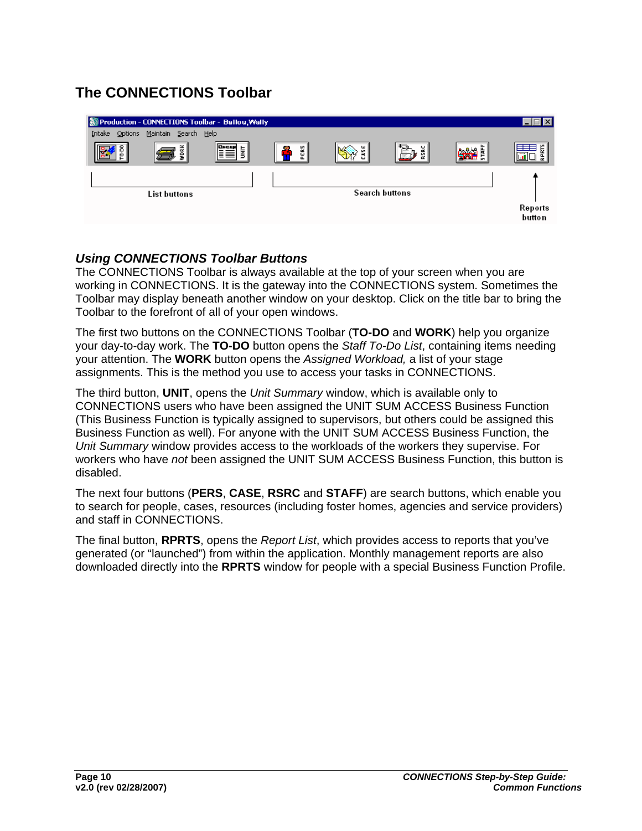## <span id="page-12-0"></span>**The CONNECTIONS Toolbar**

|                   | Production - CONNECTIONS Toolbar - Ballou, Wally |           |                     |   |                       |   | $ .\ $ $\mathbb{I}$ $\times$ |
|-------------------|--------------------------------------------------|-----------|---------------------|---|-----------------------|---|------------------------------|
| Intake<br>Options | Maintain Search Help                             |           |                     |   |                       |   |                              |
|                   | ğ                                                | FI<br>İМГ | PERS<br><b>1979</b> | w |                       | È | 듒<br>—<br>旦                  |
|                   |                                                  |           |                     |   |                       |   |                              |
|                   | <b>List buttons</b>                              |           |                     |   | <b>Search buttons</b> |   |                              |
|                   |                                                  |           |                     |   |                       |   | Reports<br>butto n           |

#### *Using CONNECTIONS Toolbar Buttons*

The CONNECTIONS Toolbar is always available at the top of your screen when you are working in CONNECTIONS. It is the gateway into the CONNECTIONS system. Sometimes the Toolbar may display beneath another window on your desktop. Click on the title bar to bring the Toolbar to the forefront of all of your open windows.

The first two buttons on the CONNECTIONS Toolbar (**TO-DO** and **WORK**) help you organize your day-to-day work. The **TO-DO** button opens the *Staff To-Do List*, containing items needing your attention. The **WORK** button opens the *Assigned Workload,* a list of your stage assignments. This is the method you use to access your tasks in CONNECTIONS.

The third button, **UNIT**, opens the *Unit Summary* window, which is available only to CONNECTIONS users who have been assigned the UNIT SUM ACCESS Business Function (This Business Function is typically assigned to supervisors, but others could be assigned this Business Function as well). For anyone with the UNIT SUM ACCESS Business Function, the *Unit Summary* window provides access to the workloads of the workers they supervise. For workers who have *not* been assigned the UNIT SUM ACCESS Business Function, this button is disabled.

The next four buttons (**PERS**, **CASE**, **RSRC** and **STAFF**) are search buttons, which enable you to search for people, cases, resources (including foster homes, agencies and service providers) and staff in CONNECTIONS.

The final button, **RPRTS**, opens the *Report List*, which provides access to reports that you've generated (or "launched") from within the application. Monthly management reports are also downloaded directly into the **RPRTS** window for people with a special Business Function Profile.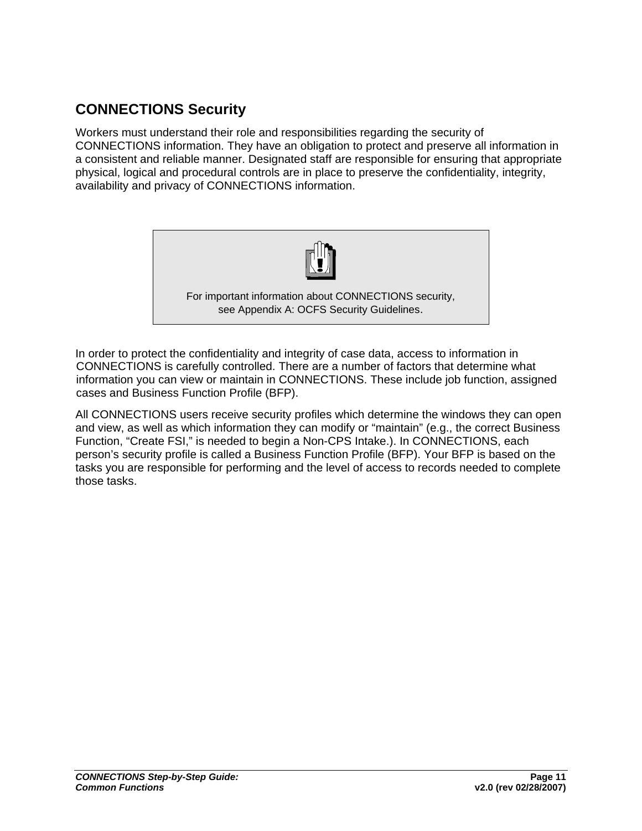## <span id="page-13-0"></span>**CONNECTIONS Security**

Workers must understand their role and responsibilities regarding the security of CONNECTIONS information. They have an obligation to protect and preserve all information in a consistent and reliable manner. Designated staff are responsible for ensuring that appropriate physical, logical and procedural controls are in place to preserve the confidentiality, integrity, availability and privacy of CONNECTIONS information.



In order to protect the confidentiality and integrity of case data, access to information in CONNECTIONS is carefully controlled. There are a number of factors that determine what information you can view or maintain in CONNECTIONS. These include job function, assigned cases and Business Function Profile (BFP).

All CONNECTIONS users receive security profiles which determine the windows they can open and view, as well as which information they can modify or "maintain" (e.g., the correct Business Function, "Create FSI," is needed to begin a Non-CPS Intake.). In CONNECTIONS, each person's security profile is called a Business Function Profile (BFP). Your BFP is based on the tasks you are responsible for performing and the level of access to records needed to complete those tasks.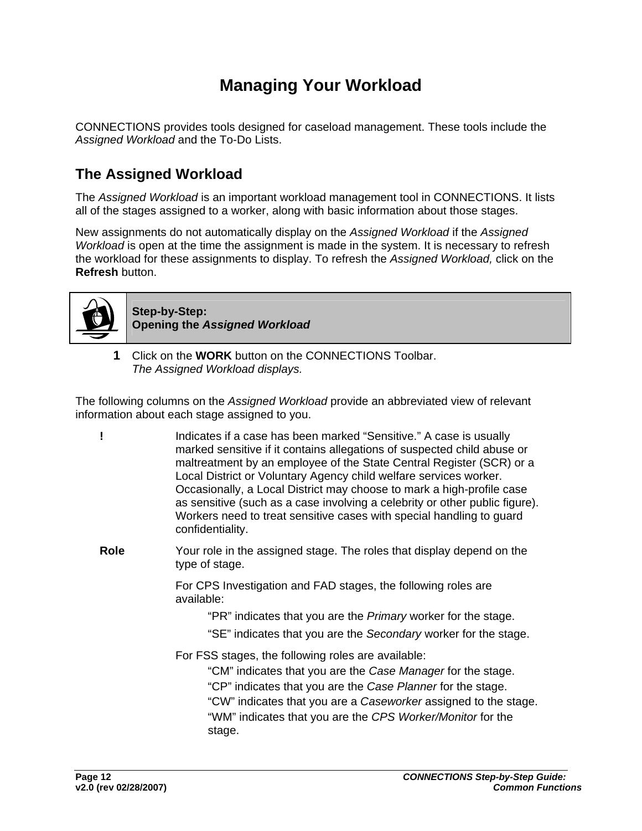## **Managing Your Workload**

<span id="page-14-0"></span>CONNECTIONS provides tools designed for caseload management. These tools include the *Assigned Workload* and the To-Do Lists.

## **The Assigned Workload**

The *Assigned Workload* is an important workload management tool in CONNECTIONS. It lists all of the stages assigned to a worker, along with basic information about those stages.

New assignments do not automatically display on the *Assigned Workload* if the *Assigned Workload* is open at the time the assignment is made in the system. It is necessary to refresh the workload for these assignments to display. To refresh the *Assigned Workload,* click on the **Refresh** button.



**Step-by-Step: Opening the** *Assigned Workload*

**1** Click on the **WORK** button on the CONNECTIONS Toolbar. *The Assigned Workload displays.*

The following columns on the *Assigned Workload* provide an abbreviated view of relevant information about each stage assigned to you.

**!** Indicates if a case has been marked "Sensitive." A case is usually

|      | marked sensitive if it contains allegations of suspected child abuse or<br>maltreatment by an employee of the State Central Register (SCR) or a<br>Local District or Voluntary Agency child welfare services worker.<br>Occasionally, a Local District may choose to mark a high-profile case<br>as sensitive (such as a case involving a celebrity or other public figure).<br>Workers need to treat sensitive cases with special handling to guard<br>confidentiality. |
|------|--------------------------------------------------------------------------------------------------------------------------------------------------------------------------------------------------------------------------------------------------------------------------------------------------------------------------------------------------------------------------------------------------------------------------------------------------------------------------|
| Role | Your role in the assigned stage. The roles that display depend on the<br>type of stage.                                                                                                                                                                                                                                                                                                                                                                                  |
|      | For CPS Investigation and FAD stages, the following roles are<br>available:                                                                                                                                                                                                                                                                                                                                                                                              |
|      | "PR" indicates that you are the <i>Primary</i> worker for the stage.<br>"SE" indicates that you are the Secondary worker for the stage.                                                                                                                                                                                                                                                                                                                                  |
|      | For FSS stages, the following roles are available:<br>"CM" indicates that you are the Case Manager for the stage.<br>"CP" indicates that you are the Case Planner for the stage.<br>"CW" indicates that you are a Caseworker assigned to the stage.<br>"WM" indicates that you are the CPS Worker/Monitor for the<br>stage.                                                                                                                                              |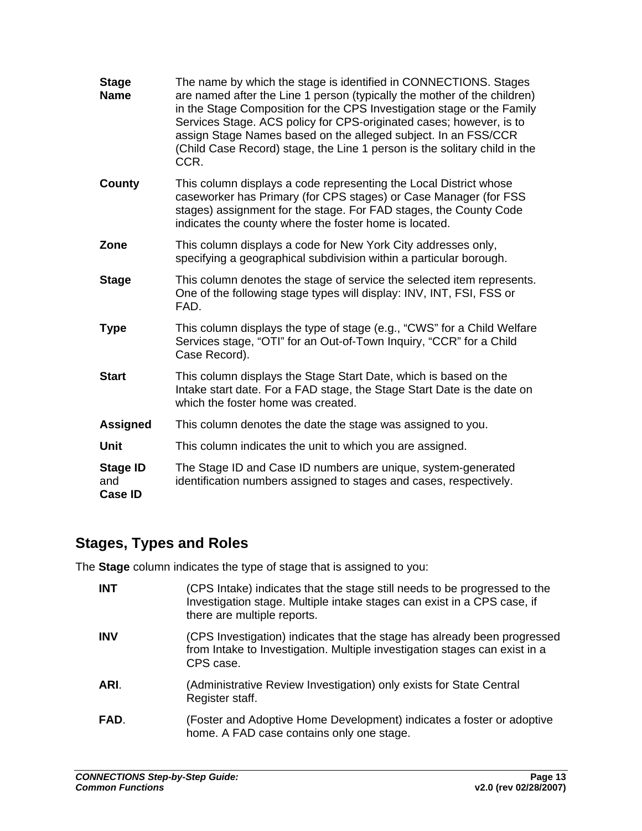<span id="page-15-0"></span>

| <b>Stage</b><br><b>Name</b>              | The name by which the stage is identified in CONNECTIONS. Stages<br>are named after the Line 1 person (typically the mother of the children)<br>in the Stage Composition for the CPS Investigation stage or the Family<br>Services Stage. ACS policy for CPS-originated cases; however, is to<br>assign Stage Names based on the alleged subject. In an FSS/CCR<br>(Child Case Record) stage, the Line 1 person is the solitary child in the<br>CCR. |
|------------------------------------------|------------------------------------------------------------------------------------------------------------------------------------------------------------------------------------------------------------------------------------------------------------------------------------------------------------------------------------------------------------------------------------------------------------------------------------------------------|
| County                                   | This column displays a code representing the Local District whose<br>caseworker has Primary (for CPS stages) or Case Manager (for FSS<br>stages) assignment for the stage. For FAD stages, the County Code<br>indicates the county where the foster home is located.                                                                                                                                                                                 |
| Zone                                     | This column displays a code for New York City addresses only,<br>specifying a geographical subdivision within a particular borough.                                                                                                                                                                                                                                                                                                                  |
| <b>Stage</b>                             | This column denotes the stage of service the selected item represents.<br>One of the following stage types will display: INV, INT, FSI, FSS or<br>FAD.                                                                                                                                                                                                                                                                                               |
| <b>Type</b>                              | This column displays the type of stage (e.g., "CWS" for a Child Welfare<br>Services stage, "OTI" for an Out-of-Town Inquiry, "CCR" for a Child<br>Case Record).                                                                                                                                                                                                                                                                                      |
| <b>Start</b>                             | This column displays the Stage Start Date, which is based on the<br>Intake start date. For a FAD stage, the Stage Start Date is the date on<br>which the foster home was created.                                                                                                                                                                                                                                                                    |
| <b>Assigned</b>                          | This column denotes the date the stage was assigned to you.                                                                                                                                                                                                                                                                                                                                                                                          |
| <b>Unit</b>                              | This column indicates the unit to which you are assigned.                                                                                                                                                                                                                                                                                                                                                                                            |
| <b>Stage ID</b><br>and<br><b>Case ID</b> | The Stage ID and Case ID numbers are unique, system-generated<br>identification numbers assigned to stages and cases, respectively.                                                                                                                                                                                                                                                                                                                  |

## **Stages, Types and Roles**

The **Stage** column indicates the type of stage that is assigned to you:

| <b>INT</b> | (CPS Intake) indicates that the stage still needs to be progressed to the<br>Investigation stage. Multiple intake stages can exist in a CPS case, if<br>there are multiple reports. |
|------------|-------------------------------------------------------------------------------------------------------------------------------------------------------------------------------------|
| <b>INV</b> | (CPS Investigation) indicates that the stage has already been progressed<br>from Intake to Investigation. Multiple investigation stages can exist in a<br>CPS case.                 |
| ARI.       | (Administrative Review Investigation) only exists for State Central<br>Register staff.                                                                                              |
| FAD.       | (Foster and Adoptive Home Development) indicates a foster or adoptive<br>home. A FAD case contains only one stage.                                                                  |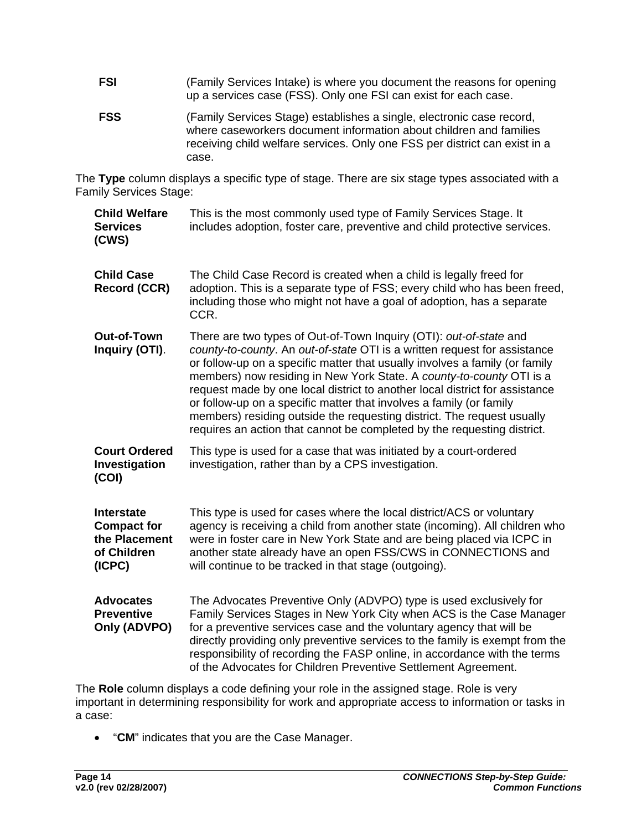- **FSI** (Family Services Intake) is where you document the reasons for opening up a services case (FSS). Only one FSI can exist for each case.
- **FSS** (Family Services Stage) establishes a single, electronic case record, where caseworkers document information about children and families receiving child welfare services. Only one FSS per district can exist in a case.

The **Type** column displays a specific type of stage. There are six stage types associated with a Family Services Stage:

| <b>Child Welfare</b><br><b>Services</b><br>(CWS)                                  | This is the most commonly used type of Family Services Stage. It<br>includes adoption, foster care, preventive and child protective services.                                                                                                                                                                                                                                                                                                                                                                                                                                                                     |  |  |  |  |
|-----------------------------------------------------------------------------------|-------------------------------------------------------------------------------------------------------------------------------------------------------------------------------------------------------------------------------------------------------------------------------------------------------------------------------------------------------------------------------------------------------------------------------------------------------------------------------------------------------------------------------------------------------------------------------------------------------------------|--|--|--|--|
| <b>Child Case</b><br><b>Record (CCR)</b>                                          | The Child Case Record is created when a child is legally freed for<br>adoption. This is a separate type of FSS; every child who has been freed,<br>including those who might not have a goal of adoption, has a separate<br>CCR.                                                                                                                                                                                                                                                                                                                                                                                  |  |  |  |  |
| <b>Out-of-Town</b><br>Inquiry (OTI).                                              | There are two types of Out-of-Town Inquiry (OTI): out-of-state and<br>county-to-county. An out-of-state OTI is a written request for assistance<br>or follow-up on a specific matter that usually involves a family (or family<br>members) now residing in New York State. A county-to-county OTI is a<br>request made by one local district to another local district for assistance<br>or follow-up on a specific matter that involves a family (or family<br>members) residing outside the requesting district. The request usually<br>requires an action that cannot be completed by the requesting district. |  |  |  |  |
| <b>Court Ordered</b><br>Investigation<br>(COI)                                    | This type is used for a case that was initiated by a court-ordered<br>investigation, rather than by a CPS investigation.                                                                                                                                                                                                                                                                                                                                                                                                                                                                                          |  |  |  |  |
| <b>Interstate</b><br><b>Compact for</b><br>the Placement<br>of Children<br>(ICPC) | This type is used for cases where the local district/ACS or voluntary<br>agency is receiving a child from another state (incoming). All children who<br>were in foster care in New York State and are being placed via ICPC in<br>another state already have an open FSS/CWS in CONNECTIONS and<br>will continue to be tracked in that stage (outgoing).                                                                                                                                                                                                                                                          |  |  |  |  |
| <b>Advocates</b><br><b>Preventive</b><br>Only (ADVPO)                             | The Advocates Preventive Only (ADVPO) type is used exclusively for<br>Family Services Stages in New York City when ACS is the Case Manager<br>for a preventive services case and the voluntary agency that will be<br>directly providing only preventive services to the family is exempt from the<br>responsibility of recording the FASP online, in accordance with the terms<br>of the Advocates for Children Preventive Settlement Agreement.                                                                                                                                                                 |  |  |  |  |

The **Role** column displays a code defining your role in the assigned stage. Role is very important in determining responsibility for work and appropriate access to information or tasks in a case:

• "**CM**" indicates that you are the Case Manager.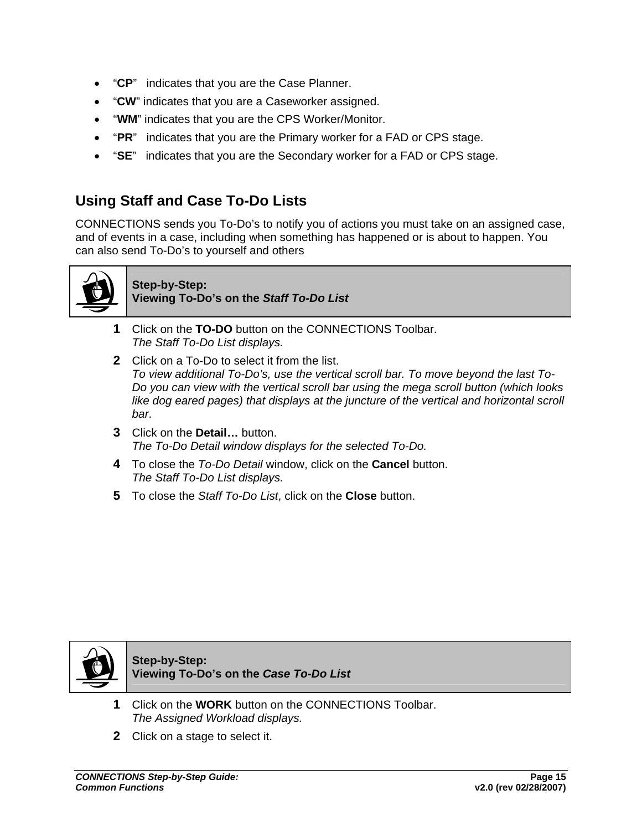- <span id="page-17-0"></span>• "**CP**" indicates that you are the Case Planner.
- "**CW**" indicates that you are a Caseworker assigned.
- "**WM**" indicates that you are the CPS Worker/Monitor.
- "**PR**" indicates that you are the Primary worker for a FAD or CPS stage.
- "**SE**" indicates that you are the Secondary worker for a FAD or CPS stage.

## **Using Staff and Case To-Do Lists**

CONNECTIONS sends you To-Do's to notify you of actions you must take on an assigned case, and of events in a case, including when something has happened or is about to happen. You can also send To-Do's to yourself and others



#### **Step-by-Step: Viewing To-Do's on the** *Staff To-Do List*

- **1** Click on the **TO-DO** button on the CONNECTIONS Toolbar. *The Staff To-Do List displays.*
- **2** Click on a To-Do to select it from the list. *To view additional To-Do's, use the vertical scroll bar. To move beyond the last To-Do you can view with the vertical scroll bar using the mega scroll button (which looks*  like dog eared pages) that displays at the juncture of the vertical and horizontal scroll *bar*.
- **3** Click on the **Detail…** button. *The To-Do Detail window displays for the selected To-Do.*
- **4** To close the *To-Do Detail* window, click on the **Cancel** button. *The Staff To-Do List displays.*
- **5** To close the *Staff To-Do List*, click on the **Close** button.



**Step-by-Step: Viewing To-Do's on the** *Case To-Do List*

- **1** Click on the **WORK** button on the CONNECTIONS Toolbar. *The Assigned Workload displays.*
- **2** Click on a stage to select it.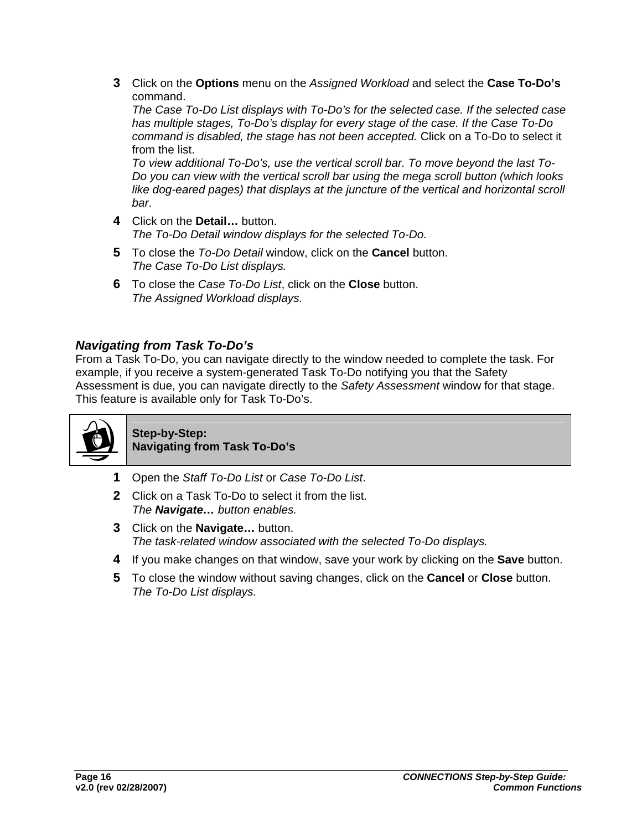<span id="page-18-0"></span>**3** Click on the **Options** menu on the *Assigned Workload* and select the **Case To-Do's**  command.

*The Case To-Do List displays with To-Do's for the selected case. If the selected case has multiple stages, To-Do's display for every stage of the case. If the Case To-Do command is disabled, the stage has not been accepted.* Click on a To-Do to select it from the list.

*To view additional To-Do's, use the vertical scroll bar. To move beyond the last To-Do you can view with the vertical scroll bar using the mega scroll button (which looks*  like dog-eared pages) that displays at the juncture of the vertical and horizontal scroll *bar*.

- **4** Click on the **Detail…** button. *The To-Do Detail window displays for the selected To-Do.*
- **5** To close the *To-Do Detail* window, click on the **Cancel** button. *The Case To-Do List displays.*
- **6** To close the *Case To-Do List*, click on the **Close** button. *The Assigned Workload displays.*

#### *Navigating from Task To-Do's*

From a Task To-Do, you can navigate directly to the window needed to complete the task. For example, if you receive a system-generated Task To-Do notifying you that the Safety Assessment is due, you can navigate directly to the *Safety Assessment* window for that stage. This feature is available only for Task To-Do's.



**Step-by-Step: Navigating from Task To-Do's**

- **1** Open the *Staff To-Do List* or *Case To-Do List*.
- **2** Click on a Task To-Do to select it from the list. *The Navigate… button enables.*
- **3** Click on the **Navigate…** button. *The task-related window associated with the selected To-Do displays.*
- **4** If you make changes on that window, save your work by clicking on the **Save** button.
- **5** To close the window without saving changes, click on the **Cancel** or **Close** button. *The To-Do List displays.*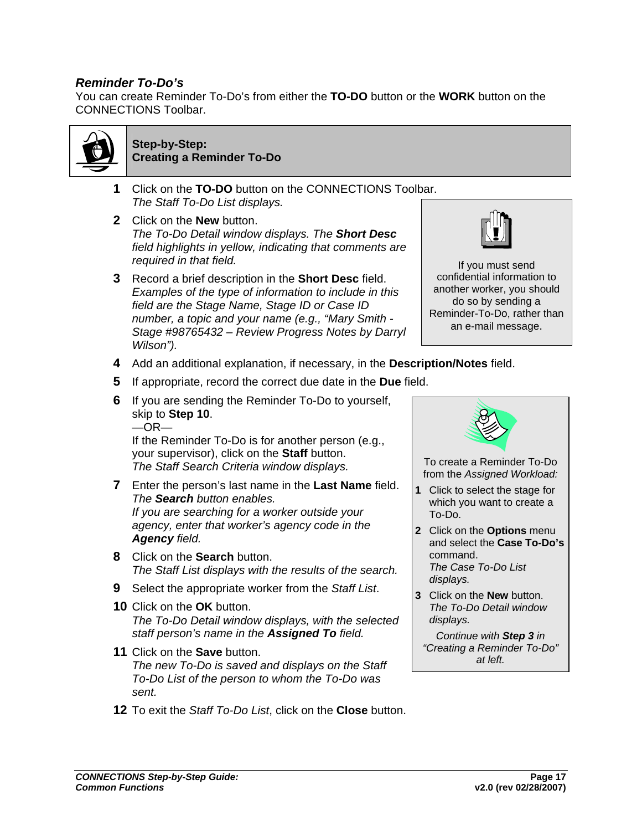#### <span id="page-19-0"></span>*Reminder To-Do's*

You can create Reminder To-Do's from either the **TO-DO** button or the **WORK** button on the CONNECTIONS Toolbar.



#### **Step-by-Step: Creating a Reminder To-Do**

- **1** Click on the **TO-DO** button on the CONNECTIONS Toolbar. *The Staff To-Do List displays.*
- **2** Click on the **New** button. *The To-Do Detail window displays. The Short Desc field highlights in yellow, indicating that comments are required in that field.*
- **3** Record a brief description in the **Short Desc** field. *Examples of the type of information to include in this field are the Stage Name, Stage ID or Case ID number, a topic and your name (e.g., "Mary Smith - Stage #98765432 – Review Progress Notes by Darryl Wilson").*



If you must send confidential information to another worker, you should do so by sending a Reminder-To-Do, rather than an e-mail message.

- **4** Add an additional explanation, if necessary, in the **Description/Notes** field.
- **5** If appropriate, record the correct due date in the **Due** field.
- **6** If you are sending the Reminder To-Do to yourself, skip to **Step 10**.  $-OR-$

If the Reminder To-Do is for another person (e.g., your supervisor), click on the **Staff** button. *The Staff Search Criteria window displays.* 

- **7** Enter the person's last name in the **Last Name** field. *The Search button enables. If you are searching for a worker outside your agency, enter that worker's agency code in the Agency field.*
- **8** Click on the **Search** button. *The Staff List displays with the results of the search.*
- **9** Select the appropriate worker from the *Staff List*.
- **10** Click on the **OK** button. *The To-Do Detail window displays, with the selected staff person's name in the Assigned To field.*
- **11** Click on the **Save** button. *The new To-Do is saved and displays on the Staff To-Do List of the person to whom the To-Do was sent.*
- **12** To exit the *Staff To-Do List*, click on the **Close** button.



To create a Reminder To-Do from the *Assigned Workload:*

- **1** Click to select the stage for which you want to create a To-Do.
- **2** Click on the **Options** menu and select the **Case To-Do's**  command. *The Case To-Do List displays.*
- **3** Click on the **New** button. *The To-Do Detail window displays.*

*Continue with Step 3 in "Creating a Reminder To-Do" at left.*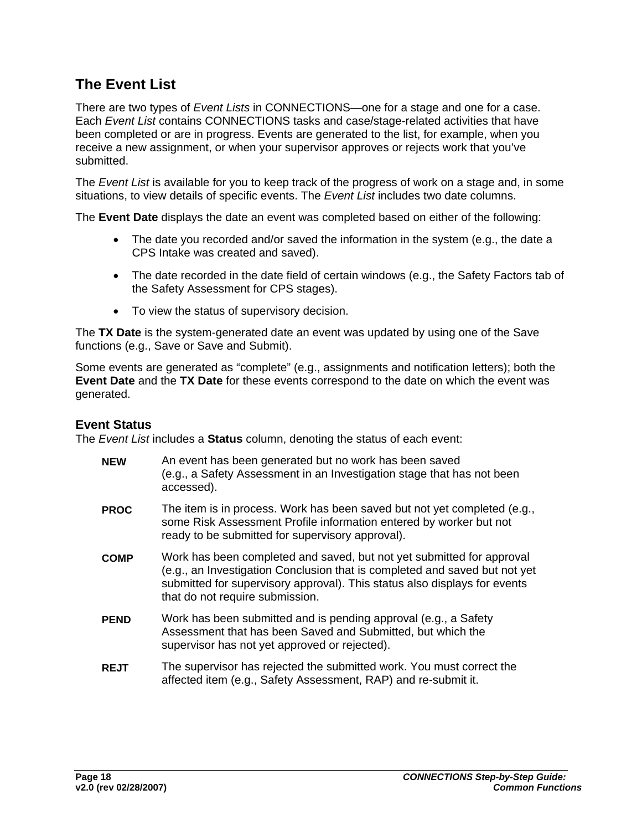## <span id="page-20-0"></span>**The Event List**

There are two types of *Event Lists* in CONNECTIONS—one for a stage and one for a case. Each *Event List* contains CONNECTIONS tasks and case/stage-related activities that have been completed or are in progress. Events are generated to the list, for example, when you receive a new assignment, or when your supervisor approves or rejects work that you've submitted.

The *Event List* is available for you to keep track of the progress of work on a stage and, in some situations, to view details of specific events. The *Event List* includes two date columns.

The **Event Date** displays the date an event was completed based on either of the following:

- The date you recorded and/or saved the information in the system (e.g., the date a CPS Intake was created and saved).
- The date recorded in the date field of certain windows (e.g., the Safety Factors tab of the Safety Assessment for CPS stages).
- To view the status of supervisory decision.

The **TX Date** is the system-generated date an event was updated by using one of the Save functions (e.g., Save or Save and Submit).

Some events are generated as "complete" (e.g., assignments and notification letters); both the **Event Date** and the **TX Date** for these events correspond to the date on which the event was generated.

#### **Event Status**

The *Event List* includes a **Status** column, denoting the status of each event:

| <b>NEW</b>  | An event has been generated but no work has been saved<br>(e.g., a Safety Assessment in an Investigation stage that has not been<br>accessed).                                                                                                                      |
|-------------|---------------------------------------------------------------------------------------------------------------------------------------------------------------------------------------------------------------------------------------------------------------------|
| <b>PROC</b> | The item is in process. Work has been saved but not yet completed (e.g.,<br>some Risk Assessment Profile information entered by worker but not<br>ready to be submitted for supervisory approval).                                                                  |
| <b>COMP</b> | Work has been completed and saved, but not yet submitted for approval<br>(e.g., an Investigation Conclusion that is completed and saved but not yet<br>submitted for supervisory approval). This status also displays for events<br>that do not require submission. |
| <b>PEND</b> | Work has been submitted and is pending approval (e.g., a Safety<br>Assessment that has been Saved and Submitted, but which the<br>supervisor has not yet approved or rejected).                                                                                     |
| <b>REJT</b> | The supervisor has rejected the submitted work. You must correct the<br>affected item (e.g., Safety Assessment, RAP) and re-submit it.                                                                                                                              |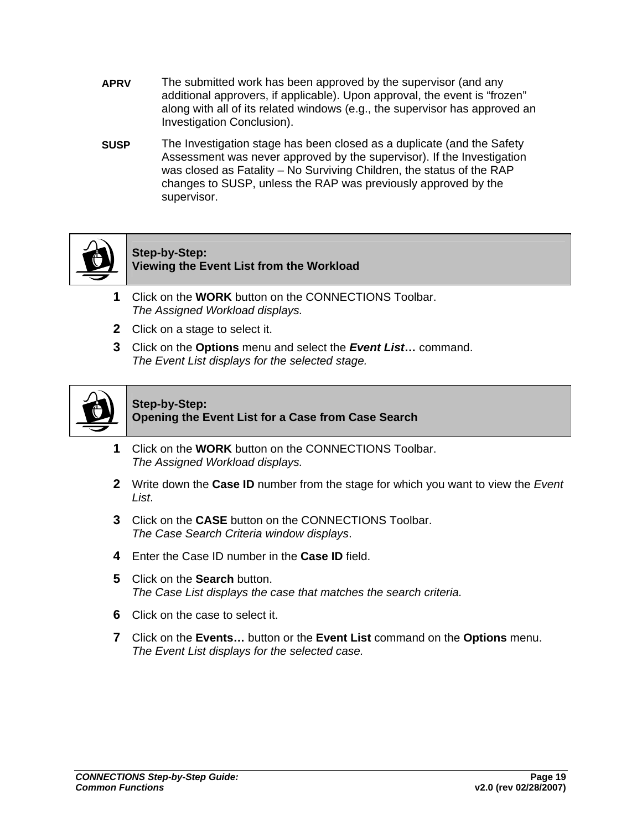- **APRV** The submitted work has been approved by the supervisor (and any additional approvers, if applicable). Upon approval, the event is "frozen" along with all of its related windows (e.g., the supervisor has approved an Investigation Conclusion).
- **SUSP** The Investigation stage has been closed as a duplicate (and the Safety Assessment was never approved by the supervisor). If the Investigation was closed as Fatality – No Surviving Children, the status of the RAP changes to SUSP, unless the RAP was previously approved by the supervisor.



#### **Step-by-Step: Viewing the Event List from the Workload**

- **1** Click on the **WORK** button on the CONNECTIONS Toolbar. *The Assigned Workload displays.*
- **2** Click on a stage to select it.
- **3** Click on the **Options** menu and select the *Event List***…** command. *The Event List displays for the selected stage.*



#### **Step-by-Step: Opening the Event List for a Case from Case Search**

- **1** Click on the **WORK** button on the CONNECTIONS Toolbar. *The Assigned Workload displays.*
- **2** Write down the **Case ID** number from the stage for which you want to view the *Event List*.
- **3** Click on the **CASE** button on the CONNECTIONS Toolbar. *The Case Search Criteria window displays*.
- **4** Enter the Case ID number in the **Case ID** field.
- **5** Click on the **Search** button. *The Case List displays the case that matches the search criteria.*
- **6** Click on the case to select it.
- **7** Click on the **Events…** button or the **Event List** command on the **Options** menu. *The Event List displays for the selected case.*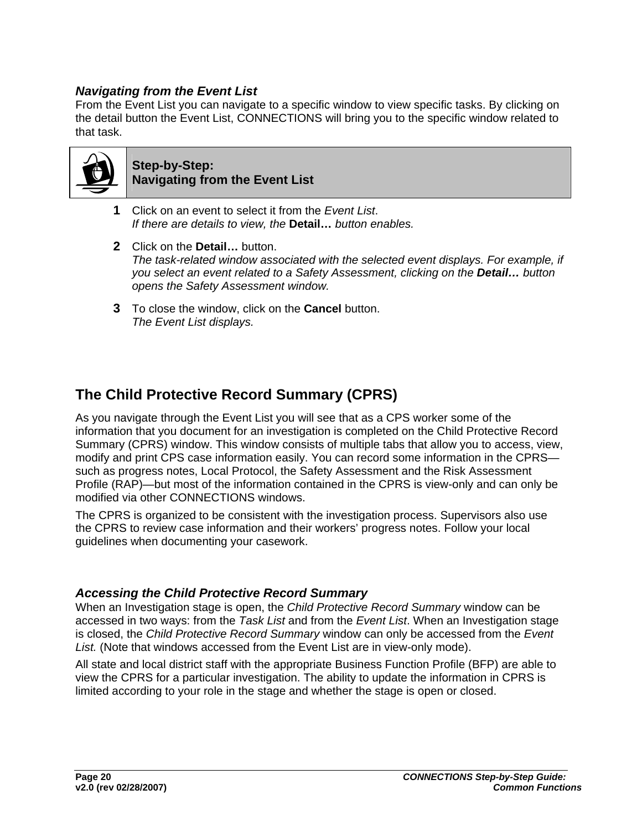#### <span id="page-22-0"></span>*Navigating from the Event List*

From the Event List you can navigate to a specific window to view specific tasks. By clicking on the detail button the Event List, CONNECTIONS will bring you to the specific window related to that task.



#### **Step-by-Step: Navigating from the Event List**

- **1** Click on an event to select it from the *Event List*. *If there are details to view, the* **Detail…** *button enables.*
- **2** Click on the **Detail…** button. *The task-related window associated with the selected event displays. For example, if you select an event related to a Safety Assessment, clicking on the Detail… button opens the Safety Assessment window.*
- **3** To close the window, click on the **Cancel** button. *The Event List displays.*

## **The Child Protective Record Summary (CPRS)**

As you navigate through the Event List you will see that as a CPS worker some of the information that you document for an investigation is completed on the Child Protective Record Summary (CPRS) window. This window consists of multiple tabs that allow you to access, view, modify and print CPS case information easily. You can record some information in the CPRS such as progress notes, Local Protocol, the Safety Assessment and the Risk Assessment Profile (RAP)—but most of the information contained in the CPRS is view-only and can only be modified via other CONNECTIONS windows.

The CPRS is organized to be consistent with the investigation process. Supervisors also use the CPRS to review case information and their workers' progress notes. Follow your local guidelines when documenting your casework.

#### *Accessing the Child Protective Record Summary*

When an Investigation stage is open, the *Child Protective Record Summary* window can be accessed in two ways: from the *Task List* and from the *Event List*. When an Investigation stage is closed, the *Child Protective Record Summary* window can only be accessed from the *Event List.* (Note that windows accessed from the Event List are in view-only mode).

All state and local district staff with the appropriate Business Function Profile (BFP) are able to view the CPRS for a particular investigation. The ability to update the information in CPRS is limited according to your role in the stage and whether the stage is open or closed.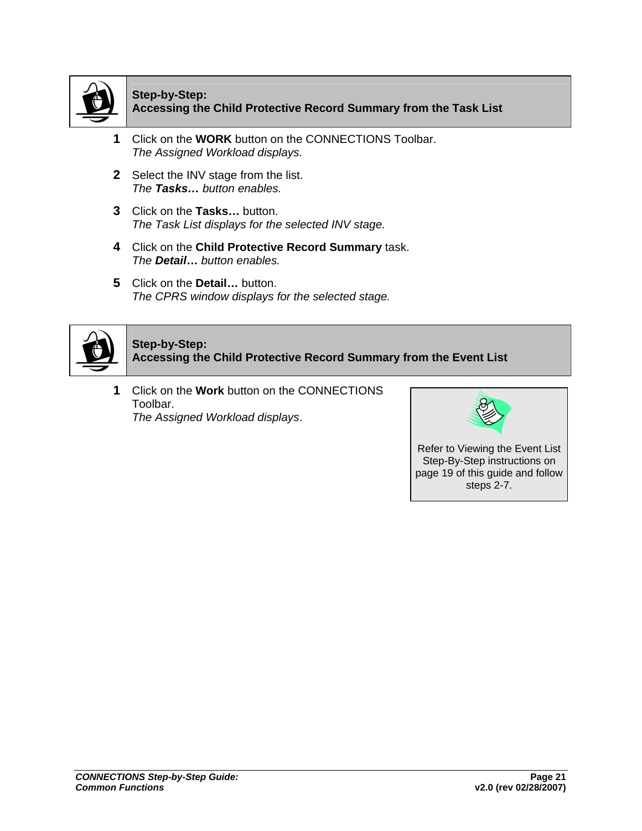

#### **Step-by-Step: Accessing the Child Protective Record Summary from the Task List**

- **1** Click on the **WORK** button on the CONNECTIONS Toolbar. *The Assigned Workload displays.*
- **2** Select the INV stage from the list. *The Tasks… button enables.*
- **3** Click on the **Tasks…** button. *The Task List displays for the selected INV stage.*
- **4** Click on the **Child Protective Record Summary** task. *The Detail***…** *button enables.*
- **5** Click on the **Detail…** button. *The CPRS window displays for the selected stage.*



#### **Step-by-Step: Accessing the Child Protective Record Summary from the Event List**

**1** Click on the **Work** button on the CONNECTIONS Toolbar. *The Assigned Workload displays*.

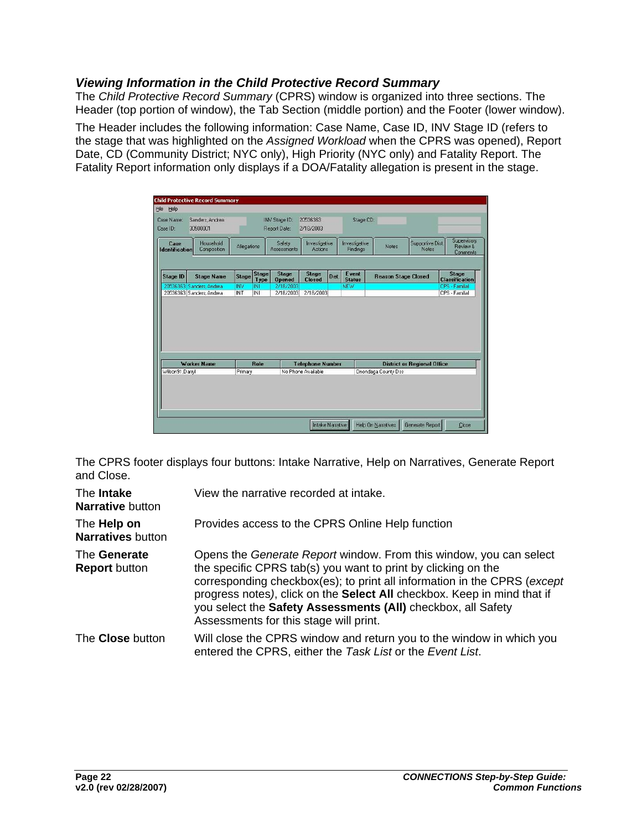#### <span id="page-24-0"></span>*Viewing Information in the Child Protective Record Summary*

The *Child Protective Record Summary* (CPRS) window is organized into three sections. The Header (top portion of window), the Tab Section (middle portion) and the Footer (lower window).

The Header includes the following information: Case Name, Case ID, INV Stage ID (refers to the stage that was highlighted on the *Assigned Workload* when the CPRS was opened), Report Date, CD (Community District; NYC only), High Priority (NYC only) and Fatality Report. The Fatality Report information only displays if a DOA/Fatality allegation is present in the stage.

| <b>Stage ID</b><br>20536363 Sanders Andrea<br>20536363 Sanders, Andrea | <b>Stage Name</b> | <b>Stage</b><br><b>INV</b> | Stage<br><b>Type</b> | <b>Stage</b>           |                                               |      |                        |                                                           |  |                                       |
|------------------------------------------------------------------------|-------------------|----------------------------|----------------------|------------------------|-----------------------------------------------|------|------------------------|-----------------------------------------------------------|--|---------------------------------------|
|                                                                        |                   |                            |                      | <b>Opened</b>          | <b>Stage</b><br><b>Closed</b>                 | Det. | Event<br><b>Status</b> | <b>Reason Stage Closed</b>                                |  | <b>Stage</b><br><b>Classification</b> |
|                                                                        |                   | INT                        | INI<br><b>INI</b>    | 2/18/2003<br>2/18/2003 | 2/18/2003                                     |      | <b>NEW</b>             |                                                           |  | CPS - Familial<br>CPS - Familial      |
| Worker Name                                                            |                   |                            | <b>Role</b>          |                        |                                               |      |                        |                                                           |  |                                       |
| Wilson91, Darryl                                                       |                   | Primary                    |                      |                        | <b>Telephone Number</b><br>No Phone Available |      |                        | <b>District or Regional Office</b><br>Onondaga County Dss |  |                                       |

The CPRS footer displays four buttons: Intake Narrative, Help on Narratives, Generate Report and Close.

| The <b>Intake</b><br><b>Narrative button</b> | View the narrative recorded at intake.                                                                                                                                                                                                                                                                                                                                                                      |
|----------------------------------------------|-------------------------------------------------------------------------------------------------------------------------------------------------------------------------------------------------------------------------------------------------------------------------------------------------------------------------------------------------------------------------------------------------------------|
| The Help on<br><b>Narratives</b> button      | Provides access to the CPRS Online Help function                                                                                                                                                                                                                                                                                                                                                            |
| The Generate<br><b>Report</b> button         | Opens the Generate Report window. From this window, you can select<br>the specific CPRS tab(s) you want to print by clicking on the<br>corresponding checkbox(es); to print all information in the CPRS (except<br>progress notes), click on the <b>Select All</b> checkbox. Keep in mind that if<br>you select the Safety Assessments (All) checkbox, all Safety<br>Assessments for this stage will print. |
| The <b>Close</b> button                      | Will close the CPRS window and return you to the window in which you<br>entered the CPRS, either the Task List or the Event List.                                                                                                                                                                                                                                                                           |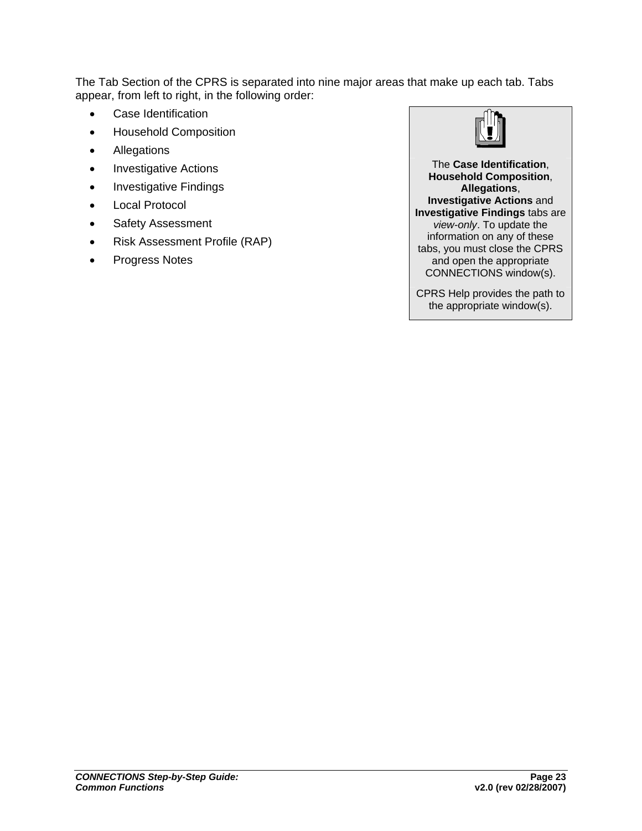The Tab Section of the CPRS is separated into nine major areas that make up each tab. Tabs appear, from left to right, in the following order:

- Case Identification
- Household Composition
- **Allegations**
- **Investigative Actions**
- Investigative Findings
- Local Protocol
- Safety Assessment
- Risk Assessment Profile (RAP)
- Progress Notes



The **Case Identification**, **Household Composition**, **Allegations**, **Investigative Actions** and **Investigative Findings** tabs are *view-only*. To update the information on any of these tabs, you must close the CPRS and open the appropriate CONNECTIONS window(s).

CPRS Help provides the path to the appropriate window(s).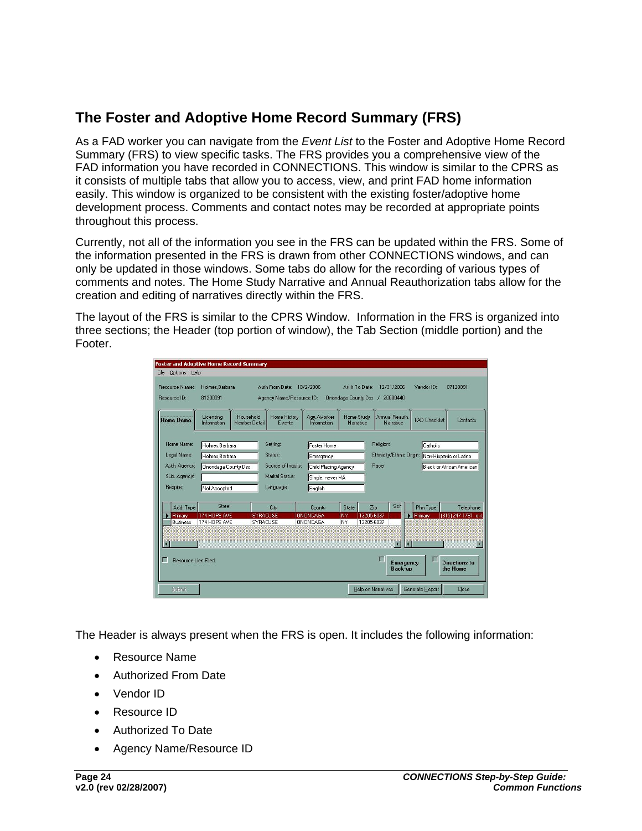## <span id="page-26-0"></span>**The Foster and Adoptive Home Record Summary (FRS)**

As a FAD worker you can navigate from the *Event List* to the Foster and Adoptive Home Record Summary (FRS) to view specific tasks. The FRS provides you a comprehensive view of the FAD information you have recorded in CONNECTIONS. This window is similar to the CPRS as it consists of multiple tabs that allow you to access, view, and print FAD home information easily. This window is organized to be consistent with the existing foster/adoptive home development process. Comments and contact notes may be recorded at appropriate points throughout this process.

Currently, not all of the information you see in the FRS can be updated within the FRS. Some of the information presented in the FRS is drawn from other CONNECTIONS windows, and can only be updated in those windows. Some tabs do allow for the recording of various types of comments and notes. The Home Study Narrative and Annual Reauthorization tabs allow for the creation and editing of narratives directly within the FRS.

The layout of the FRS is similar to the CPRS Window. Information in the FRS is organized into three sections; the Header (top portion of window), the Tab Section (middle portion) and the Footer.

| Options Help<br>File                                                   | <b>Foster and Adoptive Home Record Summary</b>                          |                                                                                                                                                              |                                    |                                      |                          |                                                              |                      |                                       |
|------------------------------------------------------------------------|-------------------------------------------------------------------------|--------------------------------------------------------------------------------------------------------------------------------------------------------------|------------------------------------|--------------------------------------|--------------------------|--------------------------------------------------------------|----------------------|---------------------------------------|
| Resource Name:<br>Holmes Barbara<br>Resource ID:<br>81200091           |                                                                         | Auth From Date: 10/2/2006<br>Agency Name/Resource ID:                                                                                                        |                                    | Auth To Date:<br>Onondaga County Dss |                          | 12/31/2006<br>20000440                                       | Vendor ID:           | 07120091                              |
| <b>Home Demo.</b>                                                      | Household<br>Licensing<br>Member Detail<br>Information                  | Home History<br>Events                                                                                                                                       | Agv./Worker<br><b>Information</b>  | Home Study<br>Narrative              |                          | Annual Reauth.<br>Narrative                                  | <b>FAD Checklist</b> | Contacts                              |
| Home Name:<br>Legal Name:<br>Auth. Agency:<br>Sub. Agency:<br>Respite: | Holmes.Barbara<br>Holmes Barbara<br>Onondaga County Dss<br>Not Accepted | Setting:<br>Foster Home<br>Status:<br>Emergency<br>Source of Inquiry:<br>Child Placing Agency<br>Marital Status:<br>Single, never MA<br>Language:<br>Enalish |                                    |                                      | Race:                    | Religion:<br>Ethnicity/Ethnic Origin: Non-Hispanic or Latino |                      | Catholic<br>Black or African American |
| Addr Type                                                              | Street                                                                  | City                                                                                                                                                         | County                             | State                                | Zip                      | Sch                                                          | Phn Type             | Telephone                             |
| Primary<br><b>Business</b>                                             | 174 HOPE AVE<br>174 HOPE AVE                                            | <b>SYRACUSE</b><br><b>SYRACUSE</b>                                                                                                                           | <b>ONONDAGA</b><br><b>ONONDAGA</b> | NY<br><b>NY</b>                      | 13205-6037<br>13205-6037 |                                                              | Primary              | (315) 247-1781 ext.                   |
| $\blacksquare$<br>г<br><b>Besource Lien Filed</b>                      |                                                                         |                                                                                                                                                              |                                    |                                      |                          | $\blacktriangleright$<br>Emergency<br><b>Back-up</b>         | K.                   | <b>Directions to</b><br>the Home      |
| Submit                                                                 |                                                                         |                                                                                                                                                              |                                    |                                      | Help on Narratives       |                                                              | Generate Report      | Close                                 |

The Header is always present when the FRS is open. It includes the following information:

- Resource Name
- Authorized From Date
- Vendor ID
- Resource ID
- Authorized To Date
- Agency Name/Resource ID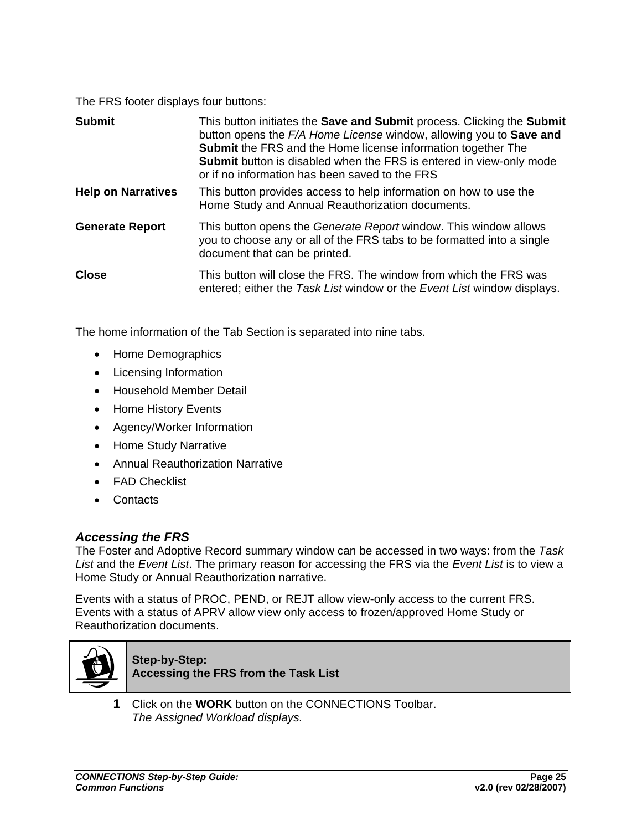<span id="page-27-0"></span>The FRS footer displays four buttons:

| <b>Submit</b>             | This button initiates the <b>Save and Submit</b> process. Clicking the <b>Submit</b><br>button opens the F/A Home License window, allowing you to Save and<br><b>Submit</b> the FRS and the Home license information together The<br><b>Submit</b> button is disabled when the FRS is entered in view-only mode<br>or if no information has been saved to the FRS |
|---------------------------|-------------------------------------------------------------------------------------------------------------------------------------------------------------------------------------------------------------------------------------------------------------------------------------------------------------------------------------------------------------------|
| <b>Help on Narratives</b> | This button provides access to help information on how to use the<br>Home Study and Annual Reauthorization documents.                                                                                                                                                                                                                                             |
| <b>Generate Report</b>    | This button opens the Generate Report window. This window allows<br>you to choose any or all of the FRS tabs to be formatted into a single<br>document that can be printed.                                                                                                                                                                                       |
| <b>Close</b>              | This button will close the FRS. The window from which the FRS was<br>entered; either the Task List window or the Event List window displays.                                                                                                                                                                                                                      |

The home information of the Tab Section is separated into nine tabs.

- Home Demographics
- Licensing Information
- Household Member Detail
- Home History Events
- Agency/Worker Information
- Home Study Narrative
- Annual Reauthorization Narrative
- FAD Checklist
- Contacts

#### *Accessing the FRS*

The Foster and Adoptive Record summary window can be accessed in two ways: from the *Task List* and the *Event List*. The primary reason for accessing the FRS via the *Event List* is to view a Home Study or Annual Reauthorization narrative.

Events with a status of PROC, PEND, or REJT allow view-only access to the current FRS. Events with a status of APRV allow view only access to frozen/approved Home Study or Reauthorization documents.



#### **Step-by-Step: Accessing the FRS from the Task List**

**1** Click on the **WORK** button on the CONNECTIONS Toolbar. *The Assigned Workload displays.*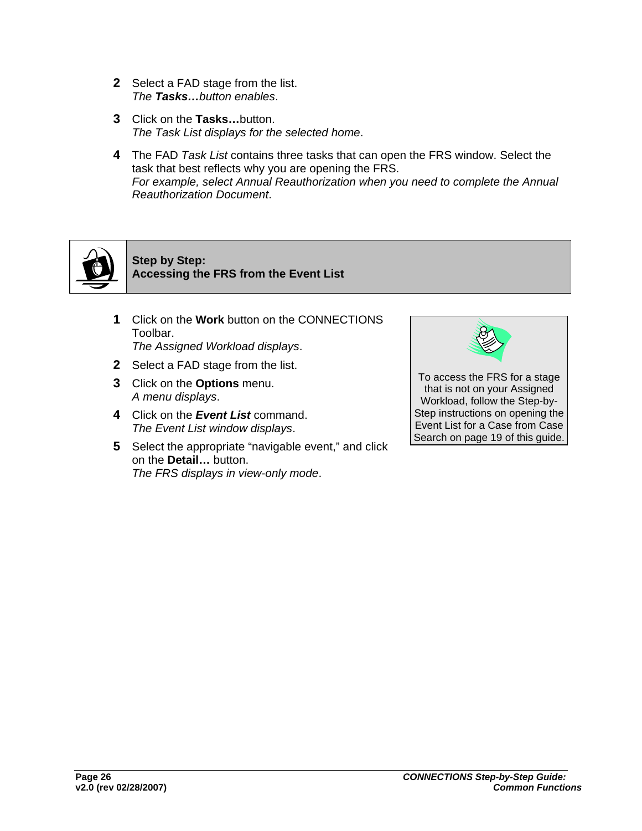- **2** Select a FAD stage from the list. *The Tasks…button enables*.
- **3** Click on the **Tasks…**button. *The Task List displays for the selected home*.
- **4** The FAD *Task List* contains three tasks that can open the FRS window. Select the task that best reflects why you are opening the FRS. *For example, select Annual Reauthorization when you need to complete the Annual Reauthorization Document*.



**Step by Step: Accessing the FRS from the Event List**

- **1** Click on the **Work** button on the CONNECTIONS Toolbar. *The Assigned Workload displays*.
- **2** Select a FAD stage from the list.
- **3** Click on the **Options** menu. *A menu displays*.
- **4** Click on the *Event List* command. *The Event List window displays*.
- **5** Select the appropriate "navigable event," and click on the **Detail…** button. *The FRS displays in view-only mode*.



To access the FRS for a stage that is not on your Assigned Workload, follow the Step-by-Step instructions on opening the Event List for a Case from Case Search on page 19 of this guide.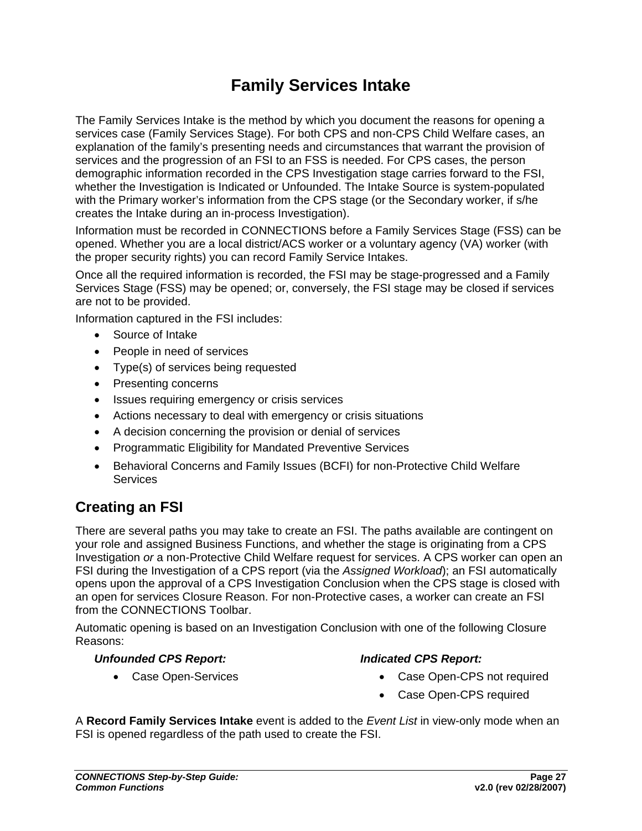## **Family Services Intake**

<span id="page-29-0"></span>The Family Services Intake is the method by which you document the reasons for opening a services case (Family Services Stage). For both CPS and non-CPS Child Welfare cases, an explanation of the family's presenting needs and circumstances that warrant the provision of services and the progression of an FSI to an FSS is needed. For CPS cases, the person demographic information recorded in the CPS Investigation stage carries forward to the FSI, whether the Investigation is Indicated or Unfounded. The Intake Source is system-populated with the Primary worker's information from the CPS stage (or the Secondary worker, if s/he creates the Intake during an in-process Investigation).

Information must be recorded in CONNECTIONS before a Family Services Stage (FSS) can be opened. Whether you are a local district/ACS worker or a voluntary agency (VA) worker (with the proper security rights) you can record Family Service Intakes.

Once all the required information is recorded, the FSI may be stage-progressed and a Family Services Stage (FSS) may be opened; or, conversely, the FSI stage may be closed if services are not to be provided.

Information captured in the FSI includes:

- Source of Intake
- People in need of services
- Type(s) of services being requested
- Presenting concerns
- Issues requiring emergency or crisis services
- Actions necessary to deal with emergency or crisis situations
- A decision concerning the provision or denial of services
- Programmatic Eligibility for Mandated Preventive Services
- Behavioral Concerns and Family Issues (BCFI) for non-Protective Child Welfare **Services**

## **Creating an FSI**

There are several paths you may take to create an FSI. The paths available are contingent on your role and assigned Business Functions, and whether the stage is originating from a CPS Investigation *or* a non-Protective Child Welfare request for services. A CPS worker can open an FSI during the Investigation of a CPS report (via the *Assigned Workload*); an FSI automatically opens upon the approval of a CPS Investigation Conclusion when the CPS stage is closed with an open for services Closure Reason. For non-Protective cases, a worker can create an FSI from the CONNECTIONS Toolbar.

Automatic opening is based on an Investigation Conclusion with one of the following Closure Reasons:

#### *Unfounded CPS Report:*

#### *Indicated CPS Report:*

• Case Open-Services

- Case Open-CPS not required
- Case Open-CPS required

A **Record Family Services Intake** event is added to the *Event List* in view-only mode when an FSI is opened regardless of the path used to create the FSI.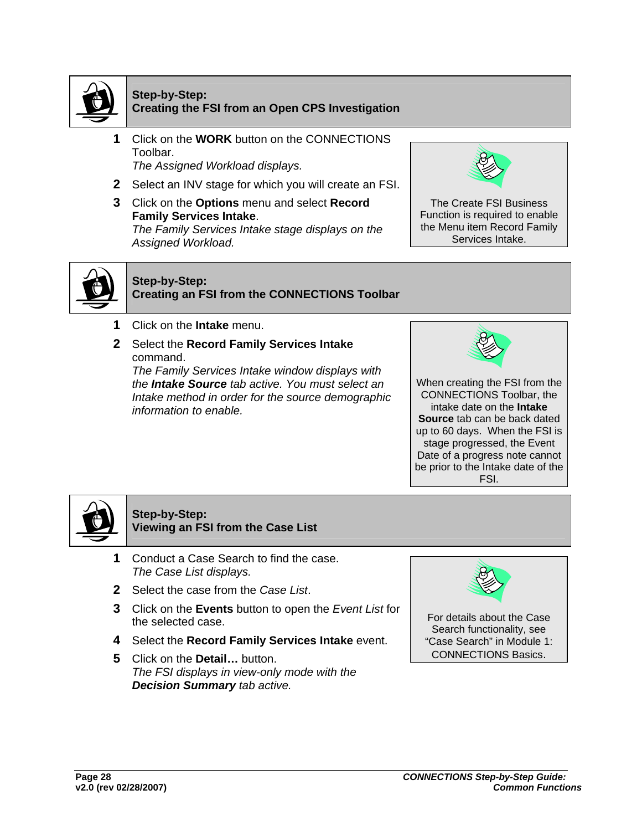

#### **Step-by-Step: Creating the FSI from an Open CPS Investigation**

- **1** Click on the **WORK** button on the CONNECTIONS Toolbar. *The Assigned Workload displays.*
- **2** Select an INV stage for which you will create an FSI.
- **3** Click on the **Options** menu and select **Record Family Services Intake**. *The Family Services Intake stage displays on the Assigned Workload.*



The Create FSI Business Function is required to enable the Menu item Record Family Services Intake.



#### **Step-by-Step: Creating an FSI from the CONNECTIONS Toolbar**

- **1** Click on the **Intake** menu.
- **2** Select the **Record Family Services Intake** command.

*The Family Services Intake window displays with the Intake Source tab active. You must select an Intake method in order for the source demographic information to enable.*



When creating the FSI from the CONNECTIONS Toolbar, the intake date on the **Intake Source** tab can be back dated up to 60 days. When the FSI is stage progressed, the Event Date of a progress note cannot be prior to the Intake date of the FSI.



#### **Step-by-Step: Viewing an FSI from the Case List**

- **1** Conduct a Case Search to find the case. *The Case List displays.*
- **2** Select the case from the *Case List*.
- **3** Click on the **Events** button to open the *Event List* for the selected case.
- **4** Select the **Record Family Services Intake** event.
- **5** Click on the **Detail…** button. *The FSI displays in view-only mode with the Decision Summary tab active.*



For details about the Case Search functionality, see "Case Search" in Module 1: CONNECTIONS Basics.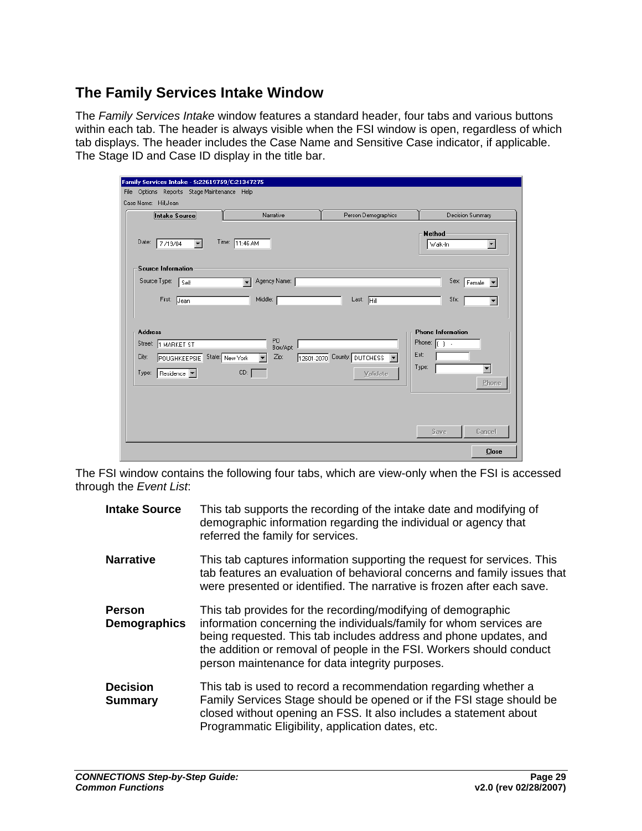### <span id="page-31-0"></span>**The Family Services Intake Window**

The *Family Services Intake* window features a standard header, four tabs and various buttons within each tab. The header is always visible when the FSI window is open, regardless of which tab displays. The header includes the Case Name and Sensitive Case indicator, if applicable. The Stage ID and Case ID display in the title bar.

| Family Services Intake - S:22619759/C:21347275                                                         |                                          |                                         |                                                                                                                                       |
|--------------------------------------------------------------------------------------------------------|------------------------------------------|-----------------------------------------|---------------------------------------------------------------------------------------------------------------------------------------|
| File Options Reports Stage Maintenance Help<br>Case Name: HillJean                                     |                                          |                                         |                                                                                                                                       |
| Intake Source                                                                                          | Narrative                                | Person Demographics                     | Decision Summary                                                                                                                      |
| Date:<br>7/19/04<br>$\overline{\phantom{a}}$                                                           | Time: $11:46 AM$                         |                                         | Method<br>  Walk-In<br>٠                                                                                                              |
| <b>Source Information</b>                                                                              |                                          |                                         |                                                                                                                                       |
| Source Type:<br>∥ Self.                                                                                | Agency Name:<br>$\overline{\phantom{a}}$ |                                         | Sex:<br>$F$ emale $\P$                                                                                                                |
| First: Jean                                                                                            | Middle:                                  | Last: Hill                              | Sfx:<br>▼                                                                                                                             |
| <b>Address</b><br>Street: 1 MARKET ST<br>POUGHKEEPSIE State: New York<br>City:<br>Residence  <br>Type: | PO<br>Box/Apt:<br>Zip:<br>CD:            | 12601-2070 County: DUTCHESS<br>Validate | <b>Phone Information</b><br>Phone: [<br>$\mathbf{1}$ .<br>Ext:<br>Type:<br>$\overline{\phantom{a}}$<br><b>Phone</b><br>Cancel<br>Save |
|                                                                                                        |                                          |                                         | <b>Close</b>                                                                                                                          |

The FSI window contains the following four tabs, which are view-only when the FSI is accessed through the *Event List*:

| <b>Intake Source</b>                 | This tab supports the recording of the intake date and modifying of<br>demographic information regarding the individual or agency that<br>referred the family for services.                                                                                                                                                         |
|--------------------------------------|-------------------------------------------------------------------------------------------------------------------------------------------------------------------------------------------------------------------------------------------------------------------------------------------------------------------------------------|
| <b>Narrative</b>                     | This tab captures information supporting the request for services. This<br>tab features an evaluation of behavioral concerns and family issues that<br>were presented or identified. The narrative is frozen after each save.                                                                                                       |
| <b>Person</b><br><b>Demographics</b> | This tab provides for the recording/modifying of demographic<br>information concerning the individuals/family for whom services are<br>being requested. This tab includes address and phone updates, and<br>the addition or removal of people in the FSI. Workers should conduct<br>person maintenance for data integrity purposes. |
| <b>Decision</b><br><b>Summary</b>    | This tab is used to record a recommendation regarding whether a<br>Family Services Stage should be opened or if the FSI stage should be<br>closed without opening an FSS. It also includes a statement about<br>Programmatic Eligibility, application dates, etc.                                                                   |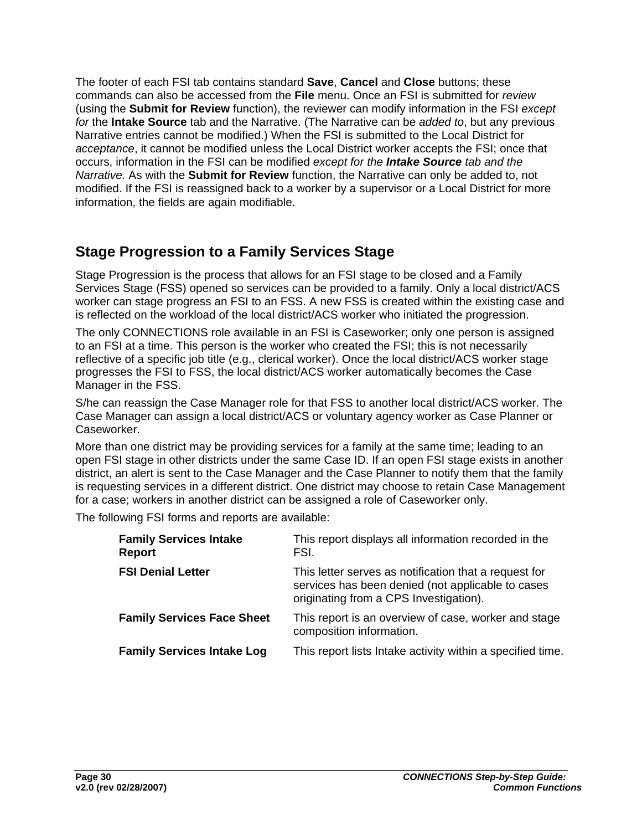<span id="page-32-0"></span>The footer of each FSI tab contains standard **Save**, **Cancel** and **Close** buttons; these commands can also be accessed from the **File** menu. Once an FSI is submitted for *review*  (using the **Submit for Review** function), the reviewer can modify information in the FSI *except for* the **Intake Source** tab and the Narrative. (The Narrative can be *added to*, but any previous Narrative entries cannot be modified.) When the FSI is submitted to the Local District for *acceptance*, it cannot be modified unless the Local District worker accepts the FSI; once that occurs, information in the FSI can be modified *except for the Intake Source tab and the Narrative.* As with the **Submit for Review** function, the Narrative can only be added to, not modified. If the FSI is reassigned back to a worker by a supervisor or a Local District for more information, the fields are again modifiable.

## **Stage Progression to a Family Services Stage**

Stage Progression is the process that allows for an FSI stage to be closed and a Family Services Stage (FSS) opened so services can be provided to a family. Only a local district/ACS worker can stage progress an FSI to an FSS. A new FSS is created within the existing case and is reflected on the workload of the local district/ACS worker who initiated the progression.

The only CONNECTIONS role available in an FSI is Caseworker; only one person is assigned to an FSI at a time. This person is the worker who created the FSI; this is not necessarily reflective of a specific job title (e.g., clerical worker). Once the local district/ACS worker stage progresses the FSI to FSS, the local district/ACS worker automatically becomes the Case Manager in the FSS.

S/he can reassign the Case Manager role for that FSS to another local district/ACS worker. The Case Manager can assign a local district/ACS or voluntary agency worker as Case Planner or Caseworker.

More than one district may be providing services for a family at the same time; leading to an open FSI stage in other districts under the same Case ID. If an open FSI stage exists in another district, an alert is sent to the Case Manager and the Case Planner to notify them that the family is requesting services in a different district. One district may choose to retain Case Management for a case; workers in another district can be assigned a role of Caseworker only.

The following FSI forms and reports are available:

| <b>Family Services Intake</b><br><b>Report</b> | This report displays all information recorded in the<br>FSI.                                                                                         |
|------------------------------------------------|------------------------------------------------------------------------------------------------------------------------------------------------------|
| <b>FSI Denial Letter</b>                       | This letter serves as notification that a request for<br>services has been denied (not applicable to cases<br>originating from a CPS Investigation). |
| <b>Family Services Face Sheet</b>              | This report is an overview of case, worker and stage<br>composition information.                                                                     |
| <b>Family Services Intake Log</b>              | This report lists Intake activity within a specified time.                                                                                           |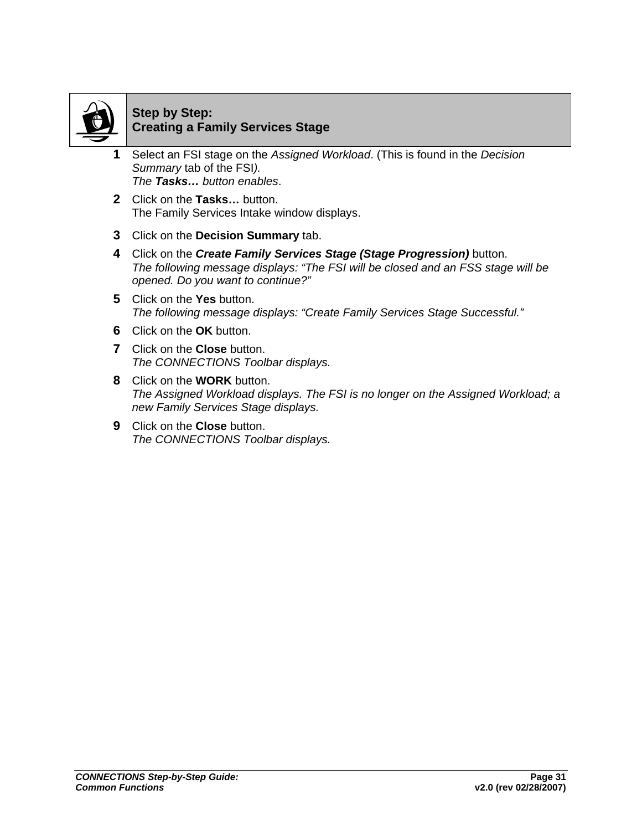

#### **Step by Step: Creating a Family Services Stage**

- **1** Select an FSI stage on the *Assigned Workload*. (This is found in the *Decision Summary* tab of the FSI*). The Tasks… button enables*.
- **2** Click on the **Tasks…** button. The Family Services Intake window displays.
- **3** Click on the **Decision Summary** tab.
- **4** Click on the *Create Family Services Stage (Stage Progression)* button. *The following message displays: "The FSI will be closed and an FSS stage will be opened. Do you want to continue?"*
- **5** Click on the **Yes** button. *The following message displays: "Create Family Services Stage Successful."*
- **6** Click on the **OK** button.
- **7** Click on the **Close** button. *The CONNECTIONS Toolbar displays.*
- **8** Click on the **WORK** button. *The Assigned Workload displays. The FSI is no longer on the Assigned Workload; a new Family Services Stage displays.*
- **9** Click on the **Close** button. *The CONNECTIONS Toolbar displays.*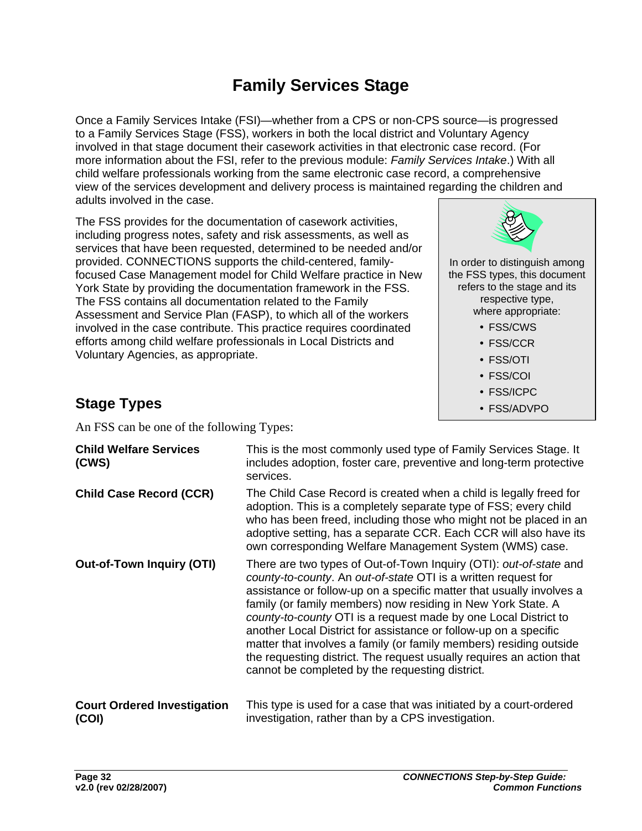## **Family Services Stage**

<span id="page-34-0"></span>Once a Family Services Intake (FSI)—whether from a CPS or non-CPS source—is progressed to a Family Services Stage (FSS), workers in both the local district and Voluntary Agency involved in that stage document their casework activities in that electronic case record. (For more information about the FSI, refer to the previous module: *Family Services Intake*.) With all child welfare professionals working from the same electronic case record, a comprehensive view of the services development and delivery process is maintained regarding the children and adults involved in the case.

The FSS provides for the documentation of casework activities, including progress notes, safety and risk assessments, as well as services that have been requested, determined to be needed and/or provided. CONNECTIONS supports the child-centered, familyfocused Case Management model for Child Welfare practice in New York State by providing the documentation framework in the FSS. The FSS contains all documentation related to the Family Assessment and Service Plan (FASP), to which all of the workers involved in the case contribute. This practice requires coordinated efforts among child welfare professionals in Local Districts and Voluntary Agencies, as appropriate.



In order to distinguish among the FSS types, this document refers to the stage and its respective type, where appropriate:

- FSS/CWS
- FSS/CCR
- FSS/OTI
- y FSS/COI
- FSS/ICPC
- FSS/ADVPO

## **Stage Types**

An FSS can be one of the following Types:

| <b>Child Welfare Services</b><br>(CWS)      | This is the most commonly used type of Family Services Stage. It<br>includes adoption, foster care, preventive and long-term protective<br>services.                                                                                                                                                                                                                                                                                                                                                                                                                                                                 |
|---------------------------------------------|----------------------------------------------------------------------------------------------------------------------------------------------------------------------------------------------------------------------------------------------------------------------------------------------------------------------------------------------------------------------------------------------------------------------------------------------------------------------------------------------------------------------------------------------------------------------------------------------------------------------|
| <b>Child Case Record (CCR)</b>              | The Child Case Record is created when a child is legally freed for<br>adoption. This is a completely separate type of FSS; every child<br>who has been freed, including those who might not be placed in an<br>adoptive setting, has a separate CCR. Each CCR will also have its<br>own corresponding Welfare Management System (WMS) case.                                                                                                                                                                                                                                                                          |
| <b>Out-of-Town Inquiry (OTI)</b>            | There are two types of Out-of-Town Inquiry (OTI): out-of-state and<br>county-to-county. An out-of-state OTI is a written request for<br>assistance or follow-up on a specific matter that usually involves a<br>family (or family members) now residing in New York State. A<br>county-to-county OTI is a request made by one Local District to<br>another Local District for assistance or follow-up on a specific<br>matter that involves a family (or family members) residing outside<br>the requesting district. The request usually requires an action that<br>cannot be completed by the requesting district. |
| <b>Court Ordered Investigation</b><br>(COI) | This type is used for a case that was initiated by a court-ordered<br>investigation, rather than by a CPS investigation.                                                                                                                                                                                                                                                                                                                                                                                                                                                                                             |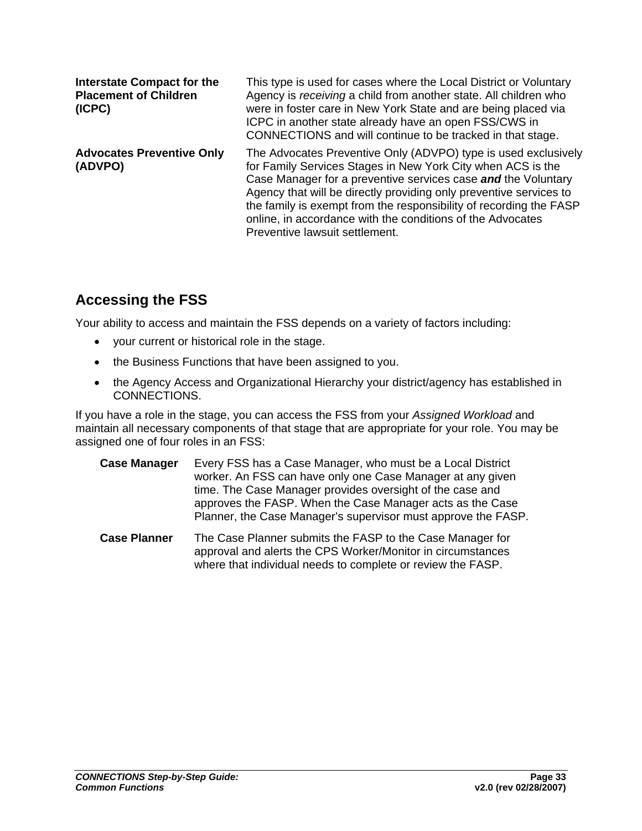<span id="page-35-0"></span>

| <b>Interstate Compact for the</b><br><b>Placement of Children</b><br>(ICPC) | This type is used for cases where the Local District or Voluntary<br>Agency is receiving a child from another state. All children who<br>were in foster care in New York State and are being placed via<br>ICPC in another state already have an open FSS/CWS in<br>CONNECTIONS and will continue to be tracked in that stage.                                                                                                             |
|-----------------------------------------------------------------------------|--------------------------------------------------------------------------------------------------------------------------------------------------------------------------------------------------------------------------------------------------------------------------------------------------------------------------------------------------------------------------------------------------------------------------------------------|
| <b>Advocates Preventive Only</b><br>(ADVPO)                                 | The Advocates Preventive Only (ADVPO) type is used exclusively<br>for Family Services Stages in New York City when ACS is the<br>Case Manager for a preventive services case and the Voluntary<br>Agency that will be directly providing only preventive services to<br>the family is exempt from the responsibility of recording the FASP<br>online, in accordance with the conditions of the Advocates<br>Preventive lawsuit settlement. |

## **Accessing the FSS**

Your ability to access and maintain the FSS depends on a variety of factors including:

- your current or historical role in the stage.
- the Business Functions that have been assigned to you.
- the Agency Access and Organizational Hierarchy your district/agency has established in CONNECTIONS.

If you have a role in the stage, you can access the FSS from your *Assigned Workload* and maintain all necessary components of that stage that are appropriate for your role. You may be assigned one of four roles in an FSS:

- **Case Manager** Every FSS has a Case Manager, who must be a Local District worker. An FSS can have only one Case Manager at any given time. The Case Manager provides oversight of the case and approves the FASP. When the Case Manager acts as the Case Planner, the Case Manager's supervisor must approve the FASP.
- **Case Planner** The Case Planner submits the FASP to the Case Manager for approval and alerts the CPS Worker/Monitor in circumstances where that individual needs to complete or review the FASP.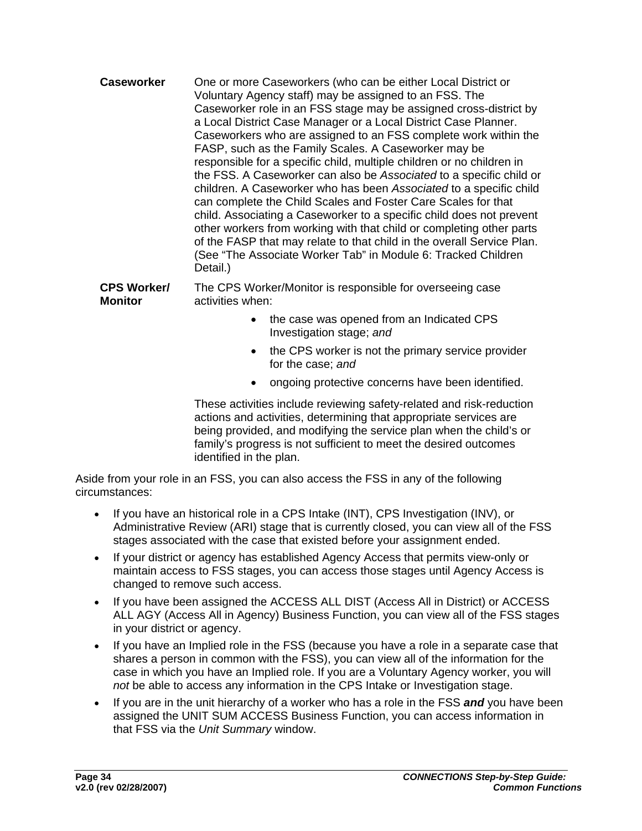**Caseworker** One or more Caseworkers (who can be either Local District or Voluntary Agency staff) may be assigned to an FSS. The Caseworker role in an FSS stage may be assigned cross-district by a Local District Case Manager or a Local District Case Planner. Caseworkers who are assigned to an FSS complete work within the FASP, such as the Family Scales. A Caseworker may be responsible for a specific child, multiple children or no children in the FSS. A Caseworker can also be *Associated* to a specific child or children. A Caseworker who has been *Associated* to a specific child can complete the Child Scales and Foster Care Scales for that child. Associating a Caseworker to a specific child does not prevent other workers from working with that child or completing other parts of the FASP that may relate to that child in the overall Service Plan. (See "The Associate Worker Tab" in Module 6: Tracked Children Detail.)

**CPS Worker/ Monitor**  The CPS Worker/Monitor is responsible for overseeing case activities when:

- the case was opened from an Indicated CPS Investigation stage; *and*
- the CPS worker is not the primary service provider for the case; *and*
- ongoing protective concerns have been identified.

These activities include reviewing safety-related and risk-reduction actions and activities, determining that appropriate services are being provided, and modifying the service plan when the child's or family's progress is not sufficient to meet the desired outcomes identified in the plan.

Aside from your role in an FSS, you can also access the FSS in any of the following circumstances:

- If you have an historical role in a CPS Intake (INT), CPS Investigation (INV), or Administrative Review (ARI) stage that is currently closed, you can view all of the FSS stages associated with the case that existed before your assignment ended.
- If your district or agency has established Agency Access that permits view-only or maintain access to FSS stages, you can access those stages until Agency Access is changed to remove such access.
- If you have been assigned the ACCESS ALL DIST (Access All in District) or ACCESS ALL AGY (Access All in Agency) Business Function, you can view all of the FSS stages in your district or agency.
- If you have an Implied role in the FSS (because you have a role in a separate case that shares a person in common with the FSS), you can view all of the information for the case in which you have an Implied role. If you are a Voluntary Agency worker, you will *not* be able to access any information in the CPS Intake or Investigation stage.
- If you are in the unit hierarchy of a worker who has a role in the FSS *and* you have been assigned the UNIT SUM ACCESS Business Function, you can access information in that FSS via the *Unit Summary* window.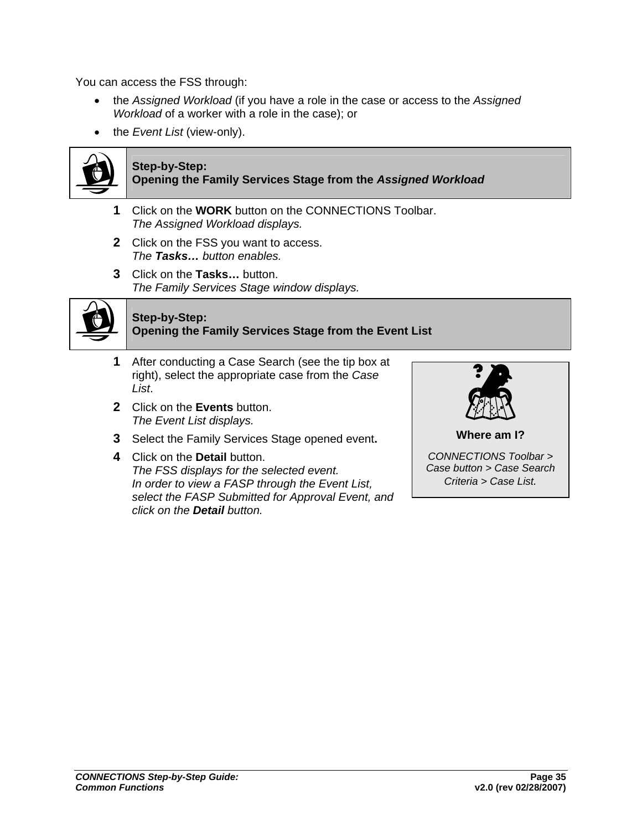You can access the FSS through:

- the *Assigned Workload* (if you have a role in the case or access to the *Assigned Workload* of a worker with a role in the case); or
- the *Event List* (view-only).



#### **Step-by-Step:**

**Opening the Family Services Stage from the** *Assigned Workload*

- **1** Click on the **WORK** button on the CONNECTIONS Toolbar. *The Assigned Workload displays.*
- **2** Click on the FSS you want to access. *The Tasks… button enables.*
- **3** Click on the **Tasks…** button. *The Family Services Stage window displays.*



### **Step-by-Step: Opening the Family Services Stage from the Event List**

- **1** After conducting a Case Search (see the tip box at right), select the appropriate case from the *Case List*.
- **2** Click on the **Events** button. *The Event List displays.*
- **3** Select the Family Services Stage opened event**.**
- **4** Click on the **Detail** button. *The FSS displays for the selected event. In order to view a FASP through the Event List, select the FASP Submitted for Approval Event, and click on the Detail button.*



*Case button > Case Search Criteria > Case List.*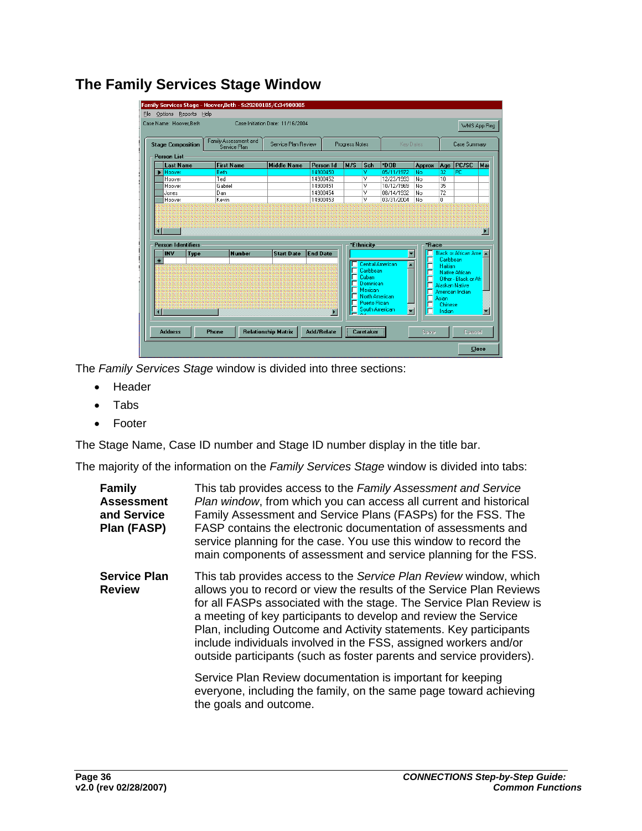|                                                                   | Case Name: Hoover.Beth       |                     |               | Case Initiation Date: 11/16/2004 |                       |     |                           |                          |               |                      | WMS App Reg          |     |
|-------------------------------------------------------------------|------------------------------|---------------------|---------------|----------------------------------|-----------------------|-----|---------------------------|--------------------------|---------------|----------------------|----------------------|-----|
| Family Assessment and<br><b>Stage Composition</b><br>Service Plan |                              | Service Plan Review |               | <b>Progress Notes</b>            |                       |     |                           | Key Dates                |               | Case Summary         |                      |     |
| <b>Person List</b>                                                |                              |                     |               |                                  |                       |     |                           |                          |               |                      |                      |     |
|                                                                   | <b>Last Name</b>             | <b>First Name</b>   |               | <b>Middle Name</b>               | <b>Person Id</b>      | M/S | Sch                       | *DOB                     | <b>Approx</b> | Age                  | PC/SC                | Mar |
|                                                                   | $\blacktriangleright$ Hoover | <b>Beth</b>         |               |                                  | 14900450              |     | v                         | 05/11/1972               | No            | 32                   | PC                   |     |
|                                                                   | Hoover                       | Ted                 |               |                                  | 14900452              |     | v                         | 12/23/1993               | No            | 10                   |                      |     |
|                                                                   | Hoover                       | Gabriel             |               |                                  | 14900451              |     | ٧                         | 10/12/1969               | No            | 35                   |                      |     |
|                                                                   | Jones                        | Dan                 |               |                                  | 14900454              |     | ٧                         | 08/14/1932               | No            | 72                   |                      |     |
|                                                                   |                              |                     |               |                                  |                       |     |                           |                          |               |                      |                      |     |
|                                                                   | Hoover                       | Kevin               |               |                                  | 14900453              |     | v                         | 03/31/2004               | No            | $\overline{0}$       |                      |     |
| $\blacksquare$                                                    | <b>Person Identifiers</b>    |                     |               |                                  |                       |     | *Ethnicity                |                          | *Race         |                      |                      |     |
|                                                                   | <b>INV</b><br>Type           |                     | <b>Number</b> | <b>Start Date</b>                | <b>End Date</b>       |     |                           |                          |               |                      | Black or African Ame |     |
|                                                                   |                              |                     |               |                                  |                       |     |                           | Central American         | г             | Caribbean<br>Haitian |                      |     |
|                                                                   |                              |                     |               |                                  |                       |     | Caribbean                 |                          | г             |                      | Native African       |     |
|                                                                   |                              |                     |               |                                  |                       |     | Cuban                     |                          |               |                      | Other - Black or Afr |     |
|                                                                   |                              |                     |               |                                  |                       |     | Dominican                 |                          |               |                      | Alaskan Native       |     |
|                                                                   |                              |                     |               |                                  |                       | П   | Mexican<br>North American |                          |               |                      | American Indian      |     |
|                                                                   |                              |                     |               |                                  |                       |     | □ Puerto Rican            |                          | г             | Asian<br>Chinese     |                      |     |
| $*$<br>$\blacksquare$                                             |                              |                     |               |                                  |                       |     | South American            | $\overline{\phantom{0}}$ | г             | Indian               |                      | ▼   |
|                                                                   |                              |                     |               |                                  | $\blacktriangleright$ |     |                           |                          |               |                      |                      |     |

# **The Family Services Stage Window**

The *Family Services Stage* window is divided into three sections:

- Header
- Tabs
- Footer

The Stage Name, Case ID number and Stage ID number display in the title bar.

The majority of the information on the *Family Services Stage* window is divided into tabs:

| <b>Family</b><br><b>Assessment</b><br>and Service<br>Plan (FASP) | This tab provides access to the Family Assessment and Service<br>Plan window, from which you can access all current and historical<br>Family Assessment and Service Plans (FASPs) for the FSS. The<br>FASP contains the electronic documentation of assessments and<br>service planning for the case. You use this window to record the<br>main components of assessment and service planning for the FSS.                                                                                           |
|------------------------------------------------------------------|------------------------------------------------------------------------------------------------------------------------------------------------------------------------------------------------------------------------------------------------------------------------------------------------------------------------------------------------------------------------------------------------------------------------------------------------------------------------------------------------------|
| <b>Service Plan</b><br><b>Review</b>                             | This tab provides access to the Service Plan Review window, which<br>allows you to record or view the results of the Service Plan Reviews<br>for all FASPs associated with the stage. The Service Plan Review is<br>a meeting of key participants to develop and review the Service<br>Plan, including Outcome and Activity statements. Key participants<br>include individuals involved in the FSS, assigned workers and/or<br>outside participants (such as foster parents and service providers). |
|                                                                  | Service Plan Review documentation is important for keeping<br>everyone, including the family, on the same page toward achieving<br>the goals and outcome.                                                                                                                                                                                                                                                                                                                                            |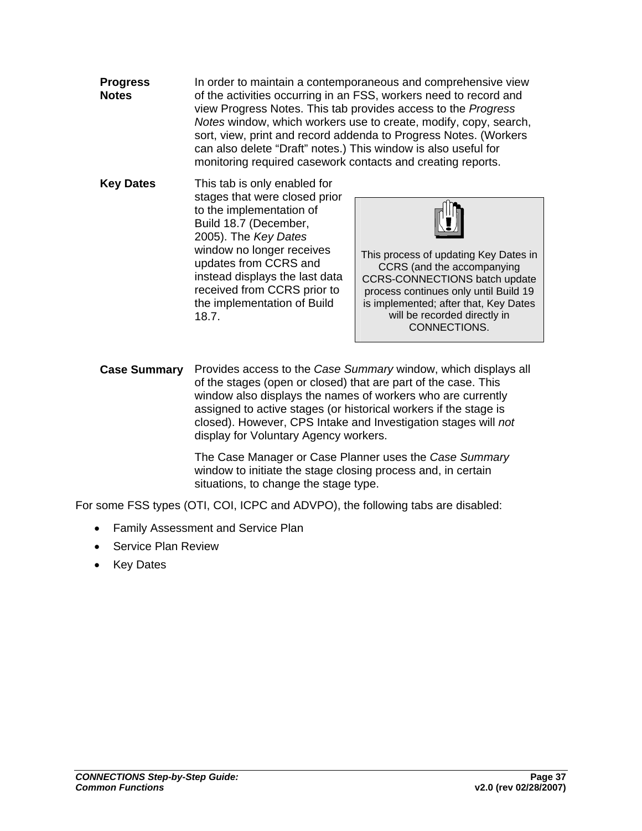- **Progress Notes**  In order to maintain a contemporaneous and comprehensive view of the activities occurring in an FSS, workers need to record and view Progress Notes. This tab provides access to the *Progress Notes* window, which workers use to create, modify, copy, search, sort, view, print and record addenda to Progress Notes. (Workers can also delete "Draft" notes.) This window is also useful for monitoring required casework contacts and creating reports.
- **Key Dates** This tab is only enabled for stages that were closed prior to the implementation of Build 18.7 (December, 2005). The *Key Dates* window no longer receives updates from CCRS and instead displays the last data received from CCRS prior to the implementation of Build 18.7.



This process of updating Key Dates in CCRS (and the accompanying CCRS-CONNECTIONS batch update process continues only until Build 19 is implemented; after that, Key Dates will be recorded directly in CONNECTIONS.

**Case Summary** Provides access to the *Case Summary* window, which displays all of the stages (open or closed) that are part of the case. This window also displays the names of workers who are currently assigned to active stages (or historical workers if the stage is closed). However, CPS Intake and Investigation stages will *not* display for Voluntary Agency workers.

> The Case Manager or Case Planner uses the *Case Summary*  window to initiate the stage closing process and, in certain situations, to change the stage type.

For some FSS types (OTI, COI, ICPC and ADVPO), the following tabs are disabled:

- Family Assessment and Service Plan
- Service Plan Review
- Key Dates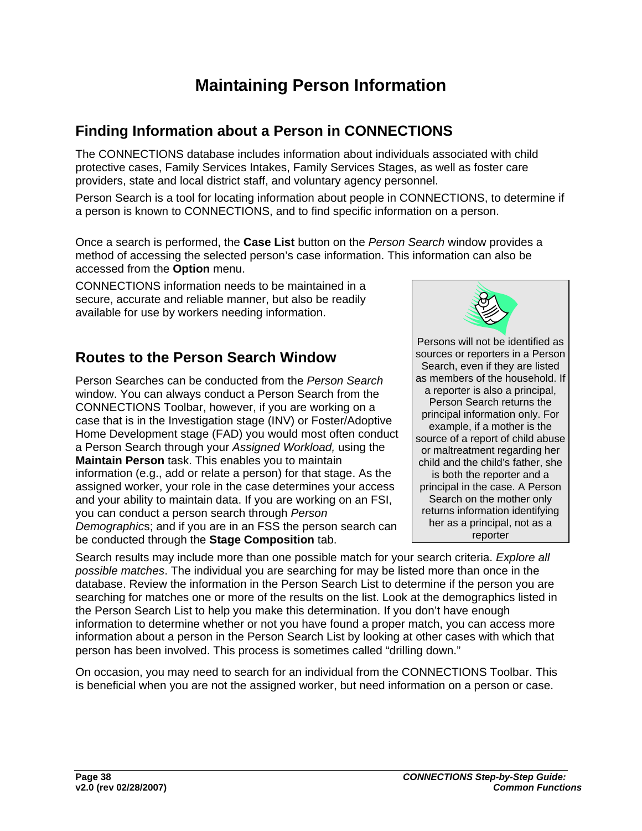# **Maintaining Person Information**

# **Finding Information about a Person in CONNECTIONS**

The CONNECTIONS database includes information about individuals associated with child protective cases, Family Services Intakes, Family Services Stages, as well as foster care providers, state and local district staff, and voluntary agency personnel.

Person Search is a tool for locating information about people in CONNECTIONS, to determine if a person is known to CONNECTIONS, and to find specific information on a person.

Once a search is performed, the **Case List** button on the *Person Search* window provides a method of accessing the selected person's case information. This information can also be accessed from the **Option** menu.

CONNECTIONS information needs to be maintained in a secure, accurate and reliable manner, but also be readily available for use by workers needing information.

## **Routes to the Person Search Window**

Person Searches can be conducted from the *Person Search* window. You can always conduct a Person Search from the CONNECTIONS Toolbar, however, if you are working on a case that is in the Investigation stage (INV) or Foster/Adoptive Home Development stage (FAD) you would most often conduct a Person Search through your *Assigned Workload,* using the **Maintain Person** task. This enables you to maintain information (e.g., add or relate a person) for that stage. As the assigned worker, your role in the case determines your access and your ability to maintain data. If you are working on an FSI, you can conduct a person search through *Person Demographic*s; and if you are in an FSS the person search can be conducted through the **Stage Composition** tab.



Persons will not be identified as sources or reporters in a Person Search, even if they are listed as members of the household. If a reporter is also a principal, Person Search returns the principal information only. For example, if a mother is the source of a report of child abuse or maltreatment regarding her child and the child's father, she is both the reporter and a principal in the case. A Person Search on the mother only returns information identifying her as a principal, not as a reporter

Search results may include more than one possible match for your search criteria. *Explore all possible matches*. The individual you are searching for may be listed more than once in the database. Review the information in the Person Search List to determine if the person you are searching for matches one or more of the results on the list. Look at the demographics listed in the Person Search List to help you make this determination. If you don't have enough information to determine whether or not you have found a proper match, you can access more information about a person in the Person Search List by looking at other cases with which that person has been involved. This process is sometimes called "drilling down."

On occasion, you may need to search for an individual from the CONNECTIONS Toolbar. This is beneficial when you are not the assigned worker, but need information on a person or case.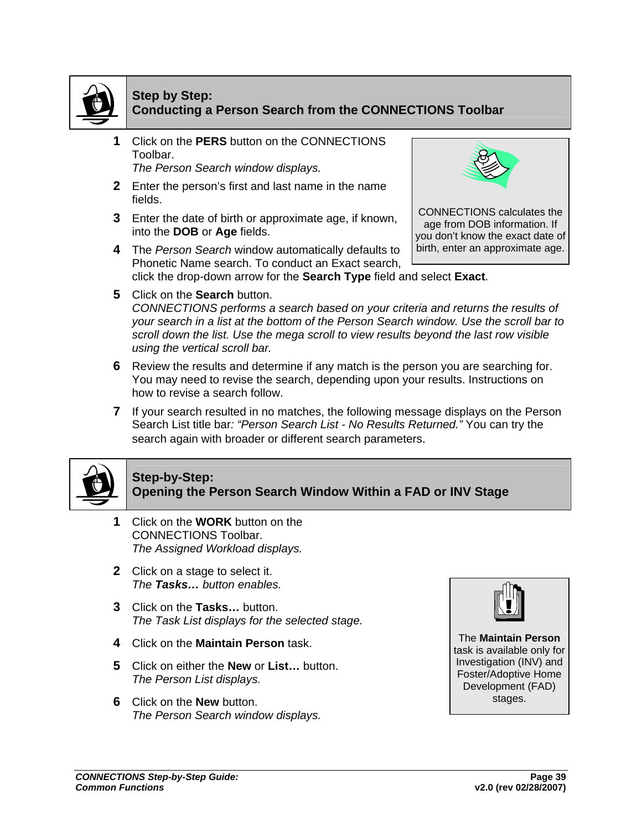

### **Step by Step: Conducting a Person Search from the CONNECTIONS Toolbar**

**1** Click on the **PERS** button on the CONNECTIONS Toolbar.

*The Person Search window displays.*

- **2** Enter the person's first and last name in the name fields.
- **3** Enter the date of birth or approximate age, if known, into the **DOB** or **Age** fields.
- **4** The *Person Search* window automatically defaults to Phonetic Name search. To conduct an Exact search, click the drop-down arrow for the **Search Type** field and select **Exact**.



CONNECTIONS calculates the age from DOB information. If you don't know the exact date of birth, enter an approximate age.

- **5** Click on the **Search** button. *CONNECTIONS performs a search based on your criteria and returns the results of your search in a list at the bottom of the Person Search window. Use the scroll bar to scroll down the list. Use the mega scroll to view results beyond the last row visible using the vertical scroll bar.*
- **6** Review the results and determine if any match is the person you are searching for. You may need to revise the search, depending upon your results. Instructions on how to revise a search follow.
- **7** If your search resulted in no matches, the following message displays on the Person Search List title bar*: "Person Search List - No Results Returned."* You can try the search again with broader or different search parameters.



### **Step-by-Step:**

**Opening the Person Search Window Within a FAD or INV Stage**

- **1** Click on the **WORK** button on the CONNECTIONS Toolbar. *The Assigned Workload displays.*
- **2** Click on a stage to select it. *The Tasks… button enables.*
- **3** Click on the **Tasks…** button. *The Task List displays for the selected stage.*
- **4** Click on the **Maintain Person** task.
- **5** Click on either the **New** or **List…** button. *The Person List displays.*
- **6** Click on the **New** button. *The Person Search window displays.*



The **Maintain Person**  task is available only for Investigation (INV) and Foster/Adoptive Home Development (FAD) stages.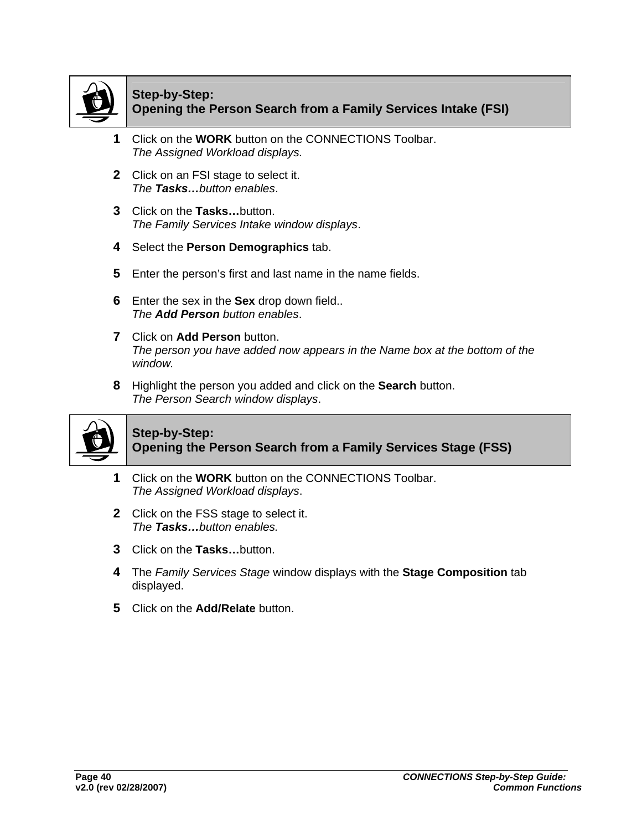

### **Step-by-Step: Opening the Person Search from a Family Services Intake (FSI)**

- **1** Click on the **WORK** button on the CONNECTIONS Toolbar. *The Assigned Workload displays.*
- **2** Click on an FSI stage to select it. *The Tasks…button enables*.
- **3** Click on the **Tasks…**button. *The Family Services Intake window displays*.
- **4** Select the **Person Demographics** tab.
- **5** Enter the person's first and last name in the name fields.
- **6** Enter the sex in the **Sex** drop down field.. *The Add Person button enables*.
- **7** Click on **Add Person** button. *The person you have added now appears in the Name box at the bottom of the window.*
- **8** Highlight the person you added and click on the **Search** button. *The Person Search window displays*.



### **Step-by-Step: Opening the Person Search from a Family Services Stage (FSS)**

- **1** Click on the **WORK** button on the CONNECTIONS Toolbar. *The Assigned Workload displays*.
- **2** Click on the FSS stage to select it. *The Tasks…button enables.*
- **3** Click on the **Tasks…**button.
- **4** The *Family Services Stage* window displays with the **Stage Composition** tab displayed.
- **5** Click on the **Add/Relate** button.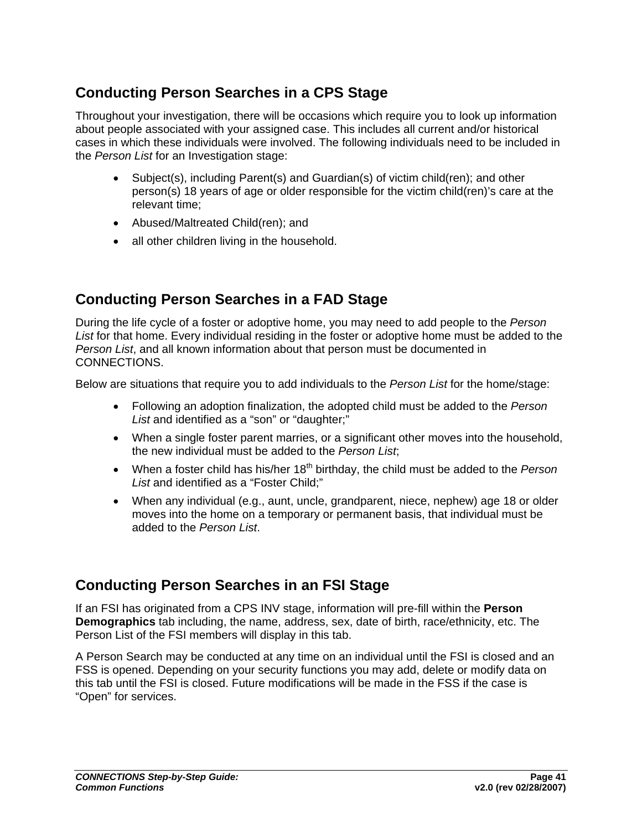## **Conducting Person Searches in a CPS Stage**

Throughout your investigation, there will be occasions which require you to look up information about people associated with your assigned case. This includes all current and/or historical cases in which these individuals were involved. The following individuals need to be included in the *Person List* for an Investigation stage:

- Subject(s), including Parent(s) and Guardian(s) of victim child(ren); and other person(s) 18 years of age or older responsible for the victim child(ren)'s care at the relevant time;
- Abused/Maltreated Child(ren); and
- all other children living in the household.

## **Conducting Person Searches in a FAD Stage**

During the life cycle of a foster or adoptive home, you may need to add people to the *Person List* for that home. Every individual residing in the foster or adoptive home must be added to the *Person List*, and all known information about that person must be documented in CONNECTIONS.

Below are situations that require you to add individuals to the *Person List* for the home/stage:

- Following an adoption finalization, the adopted child must be added to the *Person List* and identified as a "son" or "daughter;"
- When a single foster parent marries, or a significant other moves into the household, the new individual must be added to the *Person List*;
- When a foster child has his/her 18<sup>th</sup> birthday, the child must be added to the *Person* List and identified as a "Foster Child:"
- When any individual (e.g., aunt, uncle, grandparent, niece, nephew) age 18 or older moves into the home on a temporary or permanent basis, that individual must be added to the *Person List*.

## **Conducting Person Searches in an FSI Stage**

If an FSI has originated from a CPS INV stage, information will pre-fill within the **Person Demographics** tab including, the name, address, sex, date of birth, race/ethnicity, etc. The Person List of the FSI members will display in this tab.

A Person Search may be conducted at any time on an individual until the FSI is closed and an FSS is opened. Depending on your security functions you may add, delete or modify data on this tab until the FSI is closed. Future modifications will be made in the FSS if the case is "Open" for services.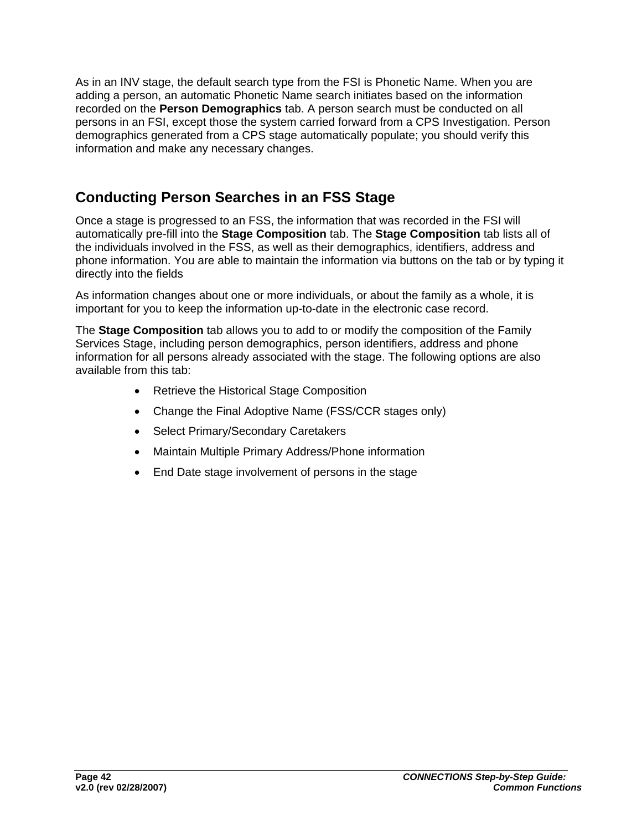As in an INV stage, the default search type from the FSI is Phonetic Name. When you are adding a person, an automatic Phonetic Name search initiates based on the information recorded on the **Person Demographics** tab. A person search must be conducted on all persons in an FSI, except those the system carried forward from a CPS Investigation. Person demographics generated from a CPS stage automatically populate; you should verify this information and make any necessary changes.

# **Conducting Person Searches in an FSS Stage**

Once a stage is progressed to an FSS, the information that was recorded in the FSI will automatically pre-fill into the **Stage Composition** tab. The **Stage Composition** tab lists all of the individuals involved in the FSS, as well as their demographics, identifiers, address and phone information. You are able to maintain the information via buttons on the tab or by typing it directly into the fields

As information changes about one or more individuals, or about the family as a whole, it is important for you to keep the information up-to-date in the electronic case record.

The **Stage Composition** tab allows you to add to or modify the composition of the Family Services Stage, including person demographics, person identifiers, address and phone information for all persons already associated with the stage. The following options are also available from this tab:

- Retrieve the Historical Stage Composition
- Change the Final Adoptive Name (FSS/CCR stages only)
- Select Primary/Secondary Caretakers
- Maintain Multiple Primary Address/Phone information
- End Date stage involvement of persons in the stage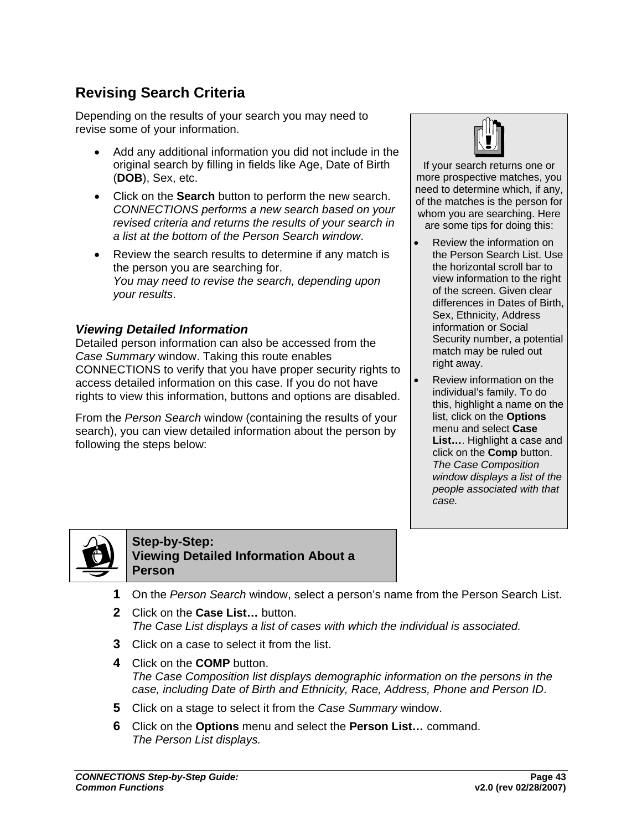# **Revising Search Criteria**

Depending on the results of your search you may need to revise some of your information.

- Add any additional information you did not include in the original search by filling in fields like Age, Date of Birth (**DOB**), Sex, etc.
- Click on the **Search** button to perform the new search. *CONNECTIONS performs a new search based on your revised criteria and returns the results of your search in a list at the bottom of the Person Search window*.
- Review the search results to determine if any match is the person you are searching for. *You may need to revise the search, depending upon your results*.

### *Viewing Detailed Information*

Detailed person information can also be accessed from the *Case Summary* window. Taking this route enables CONNECTIONS to verify that you have proper security rights to access detailed information on this case. If you do not have rights to view this information, buttons and options are disabled.

From the *Person Search* window (containing the results of your search), you can view detailed information about the person by following the steps below:



If your search returns one or more prospective matches, you need to determine which, if any, of the matches is the person for whom you are searching. Here are some tips for doing this:

- Review the information on the Person Search List. Use the horizontal scroll bar to view information to the right of the screen. Given clear differences in Dates of Birth, Sex, Ethnicity, Address information or Social Security number, a potential match may be ruled out right away.
- Review information on the individual's family. To do this, highlight a name on the list, click on the **Options** menu and select **Case List…**. Highlight a case and click on the **Comp** button. *The Case Composition window displays a list of the people associated with that case.*



**Step-by-Step: Viewing Detailed Information About a Person**

- **1** On the *Person Search* window, select a person's name from the Person Search List.
- **2** Click on the **Case List…** button. *The Case List displays a list of cases with which the individual is associated.*
- **3** Click on a case to select it from the list.
- **4** Click on the **COMP** button. *The Case Composition list displays demographic information on the persons in the case, including Date of Birth and Ethnicity, Race, Address, Phone and Person ID*.
- **5** Click on a stage to select it from the *Case Summary* window.
- **6** Click on the **Options** menu and select the **Person List…** command. *The Person List displays.*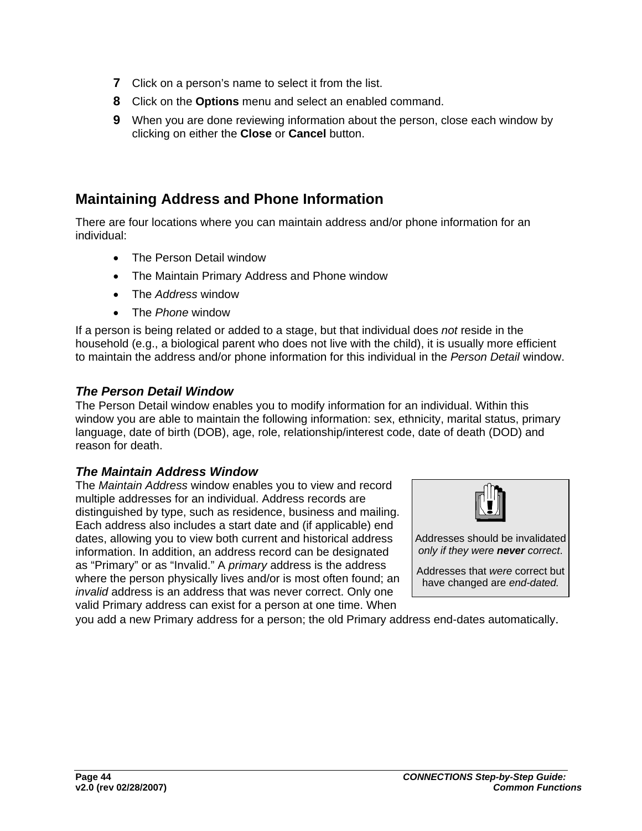- **7** Click on a person's name to select it from the list.
- **8** Click on the **Options** menu and select an enabled command.
- **9** When you are done reviewing information about the person, close each window by clicking on either the **Close** or **Cancel** button.

## **Maintaining Address and Phone Information**

There are four locations where you can maintain address and/or phone information for an individual:

- The Person Detail window
- The Maintain Primary Address and Phone window
- The *Address* window
- The *Phone* window

If a person is being related or added to a stage, but that individual does *not* reside in the household (e.g., a biological parent who does not live with the child), it is usually more efficient to maintain the address and/or phone information for this individual in the *Person Detail* window.

### *The Person Detail Window*

The Person Detail window enables you to modify information for an individual. Within this window you are able to maintain the following information: sex, ethnicity, marital status, primary language, date of birth (DOB), age, role, relationship/interest code, date of death (DOD) and reason for death.

### *The Maintain Address Window*

The *Maintain Address* window enables you to view and record multiple addresses for an individual. Address records are distinguished by type, such as residence, business and mailing. Each address also includes a start date and (if applicable) end dates, allowing you to view both current and historical address information. In addition, an address record can be designated as "Primary" or as "Invalid." A *primary* address is the address where the person physically lives and/or is most often found: an *invalid* address is an address that was never correct. Only one valid Primary address can exist for a person at one time. When



Addresses should be invalidated *only if they were never correct*.

Addresses that *were* correct but have changed are *end-dated.* 

you add a new Primary address for a person; the old Primary address end-dates automatically.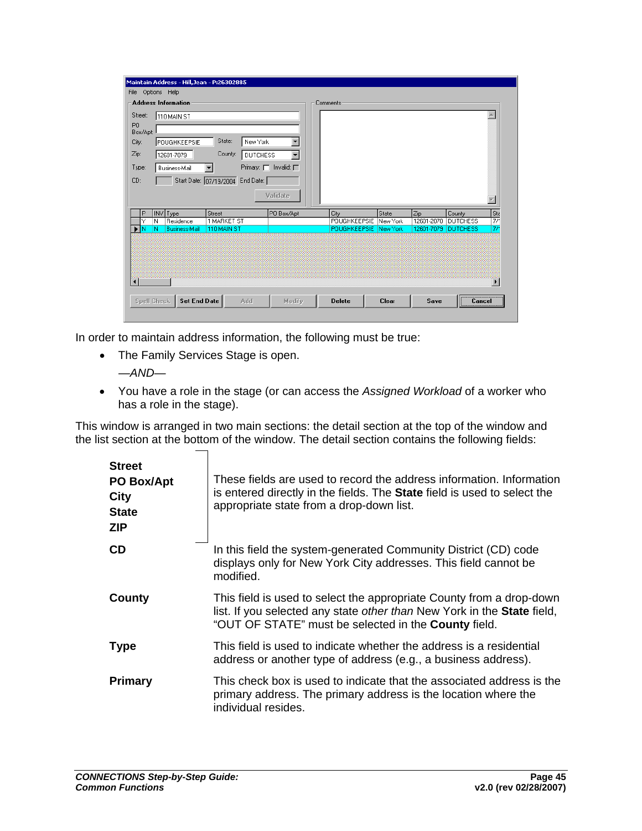|                            | Maintain Address - Hill, Jean - P:26302885 |                                  |                                         |                       |              |            |                 |                        |
|----------------------------|--------------------------------------------|----------------------------------|-----------------------------------------|-----------------------|--------------|------------|-----------------|------------------------|
| File                       | Options Help                               |                                  |                                         |                       |              |            |                 |                        |
|                            | <b>Address Information</b>                 |                                  |                                         | Comments              |              |            |                 |                        |
| Street:                    | 110 MAIN ST                                |                                  |                                         |                       |              |            |                 |                        |
| P <sub>0</sub><br>Box/Apt: |                                            |                                  |                                         |                       |              |            |                 |                        |
| City:                      | POUGHKEEPSIE                               | State:<br>New York               | $\blacktriangledown$                    |                       |              |            |                 |                        |
| Zip:                       | 12601-7079                                 | County:                          | $\blacktriangledown$<br><b>DUTCHESS</b> |                       |              |            |                 |                        |
| Type:                      | Business-Mail                              |                                  | Primary: $\Box$ Invalid: $\Box$         |                       |              |            |                 |                        |
| CD:                        |                                            | Start Date: 07/19/2004 End Date: |                                         |                       |              |            |                 |                        |
|                            |                                            |                                  | Validate                                |                       |              |            |                 |                        |
| P                          | INV Type                                   | Street                           | PO Box/Apt                              | City                  | State        | Zip        | County          |                        |
| Y                          | Residence<br>N                             | <b>1 MARKET ST</b>               |                                         | POUGHKEEPSIE          | New York     | 12601-2070 | <b>DUTCHESS</b> | $\frac{\text{St}}{77}$ |
| ۰IN                        | <b>Business-Mail</b><br>Ν                  | 110 MAIN ST                      |                                         | POUGHKEEPSIE New York |              | 12601-7079 | <b>DUTCHESS</b> | 77                     |
|                            |                                            |                                  |                                         |                       |              |            |                 |                        |
|                            |                                            |                                  |                                         |                       |              |            |                 |                        |
|                            |                                            |                                  |                                         |                       |              |            |                 |                        |
|                            |                                            |                                  |                                         |                       |              |            |                 |                        |
| $\blacktriangleleft$       |                                            |                                  |                                         |                       |              |            |                 |                        |
|                            |                                            |                                  |                                         |                       |              |            |                 |                        |
|                            | Set End Date<br>Spell Check                | Add                              | Modify                                  | <b>Delete</b>         | <b>Clear</b> | Save       | Cancel          |                        |

In order to maintain address information, the following must be true:

- The Family Services Stage is open. *—AND—*
- You have a role in the stage (or can access the *Assigned Workload* of a worker who has a role in the stage).

This window is arranged in two main sections: the detail section at the top of the window and the list section at the bottom of the window. The detail section contains the following fields:

| <b>Street</b><br>PO Box/Apt<br><b>City</b><br><b>State</b><br><b>ZIP</b> | These fields are used to record the address information. Information<br>is entered directly in the fields. The State field is used to select the<br>appropriate state from a drop-down list.                          |
|--------------------------------------------------------------------------|-----------------------------------------------------------------------------------------------------------------------------------------------------------------------------------------------------------------------|
| <b>CD</b>                                                                | In this field the system-generated Community District (CD) code<br>displays only for New York City addresses. This field cannot be<br>modified.                                                                       |
| County                                                                   | This field is used to select the appropriate County from a drop-down<br>list. If you selected any state other than New York in the <b>State</b> field,<br>"OUT OF STATE" must be selected in the <b>County</b> field. |
| <b>Type</b>                                                              | This field is used to indicate whether the address is a residential<br>address or another type of address (e.g., a business address).                                                                                 |
| <b>Primary</b>                                                           | This check box is used to indicate that the associated address is the<br>primary address. The primary address is the location where the<br>individual resides.                                                        |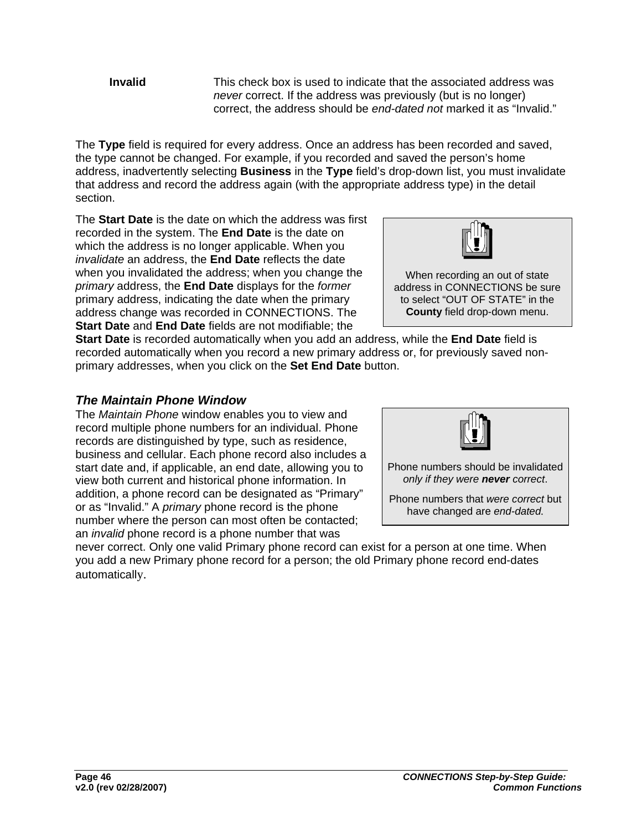**Invalid** This check box is used to indicate that the associated address was *never* correct. If the address was previously (but is no longer) correct, the address should be *end-dated not* marked it as "Invalid."

The **Type** field is required for every address. Once an address has been recorded and saved, the type cannot be changed. For example, if you recorded and saved the person's home address, inadvertently selecting **Business** in the **Type** field's drop-down list, you must invalidate that address and record the address again (with the appropriate address type) in the detail section.

The **Start Date** is the date on which the address was first recorded in the system. The **End Date** is the date on which the address is no longer applicable. When you *invalidate* an address, the **End Date** reflects the date when you invalidated the address; when you change the *primary* address, the **End Date** displays for the *former*  primary address, indicating the date when the primary address change was recorded in CONNECTIONS. The **Start Date** and **End Date** fields are not modifiable; the

**Start Date** is recorded automatically when you add an address, while the **End Date** field is recorded automatically when you record a new primary address or, for previously saved nonprimary addresses, when you click on the **Set End Date** button.

### *The Maintain Phone Window*

The *Maintain Phone* window enables you to view and record multiple phone numbers for an individual. Phone records are distinguished by type, such as residence, business and cellular. Each phone record also includes a start date and, if applicable, an end date, allowing you to view both current and historical phone information. In addition, a phone record can be designated as "Primary" or as "Invalid." A *primary* phone record is the phone number where the person can most often be contacted; an *invalid* phone record is a phone number that was

never correct. Only one valid Primary phone record can exist for a person at one time. When you add a new Primary phone record for a person; the old Primary phone record end-dates automatically.



Phone numbers should be invalidated *only if they were never correct*.

Phone numbers that *were correct* but have changed are *end-dated.* 



When recording an out of state address in CONNECTIONS be sure to select "OUT OF STATE" in the **County** field drop-down menu.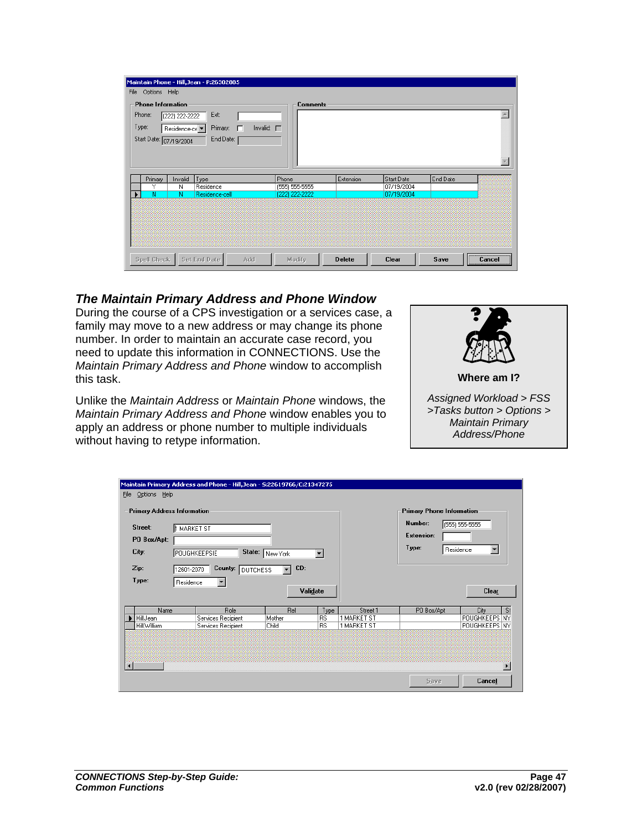|                                      |                                                            | Maintain Phone - Hill, Jean - P:26302885 |                 |                  |               |              |          |                |
|--------------------------------------|------------------------------------------------------------|------------------------------------------|-----------------|------------------|---------------|--------------|----------|----------------|
|                                      | File Options Help                                          |                                          |                 |                  |               |              |          |                |
| Phone Information<br>Phone:<br>Type: | (222) 222-2222<br>Residence-ce V<br>Start Date: 07/19/2004 | Ext:<br>Primary:<br>$\Box$<br>End Date:  | Invalid: $\Box$ | <b>Comments</b>  |               |              |          |                |
|                                      |                                                            |                                          |                 |                  |               |              |          |                |
| Primary                              | Invalid                                                    | Type                                     | Phone           |                  | Extension     | Start Date   | End Date |                |
| Υ                                    | N                                                          | Residence                                |                 | $(555) 555-5555$ |               | 07/19/2004   |          |                |
| N                                    | $\overline{\mathsf{N}}$                                    | Residence-cell                           |                 | (222) 222-2222   |               | 07/19/2004   |          |                |
|                                      |                                                            |                                          |                 |                  |               |              |          |                |
| Spell Check                          |                                                            | Set End Date                             | Add             | Modify           | <b>Delete</b> | <b>Clear</b> | Save     | <br>Cancel<br> |

### *The Maintain Primary Address and Phone Window*

During the course of a CPS investigation or a services case, a family may move to a new address or may change its phone number. In order to maintain an accurate case record, you need to update this information in CONNECTIONS. Use the *Maintain Primary Address and Phone* window to accomplish this task.

Unlike the *Maintain Address* or *Maintain Phone* windows, the *Maintain Primary Address and Phone* window enables you to apply an address or phone number to multiple individuals without having to retype information.



*Assigned Workload > FSS >Tasks button > Options > Maintain Primary Address/Phone* 

| Maintain Primary Address and Phone - Hill, Jean - S:22619766/C:21347275<br>Eile<br>Options Help<br><b>Primary Address Information</b><br>Street:<br><b>H</b> MARKET ST<br>PO Box/Apt:<br>City:<br>State:<br>POUGHKEEPSIE<br>New York<br>$\blacktriangledown$<br>CD:<br>Zip:<br>County:<br>12601-2070<br><b>DUTCHESS</b><br>$\blacktriangledown$<br>Type:<br>Residence<br>$\blacktriangledown$<br>Validate |                            |               |            |                         | <b>Primary Phone Information</b><br>Number:<br><b>Extension:</b><br>Type: | (555) 555-5555<br>$\blacksquare$<br>Residence<br>Clear |
|-----------------------------------------------------------------------------------------------------------------------------------------------------------------------------------------------------------------------------------------------------------------------------------------------------------------------------------------------------------------------------------------------------------|----------------------------|---------------|------------|-------------------------|---------------------------------------------------------------------------|--------------------------------------------------------|
|                                                                                                                                                                                                                                                                                                                                                                                                           |                            |               |            |                         |                                                                           |                                                        |
| Name<br><b>Hill Jean</b>                                                                                                                                                                                                                                                                                                                                                                                  | Role<br>Services Recipient | Rel<br>Mother | Type<br>RS | Street 1<br>1 MARKET ST | PO Box/Apt                                                                | St<br>City<br>POUGHKEEPS NY                            |
| Hill, William                                                                                                                                                                                                                                                                                                                                                                                             | Services Recipient         | Child         | BS         | 1 MARKET ST             |                                                                           | POUGHKEEPS NY                                          |
| $\blacktriangleleft$                                                                                                                                                                                                                                                                                                                                                                                      |                            |               |            |                         | Save                                                                      | Cancel                                                 |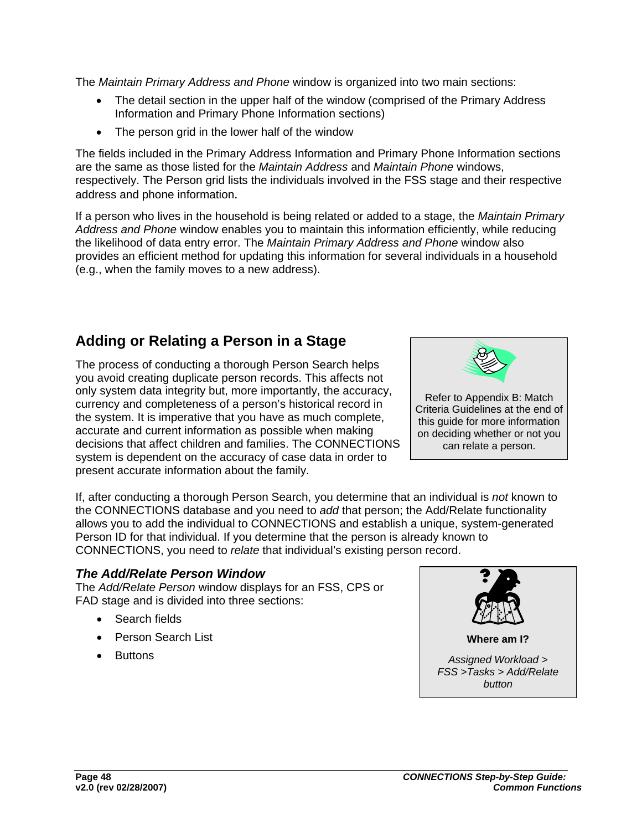The *Maintain Primary Address and Phone* window is organized into two main sections:

- The detail section in the upper half of the window (comprised of the Primary Address Information and Primary Phone Information sections)
- The person grid in the lower half of the window

The fields included in the Primary Address Information and Primary Phone Information sections are the same as those listed for the *Maintain Address* and *Maintain Phone* windows, respectively. The Person grid lists the individuals involved in the FSS stage and their respective address and phone information.

If a person who lives in the household is being related or added to a stage, the *Maintain Primary Address and Phone* window enables you to maintain this information efficiently, while reducing the likelihood of data entry error. The *Maintain Primary Address and Phone* window also provides an efficient method for updating this information for several individuals in a household (e.g., when the family moves to a new address).

## **Adding or Relating a Person in a Stage**

The process of conducting a thorough Person Search helps you avoid creating duplicate person records. This affects not only system data integrity but, more importantly, the accuracy, currency and completeness of a person's historical record in the system. It is imperative that you have as much complete, accurate and current information as possible when making decisions that affect children and families. The CONNECTIONS system is dependent on the accuracy of case data in order to present accurate information about the family.



If, after conducting a thorough Person Search, you determine that an individual is *not* known to the CONNECTIONS database and you need to *add* that person; the Add/Relate functionality allows you to add the individual to CONNECTIONS and establish a unique, system-generated Person ID for that individual. If you determine that the person is already known to CONNECTIONS, you need to *relate* that individual's existing person record.

### *The Add/Relate Person Window*

The *Add/Relate Person* window displays for an FSS, CPS or FAD stage and is divided into three sections:

- Search fields
- Person Search List
- Buttons

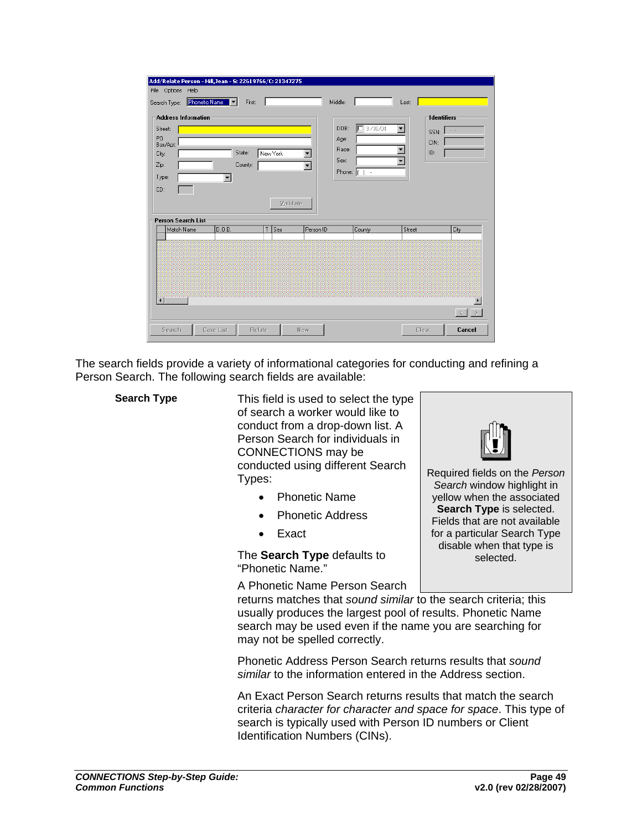| Add/Relate Person - Hill, Jean - 5: 22619766/C: 21347275                                                                                                                                                                      |                                                                                                                                                |                                                            |
|-------------------------------------------------------------------------------------------------------------------------------------------------------------------------------------------------------------------------------|------------------------------------------------------------------------------------------------------------------------------------------------|------------------------------------------------------------|
| File Options<br>Help                                                                                                                                                                                                          |                                                                                                                                                |                                                            |
| Phonetic Name<br>First:<br>Search Type:<br>┇╺╽                                                                                                                                                                                | Middle:<br>Last:                                                                                                                               |                                                            |
| <b>Address Information</b><br>Street:<br>P <sub>O</sub><br>Box/Apt:<br>State:<br>New York<br>$\blacktriangledown$<br>City:<br>County:<br>Zip:<br>$\overline{\phantom{a}}$<br>Type:<br>$\blacktriangledown$<br>CD:<br>Validate | 13/30/04<br>$\blacktriangledown$<br>DOB:<br>Age:<br>$\overline{\phantom{a}}$<br>Race:<br>Sex:<br>$\overline{\phantom{a}}$<br>Phone: (<br>$1 -$ | <b>Identifiers</b><br>$\sim$ $\sim$<br>SSN:<br>CIN:<br>ID: |
| Person Search List                                                                                                                                                                                                            |                                                                                                                                                |                                                            |
| D.0.B.<br>Sex<br>Person ID<br>Match Name<br>T                                                                                                                                                                                 | County                                                                                                                                         | City<br>Street                                             |
| $\overline{\phantom{a}}$                                                                                                                                                                                                      |                                                                                                                                                | $\sim$                                                     |
| <b>Case List</b><br>Search<br>Relate<br>New                                                                                                                                                                                   |                                                                                                                                                | Cancel<br>Clear                                            |

The search fields provide a variety of informational categories for conducting and refining a Person Search. The following search fields are available:

**Search Type** This field is used to select the type of search a worker would like to conduct from a drop-down list. A Person Search for individuals in CONNECTIONS may be conducted using different Search Types:

- Phonetic Name
- Phonetic Address
- Exact

The **Search Type** defaults to "Phonetic Name."

A Phonetic Name Person Search

returns matches that *sound similar* to the search criteria; this usually produces the largest pool of results. Phonetic Name search may be used even if the name you are searching for may not be spelled correctly.

Phonetic Address Person Search returns results that *sound similar* to the information entered in the Address section.

An Exact Person Search returns results that match the search criteria *character for character and space for space*. This type of search is typically used with Person ID numbers or Client Identification Numbers (CINs).



Required fields on the *Person Search* window highlight in yellow when the associated **Search Type** is selected. Fields that are not available for a particular Search Type disable when that type is selected.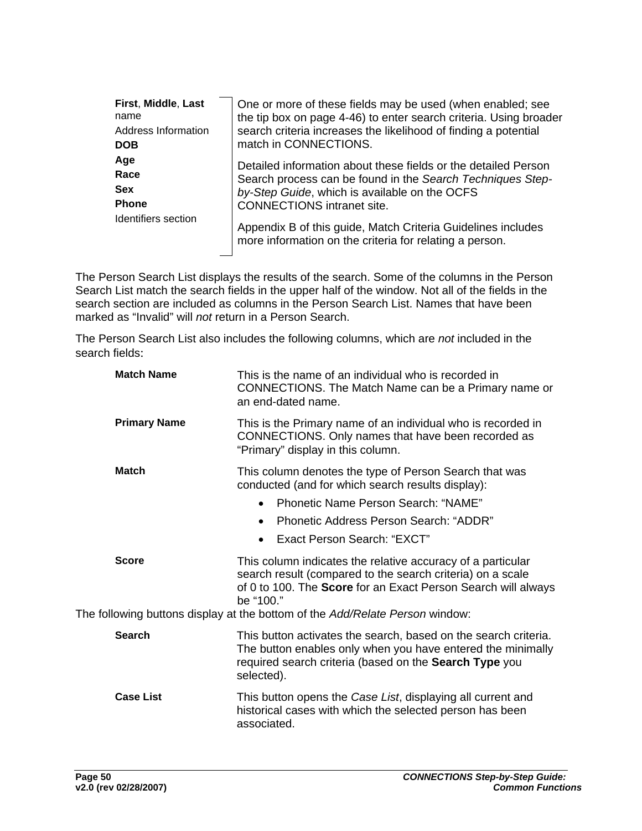| First, Middle, Last | One or more of these fields may be used (when enabled; see                                                              |
|---------------------|-------------------------------------------------------------------------------------------------------------------------|
| name                | the tip box on page 4-46) to enter search criteria. Using broader                                                       |
| Address Information | search criteria increases the likelihood of finding a potential                                                         |
| <b>DOB</b>          | match in CONNECTIONS.                                                                                                   |
| Age                 | Detailed information about these fields or the detailed Person                                                          |
| Race                | Search process can be found in the Search Techniques Step-                                                              |
| <b>Sex</b>          | by-Step Guide, which is available on the OCFS                                                                           |
| <b>Phone</b>        | <b>CONNECTIONS</b> intranet site.                                                                                       |
| Identifiers section | Appendix B of this guide, Match Criteria Guidelines includes<br>more information on the criteria for relating a person. |

The Person Search List displays the results of the search. Some of the columns in the Person Search List match the search fields in the upper half of the window. Not all of the fields in the search section are included as columns in the Person Search List. Names that have been marked as "Invalid" will *not* return in a Person Search.

The Person Search List also includes the following columns, which are *not* included in the search fields:

| <b>Match Name</b>   | This is the name of an individual who is recorded in<br>CONNECTIONS. The Match Name can be a Primary name or<br>an end-dated name.                                                                                                                                                             |
|---------------------|------------------------------------------------------------------------------------------------------------------------------------------------------------------------------------------------------------------------------------------------------------------------------------------------|
| <b>Primary Name</b> | This is the Primary name of an individual who is recorded in<br>CONNECTIONS. Only names that have been recorded as<br>"Primary" display in this column.                                                                                                                                        |
| <b>Match</b>        | This column denotes the type of Person Search that was<br>conducted (and for which search results display):<br>Phonetic Name Person Search: "NAME"<br>$\bullet$<br>Phonetic Address Person Search: "ADDR"<br>$\bullet$<br>Exact Person Search: "EXCT"<br>$\bullet$                             |
| <b>Score</b>        | This column indicates the relative accuracy of a particular<br>search result (compared to the search criteria) on a scale<br>of 0 to 100. The <b>Score</b> for an Exact Person Search will always<br>be "100."<br>The following buttons display at the bottom of the Add/Relate Person window: |
|                     |                                                                                                                                                                                                                                                                                                |
| <b>Search</b>       | This button activates the search, based on the search criteria.<br>The button enables only when you have entered the minimally<br>required search criteria (based on the Search Type you<br>selected).                                                                                         |
| <b>Case List</b>    | This button opens the Case List, displaying all current and<br>historical cases with which the selected person has been<br>associated.                                                                                                                                                         |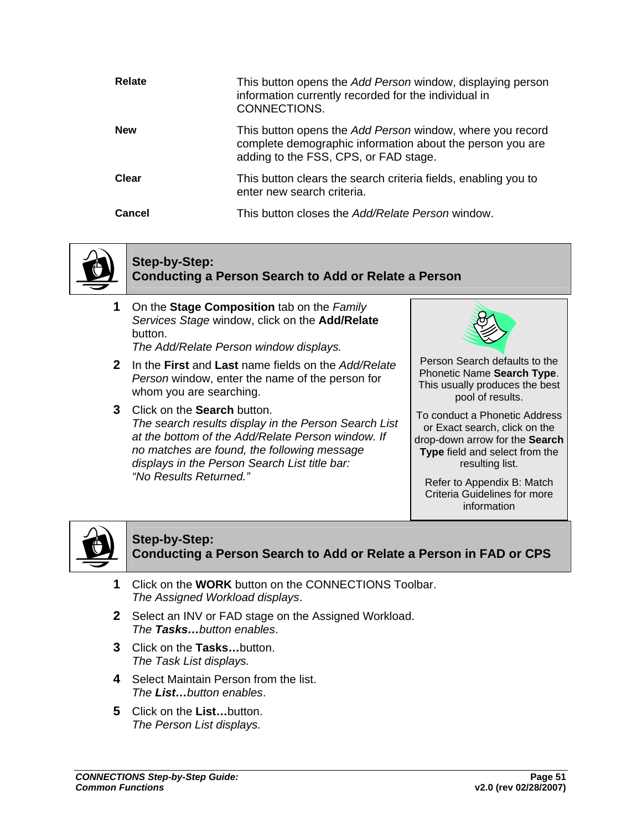| Relate     | This button opens the Add Person window, displaying person<br>information currently recorded for the individual in<br>CONNECTIONS.                              |
|------------|-----------------------------------------------------------------------------------------------------------------------------------------------------------------|
| <b>New</b> | This button opens the Add Person window, where you record<br>complete demographic information about the person you are<br>adding to the FSS, CPS, or FAD stage. |
| Clear      | This button clears the search criteria fields, enabling you to<br>enter new search criteria.                                                                    |
| Cancel     | This button closes the Add/Relate Person window.                                                                                                                |



## **Step-by-Step: Conducting a Person Search to Add or Relate a Person**

**1** On the **Stage Composition** tab on the *Family Services Stage* window, click on the **Add/Relate**  button.

*The Add/Relate Person window displays.*

- **2** In the **First** and **Last** name fields on the *Add/Relate Person* window, enter the name of the person for whom you are searching.
- **3** Click on the **Search** button. *The search results display in the Person Search List at the bottom of the Add/Relate Person window. If no matches are found, the following message displays in the Person Search List title bar: "No Results Returned."*



Person Search defaults to the Phonetic Name **Search Type**. This usually produces the best pool of results.

To conduct a Phonetic Address or Exact search, click on the drop-down arrow for the **Search Type** field and select from the resulting list.

Refer to Appendix B: Match Criteria Guidelines for more information



**Step-by-Step: Conducting a Person Search to Add or Relate a Person in FAD or CPS**

- **1** Click on the **WORK** button on the CONNECTIONS Toolbar. *The Assigned Workload displays*.
- **2** Select an INV or FAD stage on the Assigned Workload. *The Tasks…button enables*.
- **3** Click on the **Tasks…**button. *The Task List displays.*
- **4** Select Maintain Person from the list. *The List…button enables*.
- **5** Click on the **List…**button. *The Person List displays.*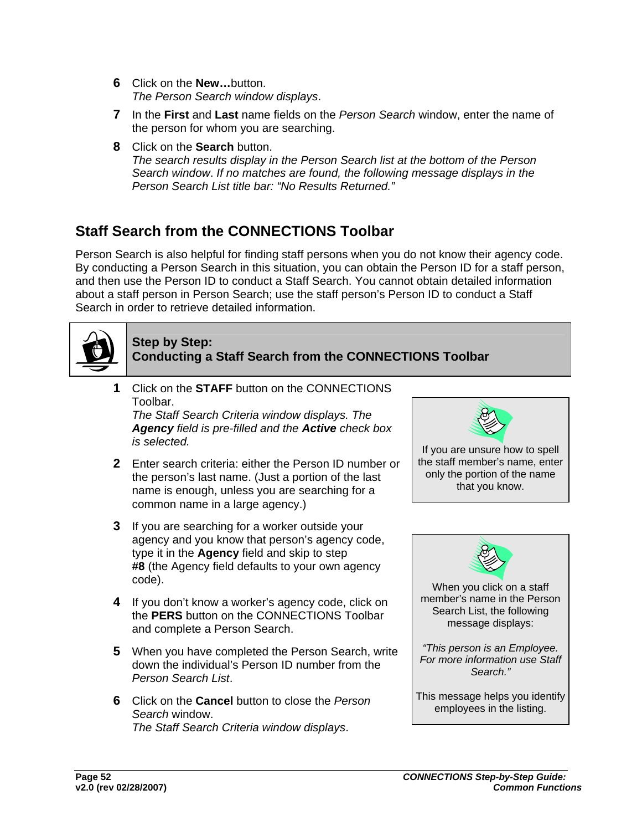- **6** Click on the **New…**button. *The Person Search window displays*.
- **7** In the **First** and **Last** name fields on the *Person Search* window, enter the name of the person for whom you are searching.
- **8** Click on the **Search** button. *The search results display in the Person Search list at the bottom of the Person Search window*. *If no matches are found, the following message displays in the Person Search List title bar: "No Results Returned."*

# **Staff Search from the CONNECTIONS Toolbar**

Person Search is also helpful for finding staff persons when you do not know their agency code. By conducting a Person Search in this situation, you can obtain the Person ID for a staff person, and then use the Person ID to conduct a Staff Search. You cannot obtain detailed information about a staff person in Person Search; use the staff person's Person ID to conduct a Staff Search in order to retrieve detailed information.



### **Step by Step: Conducting a Staff Search from the CONNECTIONS Toolbar**

**1** Click on the **STAFF** button on the CONNECTIONS Toolbar.

*The Staff Search Criteria window displays. The Agency field is pre-filled and the Active check box is selected.*

- **2** Enter search criteria: either the Person ID number or the person's last name. (Just a portion of the last name is enough, unless you are searching for a common name in a large agency.)
- **3** If you are searching for a worker outside your agency and you know that person's agency code, type it in the **Agency** field and skip to step **#8** (the Agency field defaults to your own agency code).
- **4** If you don't know a worker's agency code, click on the **PERS** button on the CONNECTIONS Toolbar and complete a Person Search.
- **5** When you have completed the Person Search, write down the individual's Person ID number from the *Person Search List*.
- **6** Click on the **Cancel** button to close the *Person Search* window. *The Staff Search Criteria window displays*.





*"This person is an Employee. For more information use Staff* 

*Search."* 

This message helps you identify employees in the listing.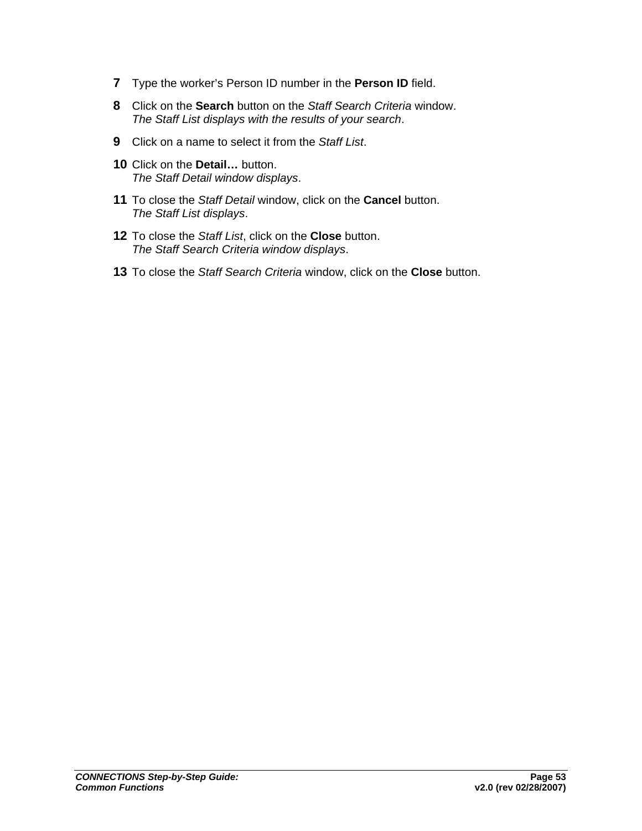- **7** Type the worker's Person ID number in the **Person ID** field.
- **8** Click on the **Search** button on the *Staff Search Criteria* window. *The Staff List displays with the results of your search*.
- **9** Click on a name to select it from the *Staff List*.
- **10** Click on the **Detail…** button. *The Staff Detail window displays*.
- **11** To close the *Staff Detail* window, click on the **Cancel** button. *The Staff List displays*.
- **12** To close the *Staff List*, click on the **Close** button. *The Staff Search Criteria window displays*.
- **13** To close the *Staff Search Criteria* window, click on the **Close** button.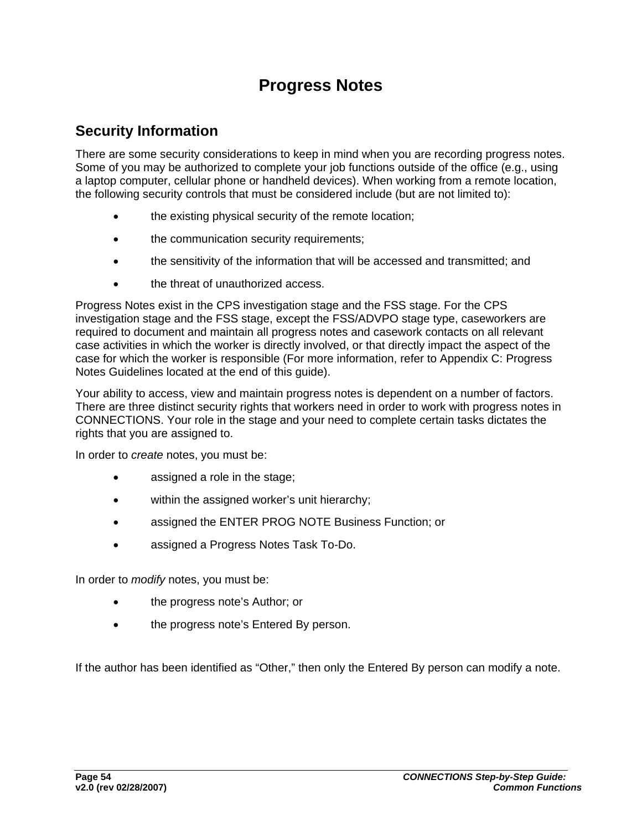# **Progress Notes**

## **Security Information**

There are some security considerations to keep in mind when you are recording progress notes. Some of you may be authorized to complete your job functions outside of the office (e.g., using a laptop computer, cellular phone or handheld devices). When working from a remote location, the following security controls that must be considered include (but are not limited to):

- the existing physical security of the remote location;
- the communication security requirements;
- the sensitivity of the information that will be accessed and transmitted; and
- the threat of unauthorized access.

Progress Notes exist in the CPS investigation stage and the FSS stage. For the CPS investigation stage and the FSS stage, except the FSS/ADVPO stage type, caseworkers are required to document and maintain all progress notes and casework contacts on all relevant case activities in which the worker is directly involved, or that directly impact the aspect of the case for which the worker is responsible (For more information, refer to Appendix C: Progress Notes Guidelines located at the end of this guide).

Your ability to access, view and maintain progress notes is dependent on a number of factors. There are three distinct security rights that workers need in order to work with progress notes in CONNECTIONS. Your role in the stage and your need to complete certain tasks dictates the rights that you are assigned to.

In order to *create* notes, you must be:

- assigned a role in the stage;
- within the assigned worker's unit hierarchy;
- assigned the ENTER PROG NOTE Business Function; or
- assigned a Progress Notes Task To-Do.

In order to *modify* notes, you must be:

- the progress note's Author; or
- the progress note's Entered By person.

If the author has been identified as "Other," then only the Entered By person can modify a note.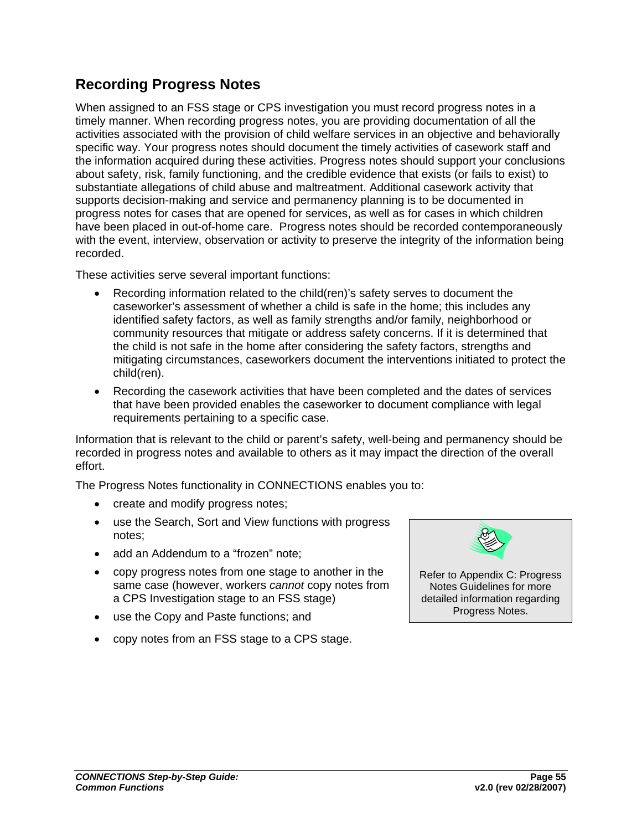## **Recording Progress Notes**

When assigned to an FSS stage or CPS investigation you must record progress notes in a timely manner. When recording progress notes, you are providing documentation of all the activities associated with the provision of child welfare services in an objective and behaviorally specific way. Your progress notes should document the timely activities of casework staff and the information acquired during these activities. Progress notes should support your conclusions about safety, risk, family functioning, and the credible evidence that exists (or fails to exist) to substantiate allegations of child abuse and maltreatment. Additional casework activity that supports decision-making and service and permanency planning is to be documented in progress notes for cases that are opened for services, as well as for cases in which children have been placed in out-of-home care. Progress notes should be recorded contemporaneously with the event, interview, observation or activity to preserve the integrity of the information being recorded.

These activities serve several important functions:

- Recording information related to the child(ren)'s safety serves to document the caseworker's assessment of whether a child is safe in the home; this includes any identified safety factors, as well as family strengths and/or family, neighborhood or community resources that mitigate or address safety concerns. If it is determined that the child is not safe in the home after considering the safety factors, strengths and mitigating circumstances, caseworkers document the interventions initiated to protect the child(ren).
- Recording the casework activities that have been completed and the dates of services that have been provided enables the caseworker to document compliance with legal requirements pertaining to a specific case.

Information that is relevant to the child or parent's safety, well-being and permanency should be recorded in progress notes and available to others as it may impact the direction of the overall effort.

The Progress Notes functionality in CONNECTIONS enables you to:

- create and modify progress notes;
- use the Search, Sort and View functions with progress notes;
- add an Addendum to a "frozen" note;
- copy progress notes from one stage to another in the same case (however, workers *cannot* copy notes from a CPS Investigation stage to an FSS stage)
- use the Copy and Paste functions; and
- copy notes from an FSS stage to a CPS stage.



Notes Guidelines for more detailed information regarding Progress Notes.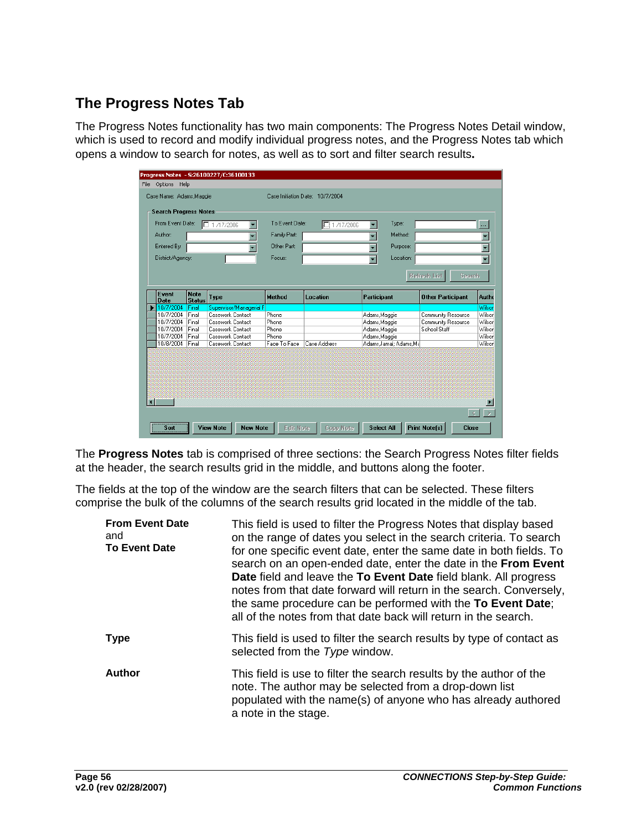# **The Progress Notes Tab**

The Progress Notes functionality has two main components: The Progress Notes Detail window, which is used to record and modify individual progress notes, and the Progress Notes tab which opens a window to search for notes, as well as to sort and filter search results**.** 

|                      |                          | Type:                        |                     |                |                                 |                      | <b>Search Progress Notes</b>    |
|----------------------|--------------------------|------------------------------|---------------------|----------------|---------------------------------|----------------------|---------------------------------|
|                      |                          |                              | 1 /17/2006          | To Event Date: | □ 1/17/2006                     |                      | From Event Date:                |
|                      |                          | Method:                      |                     | Family Part:   | Author:                         |                      |                                 |
|                      |                          |                              |                     |                |                                 |                      |                                 |
|                      |                          | Purpose:                     |                     | Other Part:    |                                 |                      | Entered By:                     |
| $\blacktriangledown$ |                          | Location:                    |                     | Focus:         |                                 |                      | District/Agency:                |
| Autho                |                          |                              |                     |                |                                 | <b>Status</b>        | <b>Date</b>                     |
| Wilson               |                          |                              |                     |                |                                 |                      |                                 |
| Wilson               | Community Resource       |                              |                     | Phone          | Casework Contact                | Final                |                                 |
| Wilson               | Community Resource       | Adams, Maggie                |                     | Phone          | Casework Contact                | Final                | 10/7/2004                       |
| Wilson               | School Staff             | Adams Maggie                 |                     | Phone          | Casework Contact                | Final                | 10/7/2004                       |
| Wilson               |                          | Adams, Maggie                |                     | Phone          | Casework Contact                | Final                | 10/7/2004                       |
| Wilson               |                          | Adams Jamal: Adams Ma        | <b>Case Address</b> | Face To Face   | Casework Contact                | Final                | 10/8/2004                       |
|                      | <b>Other Participant</b> | Participant<br>Adams, Maggie | Location            | <b>Method</b>  | Type<br>Supervisor/Managerial F | <b>Note</b><br>Final | Event<br>10/7/2004<br>10/7/2004 |

The **Progress Notes** tab is comprised of three sections: the Search Progress Notes filter fields at the header, the search results grid in the middle, and buttons along the footer.

The fields at the top of the window are the search filters that can be selected. These filters comprise the bulk of the columns of the search results grid located in the middle of the tab.

| <b>From Event Date</b><br>and<br><b>To Event Date</b> | This field is used to filter the Progress Notes that display based<br>on the range of dates you select in the search criteria. To search<br>for one specific event date, enter the same date in both fields. To<br>search on an open-ended date, enter the date in the From Event<br>Date field and leave the To Event Date field blank. All progress<br>notes from that date forward will return in the search. Conversely,<br>the same procedure can be performed with the To Event Date;<br>all of the notes from that date back will return in the search. |
|-------------------------------------------------------|----------------------------------------------------------------------------------------------------------------------------------------------------------------------------------------------------------------------------------------------------------------------------------------------------------------------------------------------------------------------------------------------------------------------------------------------------------------------------------------------------------------------------------------------------------------|
| <b>Type</b>                                           | This field is used to filter the search results by type of contact as<br>selected from the Type window.                                                                                                                                                                                                                                                                                                                                                                                                                                                        |
| <b>Author</b>                                         | This field is use to filter the search results by the author of the<br>note. The author may be selected from a drop-down list<br>populated with the name(s) of anyone who has already authored<br>a note in the stage.                                                                                                                                                                                                                                                                                                                                         |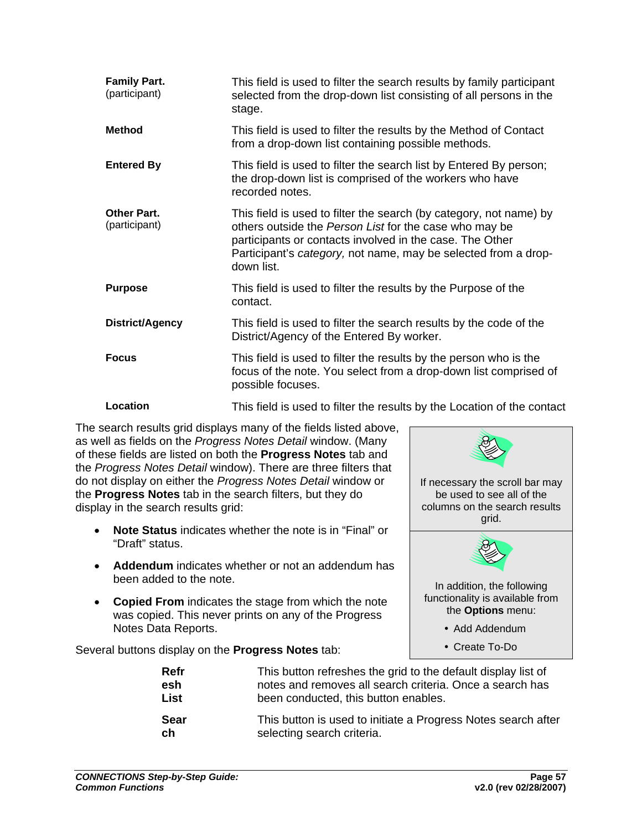| <b>Family Part.</b><br>(participant) | This field is used to filter the search results by family participant<br>selected from the drop-down list consisting of all persons in the                                                                                                                               |
|--------------------------------------|--------------------------------------------------------------------------------------------------------------------------------------------------------------------------------------------------------------------------------------------------------------------------|
|                                      | stage.                                                                                                                                                                                                                                                                   |
| <b>Method</b>                        | This field is used to filter the results by the Method of Contact<br>from a drop-down list containing possible methods.                                                                                                                                                  |
| <b>Entered By</b>                    | This field is used to filter the search list by Entered By person;<br>the drop-down list is comprised of the workers who have<br>recorded notes.                                                                                                                         |
| <b>Other Part.</b><br>(participant)  | This field is used to filter the search (by category, not name) by<br>others outside the Person List for the case who may be<br>participants or contacts involved in the case. The Other<br>Participant's category, not name, may be selected from a drop-<br>down list. |
| <b>Purpose</b>                       | This field is used to filter the results by the Purpose of the<br>contact.                                                                                                                                                                                               |
| District/Agency                      | This field is used to filter the search results by the code of the<br>District/Agency of the Entered By worker.                                                                                                                                                          |
| <b>Focus</b>                         | This field is used to filter the results by the person who is the<br>focus of the note. You select from a drop-down list comprised of<br>possible focuses.                                                                                                               |
| Location                             | This field is used to filter the results by the Location of the contact                                                                                                                                                                                                  |

The search results grid displays many of the fields listed above, as well as fields on the *Progress Notes Detail* window. (Many of these fields are listed on both the **Progress Notes** tab and the *Progress Notes Detail* window). There are three filters that do not display on either the *Progress Notes Detail* window or the **Progress Notes** tab in the search filters, but they do display in the search results grid:

- **Note Status** indicates whether the note is in "Final" or "Draft" status.
- **Addendum** indicates whether or not an addendum has been added to the note.
- **Copied From** indicates the stage from which the note was copied. This never prints on any of the Progress Notes Data Reports.

Several buttons display on the **Progress Notes** tab:



| Refr | This button refreshes the grid to the default display list of |
|------|---------------------------------------------------------------|
| esh  | notes and removes all search criteria. Once a search has      |
| List | been conducted, this button enables.                          |
| Sear | This button is used to initiate a Progress Notes search after |
| ch   | selecting search criteria.                                    |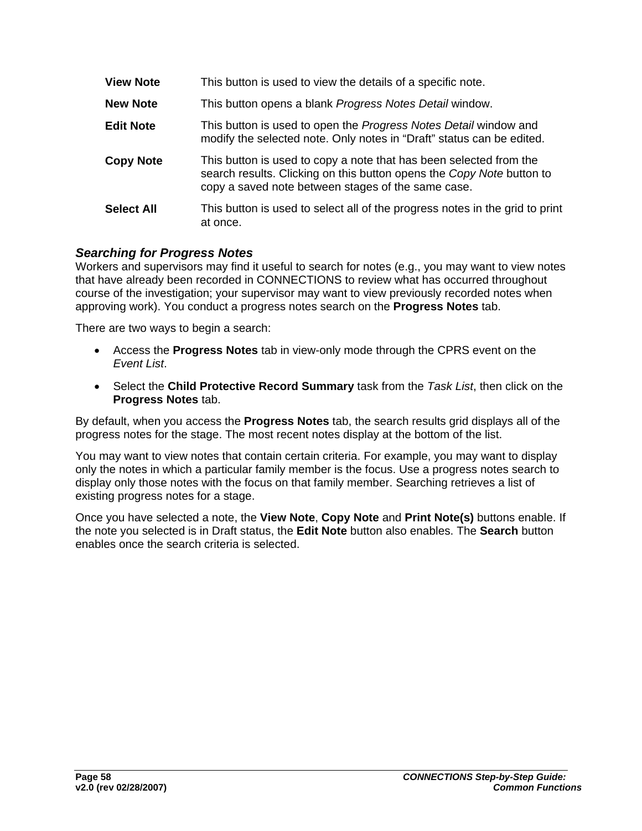| <b>View Note</b>  | This button is used to view the details of a specific note.                                                                                                                                       |
|-------------------|---------------------------------------------------------------------------------------------------------------------------------------------------------------------------------------------------|
| <b>New Note</b>   | This button opens a blank Progress Notes Detail window.                                                                                                                                           |
| <b>Edit Note</b>  | This button is used to open the Progress Notes Detail window and<br>modify the selected note. Only notes in "Draft" status can be edited.                                                         |
| <b>Copy Note</b>  | This button is used to copy a note that has been selected from the<br>search results. Clicking on this button opens the Copy Note button to<br>copy a saved note between stages of the same case. |
| <b>Select All</b> | This button is used to select all of the progress notes in the grid to print<br>at once.                                                                                                          |

### *Searching for Progress Notes*

Workers and supervisors may find it useful to search for notes (e.g., you may want to view notes that have already been recorded in CONNECTIONS to review what has occurred throughout course of the investigation; your supervisor may want to view previously recorded notes when approving work). You conduct a progress notes search on the **Progress Notes** tab.

There are two ways to begin a search:

- Access the **Progress Notes** tab in view-only mode through the CPRS event on the *Event List*.
- Select the **Child Protective Record Summary** task from the *Task List*, then click on the **Progress Notes** tab.

By default, when you access the **Progress Notes** tab, the search results grid displays all of the progress notes for the stage. The most recent notes display at the bottom of the list.

You may want to view notes that contain certain criteria. For example, you may want to display only the notes in which a particular family member is the focus. Use a progress notes search to display only those notes with the focus on that family member. Searching retrieves a list of existing progress notes for a stage.

Once you have selected a note, the **View Note**, **Copy Note** and **Print Note(s)** buttons enable. If the note you selected is in Draft status, the **Edit Note** button also enables. The **Search** button enables once the search criteria is selected.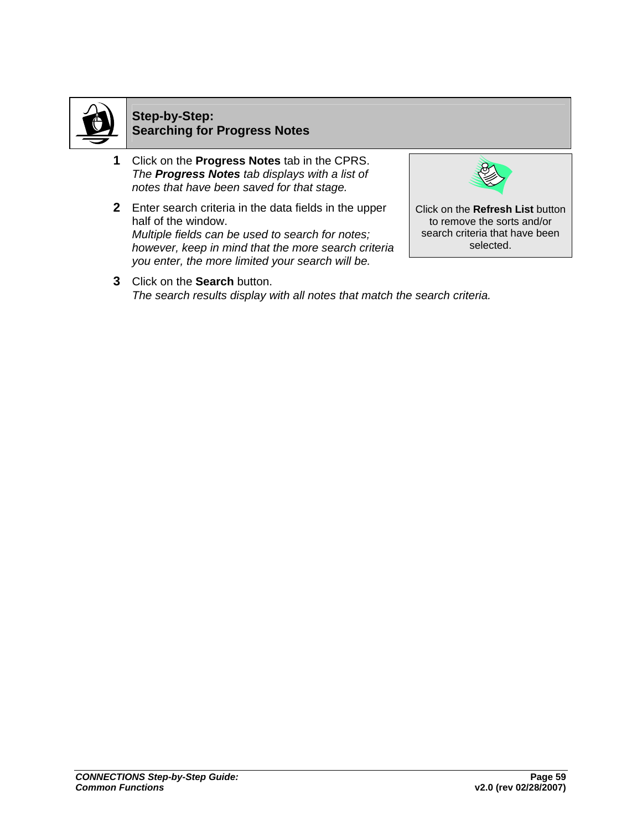

## **Step-by-Step: Searching for Progress Notes**

- **1** Click on the **Progress Notes** tab in the CPRS. *The Progress Notes tab displays with a list of notes that have been saved for that stage.*
- **2** Enter search criteria in the data fields in the upper half of the window. *Multiple fields can be used to search for notes; however, keep in mind that the more search criteria you enter, the more limited your search will be.*



Click on the **Refresh List** button to remove the sorts and/or search criteria that have been selected.

**3** Click on the **Search** button. *The search results display with all notes that match the search criteria.*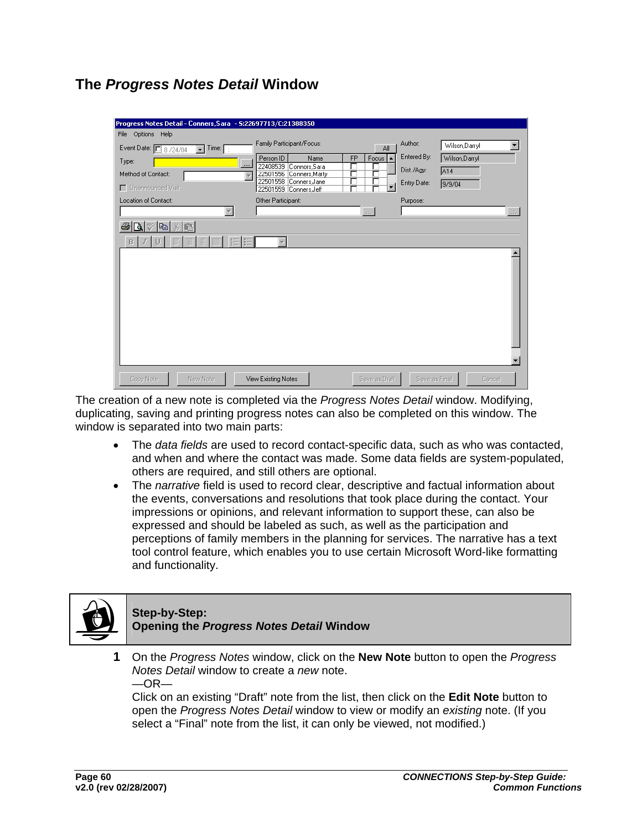## **The** *Progress Notes Detail* **Window**

| Progress Notes Detail - Conners, Sara - 5:22697713/C:21388350  |                                                   |               |               |                |
|----------------------------------------------------------------|---------------------------------------------------|---------------|---------------|----------------|
| File Options Help                                              |                                                   |               |               |                |
| Event Date: 8/24/04<br>Time: $\boxed{\cdot}$<br>$\overline{ }$ | Family Participant/Focus:                         | All           | Author:       | Wilson, Darryl |
| Type:<br>$\cdots$                                              | Person ID<br>FP<br>Name<br>22408539 Connors, Sara | Focus $\sim$  | Entered By:   | Wilson, Darryl |
| Method of Contact:                                             | 22501556 Conners, Marty<br>г                      |               | Dist./Agy:    | A14            |
| □ Unannounced Visit                                            | 22501558 Conners, Jane<br>22501559 Conners Jeff   |               | Entry Date:   | 9/9/04         |
| Location of Contact:                                           | Other Participant:                                |               | Purpose:      |                |
|                                                                |                                                   | $\sim$        |               |                |
| Q 2 6 % 6<br>6                                                 |                                                   |               |               |                |
| 肛<br>三<br>B<br>津                                               |                                                   |               |               |                |
|                                                                |                                                   |               |               |                |
|                                                                |                                                   |               |               |                |
|                                                                |                                                   |               |               |                |
|                                                                |                                                   |               |               |                |
|                                                                |                                                   |               |               |                |
|                                                                |                                                   |               |               |                |
|                                                                |                                                   |               |               |                |
|                                                                |                                                   |               |               |                |
|                                                                |                                                   |               |               |                |
|                                                                |                                                   |               |               |                |
|                                                                |                                                   |               |               |                |
| Copy Note<br>New Note                                          | View Existing Notes                               | Save as Draft | Save as Final | Cancel         |

The creation of a new note is completed via the *Progress Notes Detail* window. Modifying, duplicating, saving and printing progress notes can also be completed on this window. The window is separated into two main parts:

- The *data fields* are used to record contact-specific data, such as who was contacted, and when and where the contact was made. Some data fields are system-populated, others are required, and still others are optional.
- The *narrative* field is used to record clear, descriptive and factual information about the events, conversations and resolutions that took place during the contact. Your impressions or opinions, and relevant information to support these, can also be expressed and should be labeled as such, as well as the participation and perceptions of family members in the planning for services. The narrative has a text tool control feature, which enables you to use certain Microsoft Word-like formatting and functionality.



### **Step-by-Step: Opening the** *Progress Notes Detail* **Window**

**1** On the *Progress Notes* window, click on the **New Note** button to open the *Progress Notes Detail* window to create a *new* note.  $-OR-$ 

Click on an existing "Draft" note from the list, then click on the **Edit Note** button to open the *Progress Notes Detail* window to view or modify an *existing* note. (If you select a "Final" note from the list, it can only be viewed, not modified.)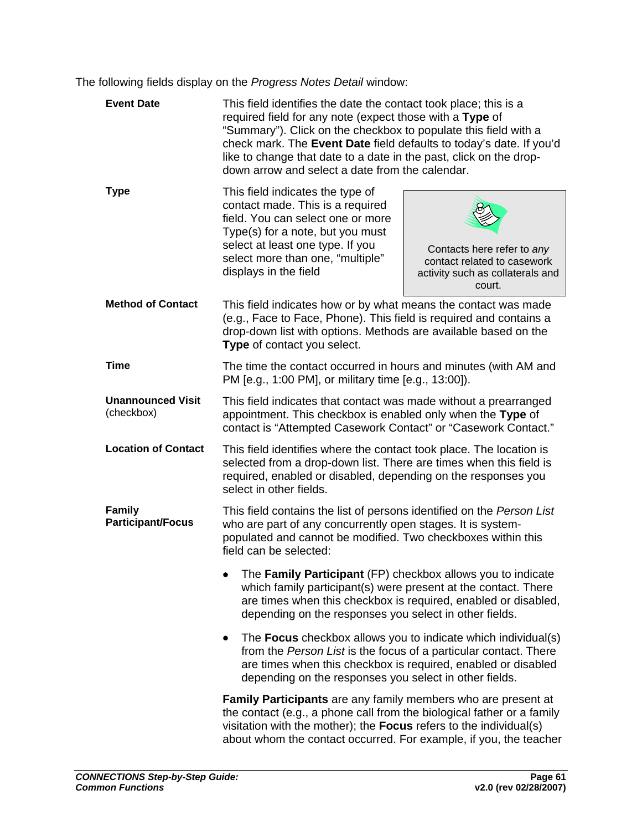The following fields display on the *Progress Notes Detail* window:

<span id="page-63-0"></span>

| <b>Event Date</b>                         | This field identifies the date the contact took place; this is a<br>required field for any note (expect those with a Type of<br>"Summary"). Click on the checkbox to populate this field with a<br>check mark. The Event Date field defaults to today's date. If you'd<br>like to change that date to a date in the past, click on the drop-<br>down arrow and select a date from the calendar. |                                                                                                         |  |
|-------------------------------------------|-------------------------------------------------------------------------------------------------------------------------------------------------------------------------------------------------------------------------------------------------------------------------------------------------------------------------------------------------------------------------------------------------|---------------------------------------------------------------------------------------------------------|--|
| <b>Type</b>                               | This field indicates the type of<br>contact made. This is a required<br>field. You can select one or more<br>Type(s) for a note, but you must<br>select at least one type. If you<br>select more than one, "multiple"<br>displays in the field                                                                                                                                                  | Contacts here refer to any<br>contact related to casework<br>activity such as collaterals and<br>court. |  |
| <b>Method of Contact</b>                  | This field indicates how or by what means the contact was made<br>(e.g., Face to Face, Phone). This field is required and contains a<br>drop-down list with options. Methods are available based on the<br>Type of contact you select.                                                                                                                                                          |                                                                                                         |  |
| <b>Time</b>                               | The time the contact occurred in hours and minutes (with AM and<br>PM [e.g., 1:00 PM], or military time [e.g., 13:00]).                                                                                                                                                                                                                                                                         |                                                                                                         |  |
| <b>Unannounced Visit</b><br>(checkbox)    | This field indicates that contact was made without a prearranged<br>appointment. This checkbox is enabled only when the Type of<br>contact is "Attempted Casework Contact" or "Casework Contact."                                                                                                                                                                                               |                                                                                                         |  |
| <b>Location of Contact</b>                | This field identifies where the contact took place. The location is<br>selected from a drop-down list. There are times when this field is<br>required, enabled or disabled, depending on the responses you<br>select in other fields.                                                                                                                                                           |                                                                                                         |  |
| <b>Family</b><br><b>Participant/Focus</b> | This field contains the list of persons identified on the Person List<br>who are part of any concurrently open stages. It is system-<br>populated and cannot be modified. Two checkboxes within this<br>field can be selected:                                                                                                                                                                  |                                                                                                         |  |
|                                           | The Family Participant (FP) checkbox allows you to indicate<br>which family participant(s) were present at the contact. There<br>are times when this checkbox is required, enabled or disabled,<br>depending on the responses you select in other fields.                                                                                                                                       |                                                                                                         |  |
|                                           | The Focus checkbox allows you to indicate which individual(s)<br>from the Person List is the focus of a particular contact. There<br>are times when this checkbox is required, enabled or disabled<br>depending on the responses you select in other fields.                                                                                                                                    |                                                                                                         |  |
|                                           | Family Participants are any family members who are present at<br>the contact (e.g., a phone call from the biological father or a family<br>visitation with the mother); the Focus refers to the individual(s)<br>about whom the contact occurred. For example, if you, the teacher                                                                                                              |                                                                                                         |  |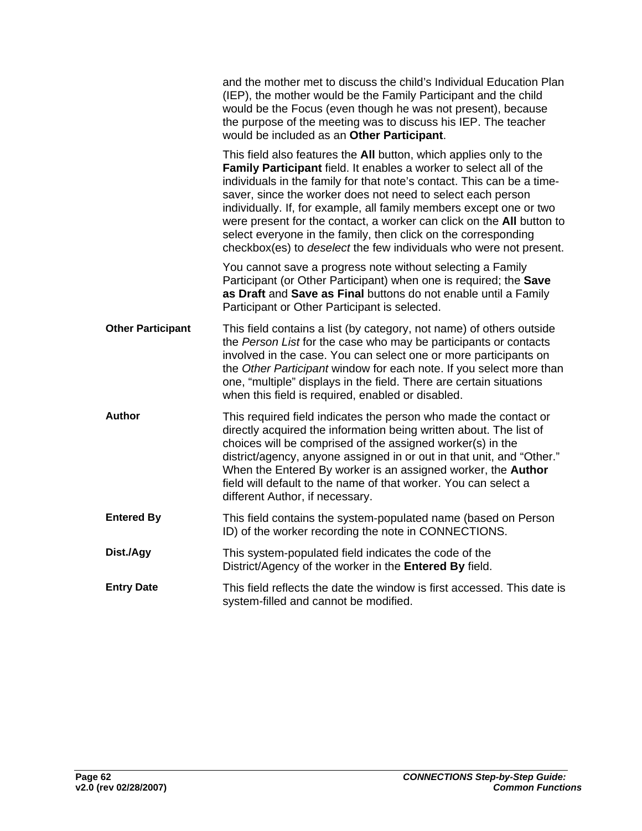|                          | and the mother met to discuss the child's Individual Education Plan<br>(IEP), the mother would be the Family Participant and the child<br>would be the Focus (even though he was not present), because<br>the purpose of the meeting was to discuss his IEP. The teacher<br>would be included as an Other Participant.                                                                                                                                                                                                                                                           |
|--------------------------|----------------------------------------------------------------------------------------------------------------------------------------------------------------------------------------------------------------------------------------------------------------------------------------------------------------------------------------------------------------------------------------------------------------------------------------------------------------------------------------------------------------------------------------------------------------------------------|
|                          | This field also features the All button, which applies only to the<br>Family Participant field. It enables a worker to select all of the<br>individuals in the family for that note's contact. This can be a time-<br>saver, since the worker does not need to select each person<br>individually. If, for example, all family members except one or two<br>were present for the contact, a worker can click on the All button to<br>select everyone in the family, then click on the corresponding<br>checkbox(es) to <i>deselect</i> the few individuals who were not present. |
|                          | You cannot save a progress note without selecting a Family<br>Participant (or Other Participant) when one is required; the Save<br>as Draft and Save as Final buttons do not enable until a Family<br>Participant or Other Participant is selected.                                                                                                                                                                                                                                                                                                                              |
| <b>Other Participant</b> | This field contains a list (by category, not name) of others outside<br>the Person List for the case who may be participants or contacts<br>involved in the case. You can select one or more participants on<br>the Other Participant window for each note. If you select more than<br>one, "multiple" displays in the field. There are certain situations<br>when this field is required, enabled or disabled.                                                                                                                                                                  |
| <b>Author</b>            | This required field indicates the person who made the contact or<br>directly acquired the information being written about. The list of<br>choices will be comprised of the assigned worker(s) in the<br>district/agency, anyone assigned in or out in that unit, and "Other."<br>When the Entered By worker is an assigned worker, the Author<br>field will default to the name of that worker. You can select a<br>different Author, if necessary.                                                                                                                              |
| <b>Entered By</b>        | This field contains the system-populated name (based on Person<br>ID) of the worker recording the note in CONNECTIONS.                                                                                                                                                                                                                                                                                                                                                                                                                                                           |
| Dist./Agy                | This system-populated field indicates the code of the<br>District/Agency of the worker in the Entered By field.                                                                                                                                                                                                                                                                                                                                                                                                                                                                  |
| <b>Entry Date</b>        | This field reflects the date the window is first accessed. This date is<br>system-filled and cannot be modified.                                                                                                                                                                                                                                                                                                                                                                                                                                                                 |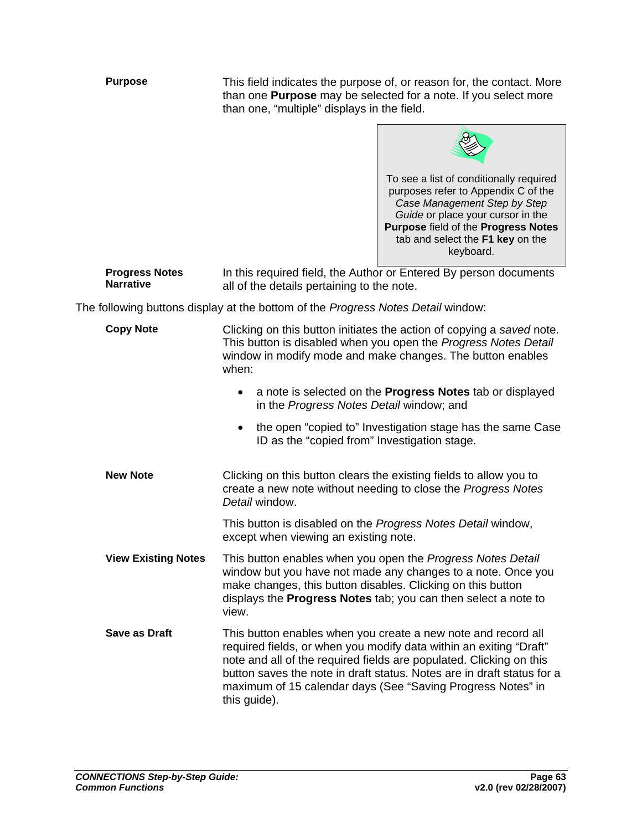**Purpose** This field indicates the purpose of, or reason for, the contact. More than one **Purpose** may be selected for a note. If you select more than one, "multiple" displays in the field.



**Progress Notes Narrative**  In this required field, the Author or Entered By person documents all of the details pertaining to the note.

The following buttons display at the bottom of the *Progress Notes Detail* window:

| <b>Copy Note</b>           | Clicking on this button initiates the action of copying a saved note.<br>This button is disabled when you open the Progress Notes Detail<br>window in modify mode and make changes. The button enables<br>when:                                                                                                                                                     |  |  |
|----------------------------|---------------------------------------------------------------------------------------------------------------------------------------------------------------------------------------------------------------------------------------------------------------------------------------------------------------------------------------------------------------------|--|--|
|                            | a note is selected on the Progress Notes tab or displayed<br>in the Progress Notes Detail window; and                                                                                                                                                                                                                                                               |  |  |
|                            | the open "copied to" Investigation stage has the same Case<br>$\bullet$<br>ID as the "copied from" Investigation stage.                                                                                                                                                                                                                                             |  |  |
| <b>New Note</b>            | Clicking on this button clears the existing fields to allow you to<br>create a new note without needing to close the Progress Notes<br>Detail window.                                                                                                                                                                                                               |  |  |
|                            | This button is disabled on the Progress Notes Detail window,<br>except when viewing an existing note.                                                                                                                                                                                                                                                               |  |  |
| <b>View Existing Notes</b> | This button enables when you open the Progress Notes Detail<br>window but you have not made any changes to a note. Once you<br>make changes, this button disables. Clicking on this button<br>displays the <b>Progress Notes</b> tab; you can then select a note to<br>view.                                                                                        |  |  |
| <b>Save as Draft</b>       | This button enables when you create a new note and record all<br>required fields, or when you modify data within an exiting "Draft"<br>note and all of the required fields are populated. Clicking on this<br>button saves the note in draft status. Notes are in draft status for a<br>maximum of 15 calendar days (See "Saving Progress Notes" in<br>this guide). |  |  |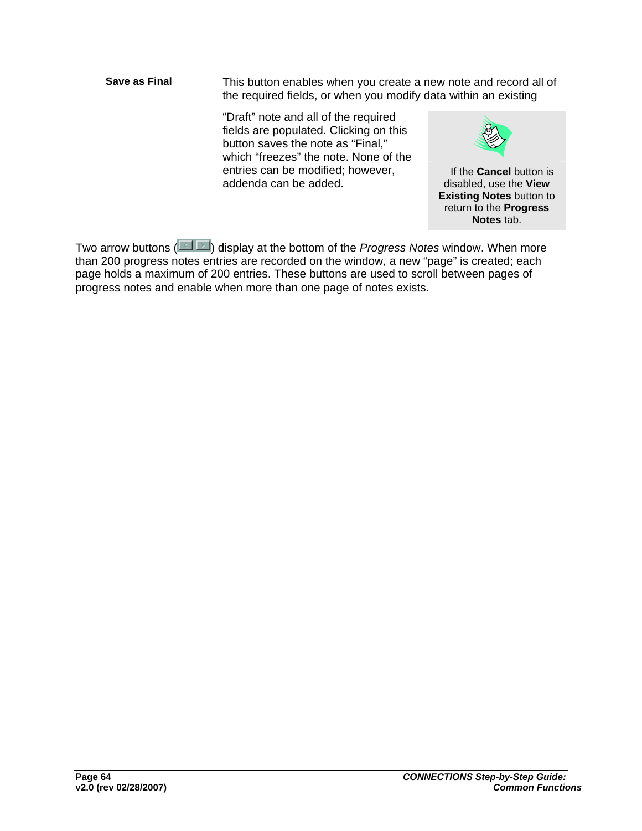**Save as Final** This button enables when you create a new note and record all of the required fields, or when you modify data within an existing

> "Draft" note and all of the required fields are populated. Clicking on this button saves the note as "Final," which "freezes" the note. None of the entries can be modified; however, addenda can be added.



Two arrow buttons ( $\Box$ ) display at the bottom of the *Progress Notes* window. When more than 200 progress notes entries are recorded on the window, a new "page" is created; each page holds a maximum of 200 entries. These buttons are used to scroll between pages of progress notes and enable when more than one page of notes exists.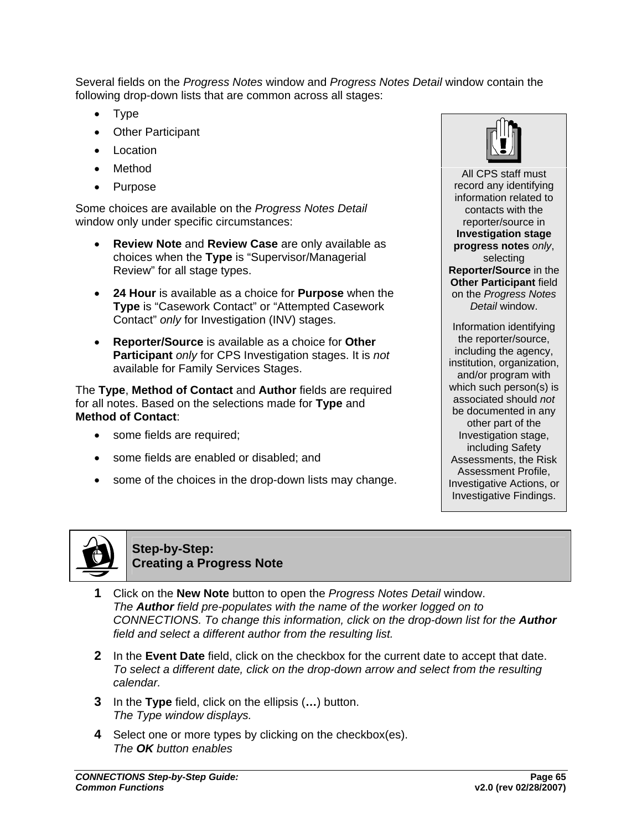Several fields on the *Progress Notes* window and *Progress Notes Detail* window contain the following drop-down lists that are common across all stages:

- Type
- **Other Participant**
- **Location**
- Method
- Purpose

Some choices are available on the *Progress Notes Detail*  window only under specific circumstances:

- **Review Note** and **Review Case** are only available as choices when the **Type** is "Supervisor/Managerial Review" for all stage types.
- **24 Hour** is available as a choice for **Purpose** when the **Type** is "Casework Contact" or "Attempted Casework Contact" *only* for Investigation (INV) stages.
- **Reporter/Source** is available as a choice for **Other Participant** *only* for CPS Investigation stages. It is *not*  available for Family Services Stages.

The **Type**, **Method of Contact** and **Author** fields are required for all notes. Based on the selections made for **Type** and **Method of Contact**:

- some fields are required;
- some fields are enabled or disabled; and
- some of the choices in the drop-down lists may change.



All CPS staff must record any identifying information related to contacts with the reporter/source in **Investigation stage progress notes** *only*, selecting **Reporter/Source** in the **Other Participant field** on the *Progress Notes Detail* window. Information identifying

the reporter/source, including the agency, institution, organization, and/or program with which such person(s) is associated should *not*  be documented in any other part of the Investigation stage, including Safety Assessments, the Risk Assessment Profile, Investigative Actions, or Investigative Findings.



**Step-by-Step: Creating a Progress Note**

- **1** Click on the **New Note** button to open the *Progress Notes Detail* window. *The Author field pre-populates with the name of the worker logged on to CONNECTIONS. To change this information, click on the drop-down list for the Author field and select a different author from the resulting list.*
- **2** In the **Event Date** field, click on the checkbox for the current date to accept that date. *To select a different date, click on the drop-down arrow and select from the resulting calendar.*
- **3** In the **Type** field, click on the ellipsis (**…**) button. *The Type window displays.*
- **4** Select one or more types by clicking on the checkbox(es). *The OK button enables*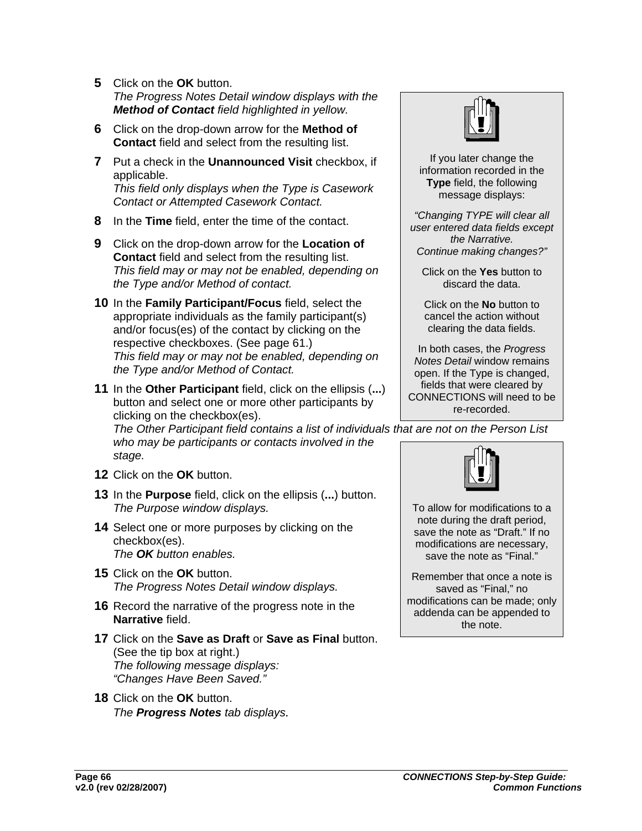- **5** Click on the **OK** button. *The Progress Notes Detail window displays with the Method of Contact field highlighted in yellow.*
- **6** Click on the drop-down arrow for the **Method of Contact** field and select from the resulting list.
- **7** Put a check in the **Unannounced Visit** checkbox, if applicable. *This field only displays when the Type is Casework Contact or Attempted Casework Contact.*
- **8** In the **Time** field, enter the time of the contact.
- **9** Click on the drop-down arrow for the **Location of Contact** field and select from the resulting list. *This field may or may not be enabled, depending on the Type and/or Method of contact.*
- **10** In the **Family Participant/Focus** field, select the appropriate individuals as the family participant(s) and/or focus(es) of the contact by clicking on the respective checkboxes. (See page [61](#page-63-0).) *This field may or may not be enabled, depending on the Type and/or Method of Contact.*
- **11** In the **Other Participant** field, click on the ellipsis (**...**) button and select one or more other participants by clicking on the checkbox(es).

*The Other Participant field contains a list of individuals that are not on the Person List who may be participants or contacts involved in the stage.* 

- **12** Click on the **OK** button.
- **13** In the **Purpose** field, click on the ellipsis (**...**) button. *The Purpose window displays.*
- **14** Select one or more purposes by clicking on the checkbox(es). *The OK button enables.*
- **15** Click on the **OK** button. *The Progress Notes Detail window displays.*
- **16** Record the narrative of the progress note in the **Narrative** field.
- **17** Click on the **Save as Draft** or **Save as Final** button. (See the tip box at right.) *The following message displays: "Changes Have Been Saved."*
- **18** Click on the **OK** button. *The Progress Notes tab displays.*



If you later change the information recorded in the **Type** field, the following message displays:

*"Changing TYPE will clear all user entered data fields except the Narrative. Continue making changes?"* 

Click on the **Yes** button to discard the data.

Click on the **No** button to cancel the action without clearing the data fields.

In both cases, the *Progress Notes Detail* window remains open. If the Type is changed, fields that were cleared by CONNECTIONS will need to be re-recorded.



To allow for modifications to a note during the draft period, save the note as "Draft." If no modifications are necessary, save the note as "Final."

Remember that once a note is saved as "Final," no modifications can be made; only addenda can be appended to the note.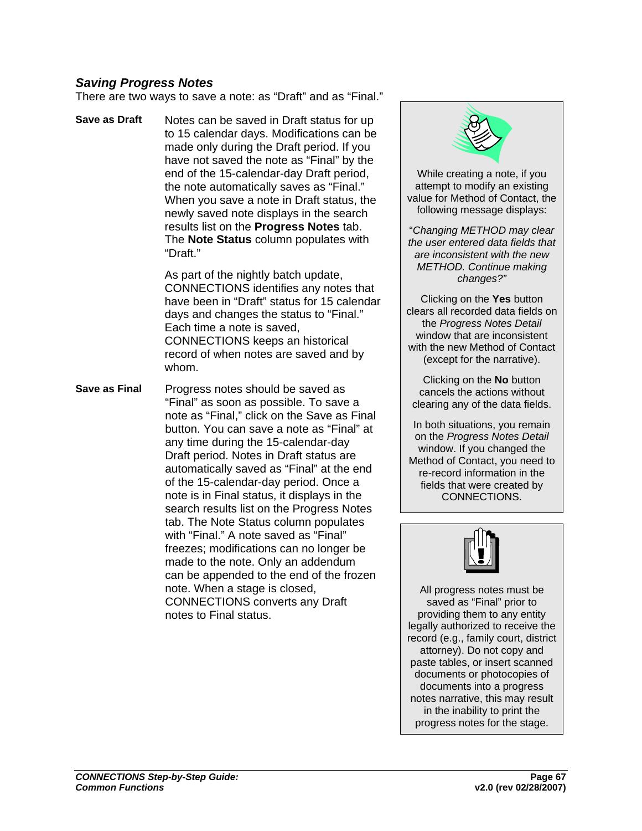### *Saving Progress Notes*

There are two ways to save a note: as "Draft" and as "Final."

**Save as Draft** Notes can be saved in Draft status for up to 15 calendar days. Modifications can be made only during the Draft period. If you have not saved the note as "Final" by the end of the 15-calendar-day Draft period, the note automatically saves as "Final." When you save a note in Draft status, the newly saved note displays in the search results list on the **Progress Notes** tab. The **Note Status** column populates with "Draft."

> As part of the nightly batch update, CONNECTIONS identifies any notes that have been in "Draft" status for 15 calendar days and changes the status to "Final." Each time a note is saved, CONNECTIONS keeps an historical record of when notes are saved and by whom.

**Save as Final** Progress notes should be saved as "Final" as soon as possible. To save a note as "Final," click on the Save as Final button. You can save a note as "Final" at any time during the 15-calendar-day Draft period. Notes in Draft status are automatically saved as "Final" at the end of the 15-calendar-day period. Once a note is in Final status, it displays in the search results list on the Progress Notes tab. The Note Status column populates with "Final." A note saved as "Final" freezes; modifications can no longer be made to the note. Only an addendum can be appended to the end of the frozen note. When a stage is closed, CONNECTIONS converts any Draft notes to Final status.



While creating a note, if you attempt to modify an existing value for Method of Contact, the following message displays:

"*Changing METHOD may clear the user entered data fields that are inconsistent with the new METHOD. Continue making changes?"*

Clicking on the **Yes** button clears all recorded data fields on the *Progress Notes Detail* window that are inconsistent with the new Method of Contact (except for the narrative).

Clicking on the **No** button cancels the actions without clearing any of the data fields.

In both situations, you remain on the *Progress Notes Detail* window. If you changed the Method of Contact, you need to re-record information in the fields that were created by CONNECTIONS.



All progress notes must be saved as "Final" prior to providing them to any entity legally authorized to receive the record (e.g., family court, district attorney). Do not copy and paste tables, or insert scanned documents or photocopies of documents into a progress notes narrative, this may result in the inability to print the progress notes for the stage.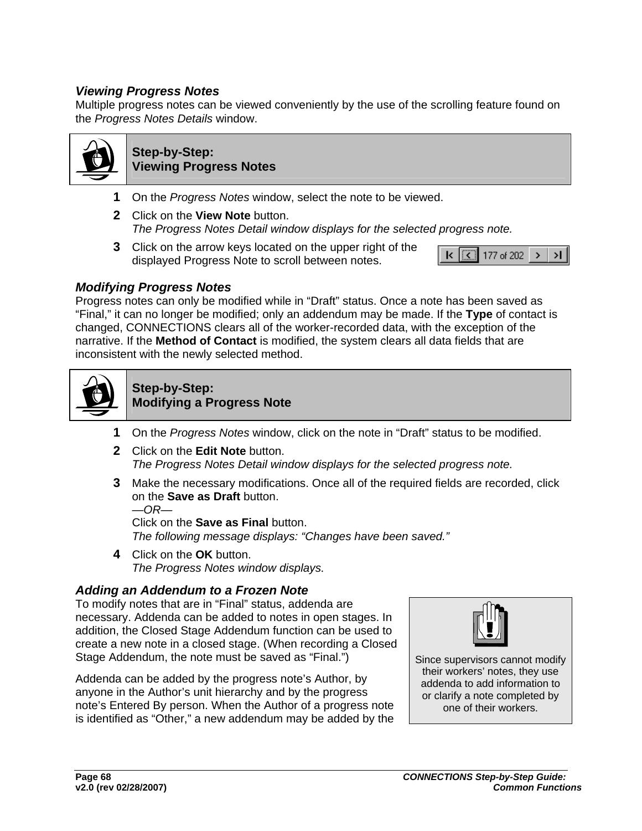### *Viewing Progress Notes*

Multiple progress notes can be viewed conveniently by the use of the scrolling feature found on the *Progress Notes Details* window.



#### **Step-by-Step: Viewing Progress Notes**

- **1** On the *Progress Notes* window, select the note to be viewed.
- **2** Click on the **View Note** button. *The Progress Notes Detail window displays for the selected progress note.*
- **3** Click on the arrow keys located on the upper right of the displayed Progress Note to scroll between notes.



### *Modifying Progress Notes*

Progress notes can only be modified while in "Draft" status. Once a note has been saved as "Final," it can no longer be modified; only an addendum may be made. If the **Type** of contact is changed, CONNECTIONS clears all of the worker-recorded data, with the exception of the narrative. If the **Method of Contact** is modified, the system clears all data fields that are inconsistent with the newly selected method.



#### **Step-by-Step: Modifying a Progress Note**

- **1** On the *Progress Notes* window, click on the note in "Draft" status to be modified.
- **2** Click on the **Edit Note** button. *The Progress Notes Detail window displays for the selected progress note.*
- **3** Make the necessary modifications. Once all of the required fields are recorded, click on the **Save as Draft** button. *—OR—*

Click on the **Save as Final** button. *The following message displays: "Changes have been saved."* 

**4** Click on the **OK** button. *The Progress Notes window displays.* 

### *Adding an Addendum to a Frozen Note*

To modify notes that are in "Final" status, addenda are necessary. Addenda can be added to notes in open stages. In addition, the Closed Stage Addendum function can be used to create a new note in a closed stage. (When recording a Closed Stage Addendum, the note must be saved as "Final.")  $\vert$  Since supervisors cannot modify

Addenda can be added by the progress note's Author, by anyone in the Author's unit hierarchy and by the progress note's Entered By person. When the Author of a progress note is identified as "Other," a new addendum may be added by the



their workers' notes, they use addenda to add information to or clarify a note completed by one of their workers.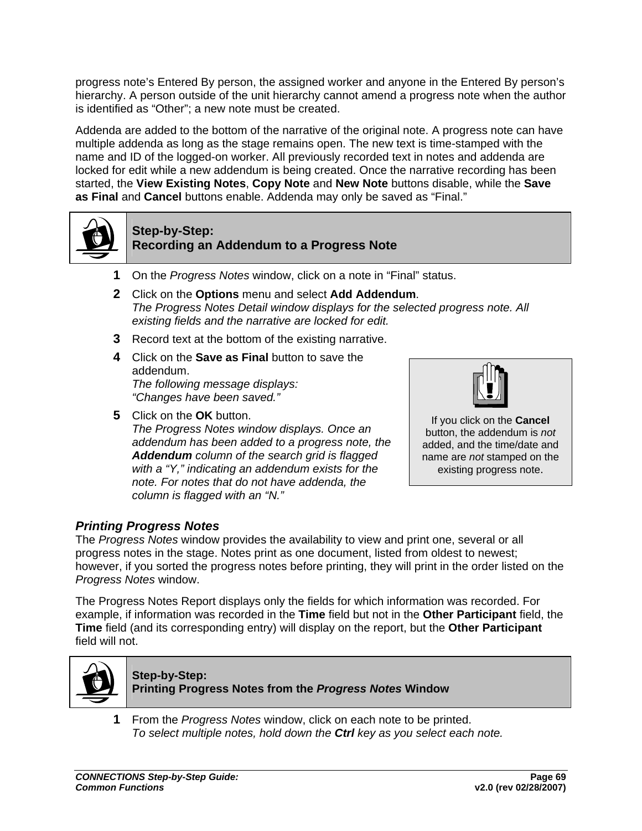progress note's Entered By person, the assigned worker and anyone in the Entered By person's hierarchy. A person outside of the unit hierarchy cannot amend a progress note when the author is identified as "Other"; a new note must be created.

Addenda are added to the bottom of the narrative of the original note. A progress note can have multiple addenda as long as the stage remains open. The new text is time-stamped with the name and ID of the logged-on worker. All previously recorded text in notes and addenda are locked for edit while a new addendum is being created. Once the narrative recording has been started, the **View Existing Notes**, **Copy Note** and **New Note** buttons disable, while the **Save as Final** and **Cancel** buttons enable. Addenda may only be saved as "Final."



#### **Step-by-Step: Recording an Addendum to a Progress Note**

- **1** On the *Progress Notes* window, click on a note in "Final" status.
- **2** Click on the **Options** menu and select **Add Addendum**. *The Progress Notes Detail window displays for the selected progress note. All existing fields and the narrative are locked for edit.*
- **3** Record text at the bottom of the existing narrative.
- **4** Click on the **Save as Final** button to save the addendum. *The following message displays: "Changes have been saved."*
- **5** Click on the **OK** button.

*The Progress Notes window displays. Once an addendum has been added to a progress note, the Addendum column of the search grid is flagged with a "Y," indicating an addendum exists for the note. For notes that do not have addenda, the column is flagged with an "N."*



If you click on the **Cancel** button, the addendum is *not* added, and the time/date and name are *not* stamped on the existing progress note.

### *Printing Progress Notes*

The *Progress Notes* window provides the availability to view and print one, several or all progress notes in the stage. Notes print as one document, listed from oldest to newest; however, if you sorted the progress notes before printing, they will print in the order listed on the *Progress Notes* window.

The Progress Notes Report displays only the fields for which information was recorded. For example, if information was recorded in the **Time** field but not in the **Other Participant** field, the **Time** field (and its corresponding entry) will display on the report, but the **Other Participant**  field will not.



**Step-by-Step: Printing Progress Notes from the** *Progress Notes* **Window** 

**1** From the *Progress Notes* window, click on each note to be printed. *To select multiple notes, hold down the Ctrl key as you select each note.*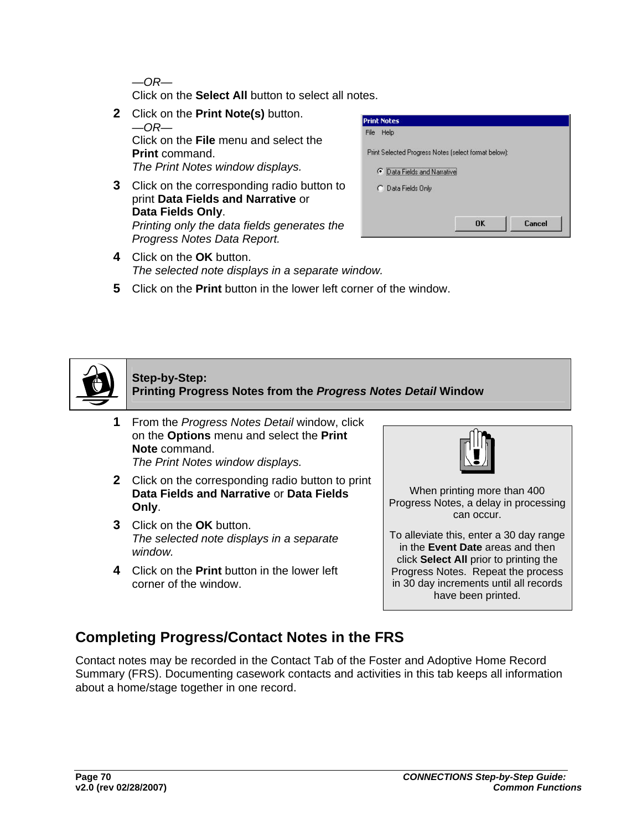*—OR—* 

Click on the **Select All** button to select all notes.

- **2** Click on the **Print Note(s)** button. *—OR—*  Click on the **File** menu and select the **Print** command. *The Print Notes window displays.*
- **3** Click on the corresponding radio button to print **Data Fields and Narrative** or **Data Fields Only**. *Printing only the data fields generates the Progress Notes Data Report.*



- **4** Click on the **OK** button. *The selected note displays in a separate window.*
- **5** Click on the **Print** button in the lower left corner of the window.



### **Step-by-Step: Printing Progress Notes from the** *Progress Notes Detail* **Window**

- **1** From the *Progress Notes Detail* window, click on the **Options** menu and select the **Print Note** command. *The Print Notes window displays.*
- **2** Click on the corresponding radio button to print **Data Fields and Narrative** or **Data Fields Only**.
- **3** Click on the **OK** button. *The selected note displays in a separate window.*
- **4** Click on the **Print** button in the lower left corner of the window.



When printing more than 400 Progress Notes, a delay in processing can occur.

To alleviate this, enter a 30 day range in the **Event Date** areas and then click **Select All** prior to printing the Progress Notes. Repeat the process in 30 day increments until all records have been printed.

# **Completing Progress/Contact Notes in the FRS**

Contact notes may be recorded in the Contact Tab of the Foster and Adoptive Home Record Summary (FRS). Documenting casework contacts and activities in this tab keeps all information about a home/stage together in one record.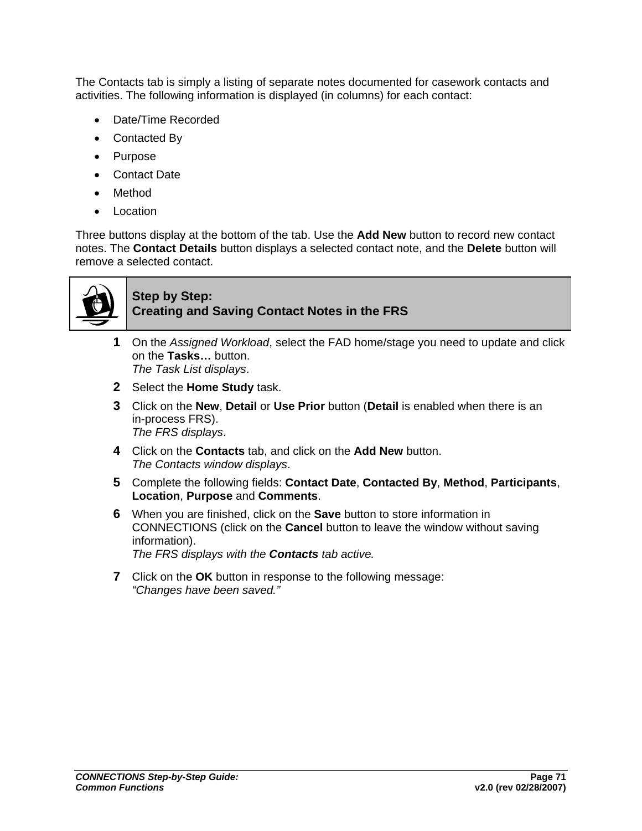The Contacts tab is simply a listing of separate notes documented for casework contacts and activities. The following information is displayed (in columns) for each contact:

- Date/Time Recorded
- Contacted By
- Purpose
- Contact Date
- Method
- Location

Three buttons display at the bottom of the tab. Use the **Add New** button to record new contact notes. The **Contact Details** button displays a selected contact note, and the **Delete** button will remove a selected contact.



### **Step by Step: Creating and Saving Contact Notes in the FRS**

- **1** On the *Assigned Workload*, select the FAD home/stage you need to update and click on the **Tasks…** button. *The Task List displays*.
- **2** Select the **Home Study** task.
- **3** Click on the **New**, **Detail** or **Use Prior** button (**Detail** is enabled when there is an in-process FRS). *The FRS displays*.
- **4** Click on the **Contacts** tab, and click on the **Add New** button. *The Contacts window displays*.
- **5** Complete the following fields: **Contact Date**, **Contacted By**, **Method**, **Participants**, **Location**, **Purpose** and **Comments**.
- **6** When you are finished, click on the **Save** button to store information in CONNECTIONS (click on the **Cancel** button to leave the window without saving information). *The FRS displays with the Contacts tab active.*
- **7** Click on the **OK** button in response to the following message: *"Changes have been saved."*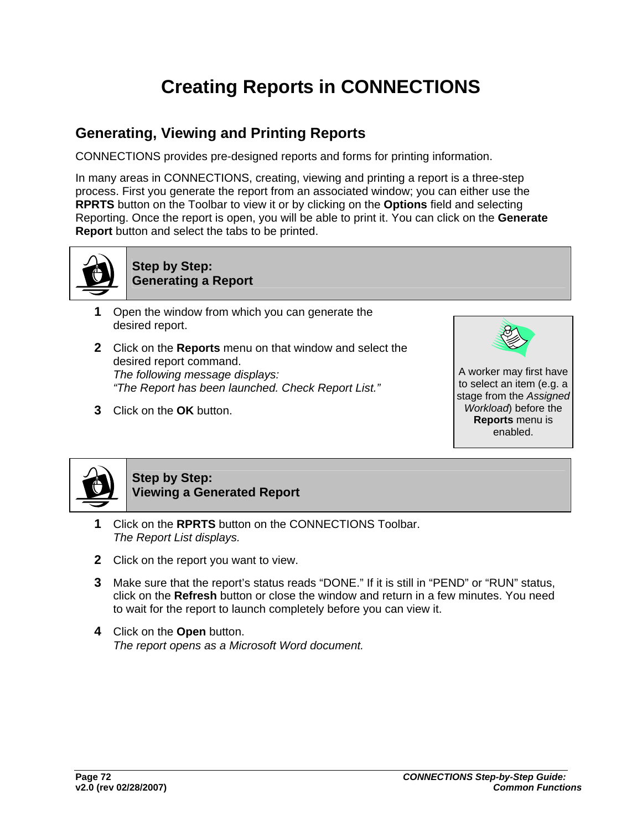# **Creating Reports in CONNECTIONS**

## **Generating, Viewing and Printing Reports**

CONNECTIONS provides pre-designed reports and forms for printing information.

In many areas in CONNECTIONS, creating, viewing and printing a report is a three-step process. First you generate the report from an associated window; you can either use the **RPRTS** button on the Toolbar to view it or by clicking on the **Options** field and selecting Reporting. Once the report is open, you will be able to print it. You can click on the **Generate Report** button and select the tabs to be printed.



**Step by Step: Generating a Report** 

- **1** Open the window from which you can generate the desired report.
- **2** Click on the **Reports** menu on that window and select the desired report command. *The following message displays: "The Report has been launched. Check Report List."*
- **3** Click on the **OK** button.



A worker may first have to select an item (e.g. a stage from the *Assigned Workload*) before the **Reports** menu is enabled.



### **Step by Step: Viewing a Generated Report**

- **1** Click on the **RPRTS** button on the CONNECTIONS Toolbar. *The Report List displays.*
- **2** Click on the report you want to view.
- **3** Make sure that the report's status reads "DONE." If it is still in "PEND" or "RUN" status, click on the **Refresh** button or close the window and return in a few minutes. You need to wait for the report to launch completely before you can view it.
- **4** Click on the **Open** button. *The report opens as a Microsoft Word document.*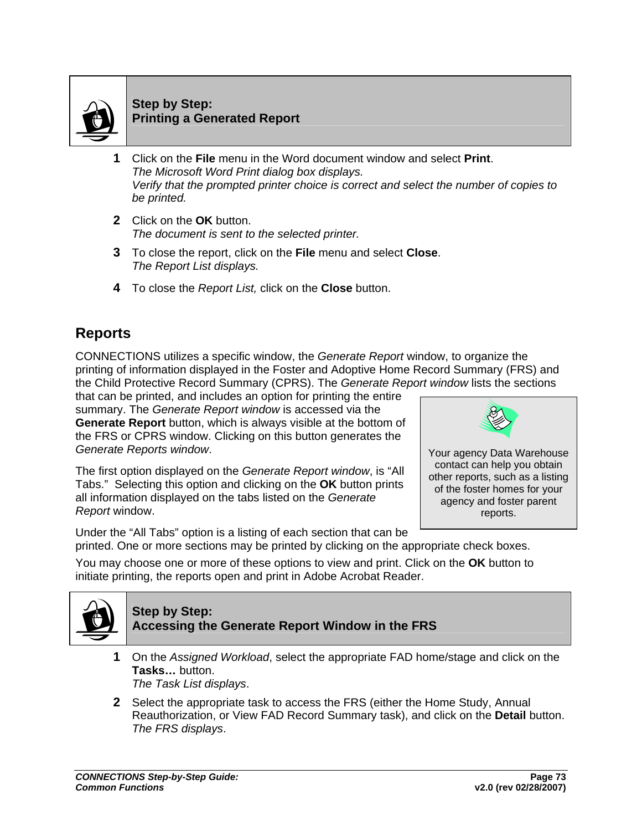

### **Step by Step: Printing a Generated Report**

- **1** Click on the **File** menu in the Word document window and select **Print**. *The Microsoft Word Print dialog box displays. Verify that the prompted printer choice is correct and select the number of copies to be printed.*
- **2** Click on the **OK** button. *The document is sent to the selected printer.*
- **3** To close the report, click on the **File** menu and select **Close**. *The Report List displays.*
- **4** To close the *Report List,* click on the **Close** button.

## **Reports**

CONNECTIONS utilizes a specific window, the *Generate Report* window, to organize the printing of information displayed in the Foster and Adoptive Home Record Summary (FRS) and the Child Protective Record Summary (CPRS). The *Generate Report window* lists the sections

that can be printed, and includes an option for printing the entire summary. The *Generate Report window* is accessed via the **Generate Report** button, which is always visible at the bottom of the FRS or CPRS window. Clicking on this button generates the *Generate Reports window*.

The first option displayed on the *Generate Report window*, is "All Tabs." Selecting this option and clicking on the **OK** button prints all information displayed on the tabs listed on the *Generate Report* window.



Under the "All Tabs" option is a listing of each section that can be printed. One or more sections may be printed by clicking on the appropriate check boxes.

You may choose one or more of these options to view and print. Click on the **OK** button to initiate printing, the reports open and print in Adobe Acrobat Reader.



### **Step by Step: Accessing the Generate Report Window in the FRS**

- **1** On the *Assigned Workload*, select the appropriate FAD home/stage and click on the **Tasks…** button. *The Task List displays*.
- **2** Select the appropriate task to access the FRS (either the Home Study, Annual Reauthorization, or View FAD Record Summary task), and click on the **Detail** button. *The FRS displays*.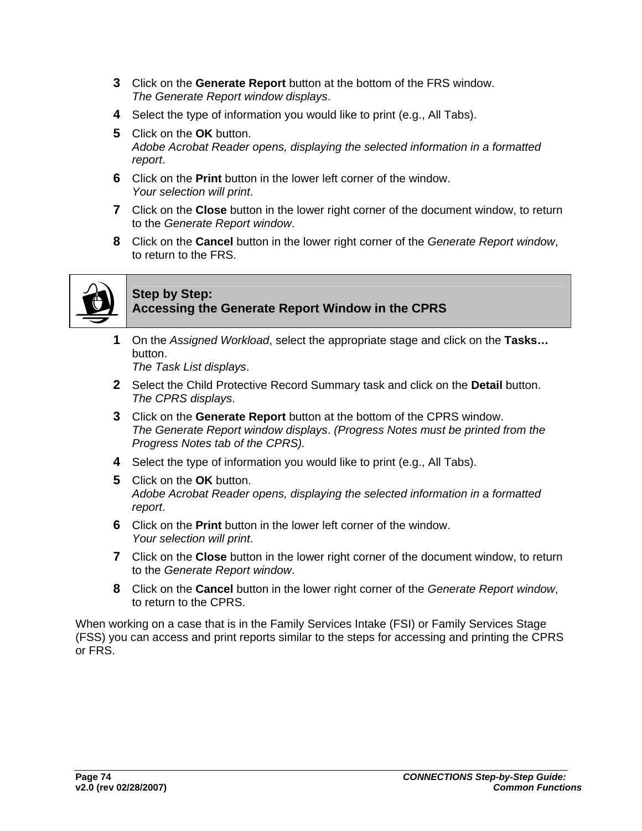- **3** Click on the **Generate Report** button at the bottom of the FRS window. *The Generate Report window displays*.
- **4** Select the type of information you would like to print (e.g., All Tabs).
- **5** Click on the **OK** button. *Adobe Acrobat Reader opens, displaying the selected information in a formatted report*.
- **6** Click on the **Print** button in the lower left corner of the window. *Your selection will print*.
- **7** Click on the **Close** button in the lower right corner of the document window, to return to the *Generate Report window*.
- **8** Click on the **Cancel** button in the lower right corner of the *Generate Report window*, to return to the FRS.



### **Step by Step: Accessing the Generate Report Window in the CPRS**

**1** On the *Assigned Workload*, select the appropriate stage and click on the **Tasks…** button.

*The Task List displays*.

- **2** Select the Child Protective Record Summary task and click on the **Detail** button. *The CPRS displays*.
- **3** Click on the **Generate Report** button at the bottom of the CPRS window. *The Generate Report window displays*. *(Progress Notes must be printed from the Progress Notes tab of the CPRS).*
- **4** Select the type of information you would like to print (e.g., All Tabs).
- **5** Click on the **OK** button. *Adobe Acrobat Reader opens, displaying the selected information in a formatted report*.
- **6** Click on the **Print** button in the lower left corner of the window. *Your selection will print*.
- **7** Click on the **Close** button in the lower right corner of the document window, to return to the *Generate Report window*.
- **8** Click on the **Cancel** button in the lower right corner of the *Generate Report window*, to return to the CPRS.

When working on a case that is in the Family Services Intake (FSI) or Family Services Stage (FSS) you can access and print reports similar to the steps for accessing and printing the CPRS or FRS.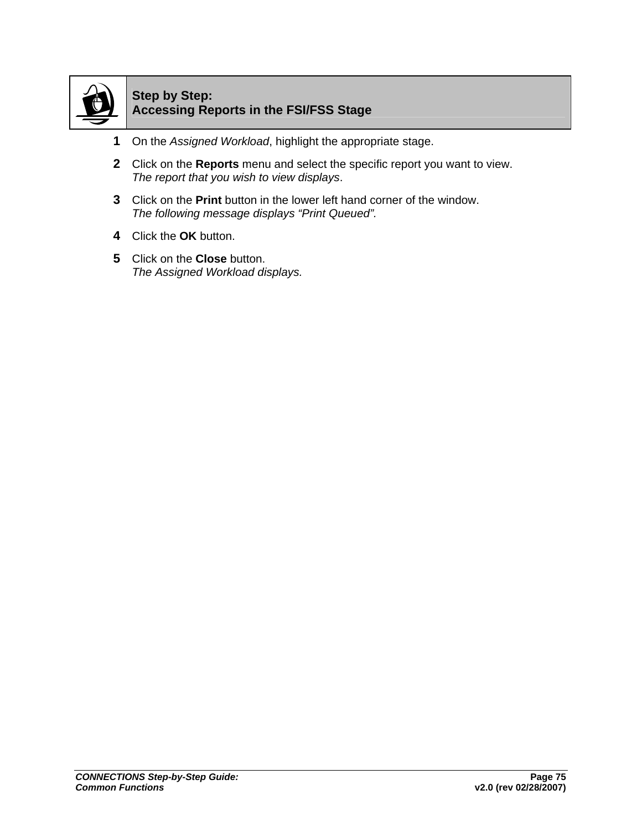

### **Step by Step: Accessing Reports in the FSI/FSS Stage**

- **1** On the *Assigned Workload*, highlight the appropriate stage.
- **2** Click on the **Reports** menu and select the specific report you want to view. *The report that you wish to view displays*.
- **3** Click on the **Print** button in the lower left hand corner of the window. *The following message displays "Print Queued".*
- **4** Click the **OK** button.
- **5** Click on the **Close** button. *The Assigned Workload displays.*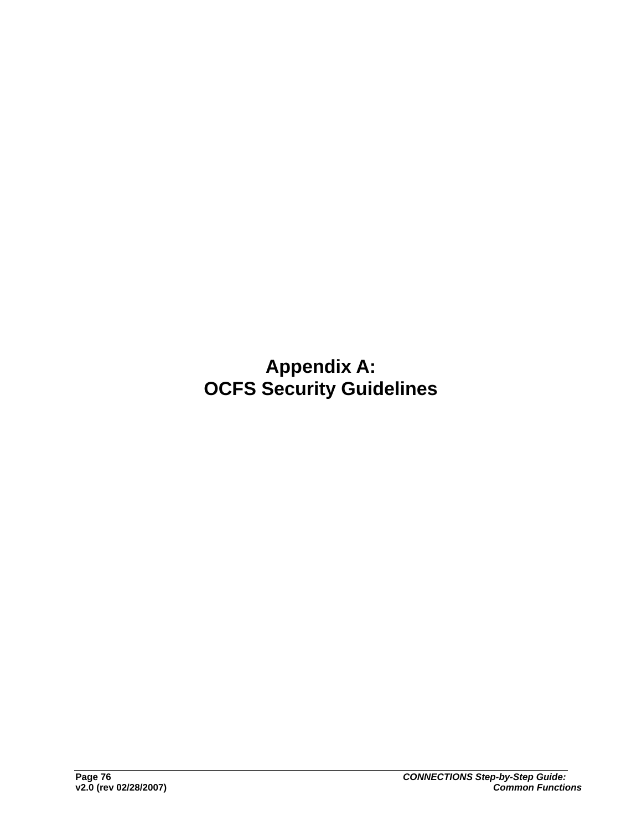**Appendix A: OCFS Security Guidelines**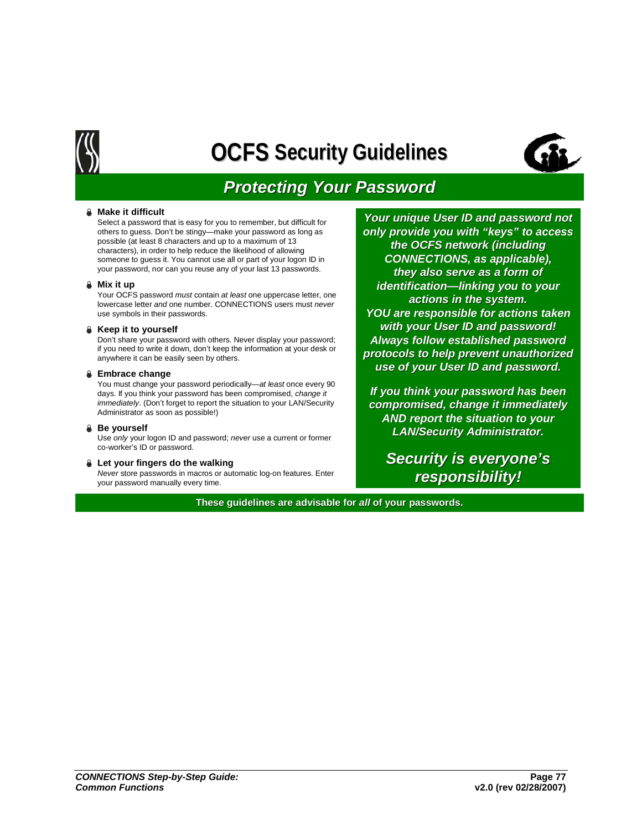

# **OCFS Security Guidelines Security Guidelines**



# *Protecting Your Password Protecting Your Password*

#### ± **Make it difficult**

Select a password that is easy for you to remember, but difficult for others to guess. Don't be stingy—make your password as long as possible (at least 8 characters and up to a maximum of 13 characters), in order to help reduce the likelihood of allowing someone to guess it. You cannot use all or part of your logon ID in your password, nor can you reuse any of your last 13 passwords.

#### ± **Mix it up**

Your OCFS password *must* contain *at least* one uppercase letter, one lowercase letter *and* one number. CONNECTIONS users must *never*  use symbols in their passwords.

#### **₿** Keep it to yourself

Don't share your password with others. Never display your password; if you need to write it down, don't keep the information at your desk or anywhere it can be easily seen by others.

#### $\triangle$  **Embrace change**

You must change your password periodically—*at least* once every 90 days. If you think your password has been compromised, *change it immediately*. (Don't forget to report the situation to your LAN/Security Administrator as soon as possible!)

#### **a** Be yourself

Use *only* your logon ID and password; *never* use a current or former co-worker's ID or password.

#### **↓** Let your fingers do the walking

*Never* store passwords in macros or automatic log-on features. Enter your password manually every time.

*Your unique User ID and password not only provide you with "keys" to access* **the OCFS network (including** *CONNECTIONS, as applicable), CONNECTIONS, as applicable), they also serve as a form of they also serve as a form of identification—linking you to your actions in the system. actions in the system. YOU are responsible for actions taken* **with your User ID and password!** *Always follow established password Always follow established password protocols to help prevent unauthorized protocols to help prevent unauthorized use of your User ID and password. your User ID and password.*

*If you think your password has been If your password been compromised, change it immediately change immediately AND report the situation to your AND report the situation to your LAN/Security Administrator. LAN/Security Administrator.*

*Security is everyone's Security is everyone's responsibility! responsibility!*

**These guidelines are advisable for all of your passwords.**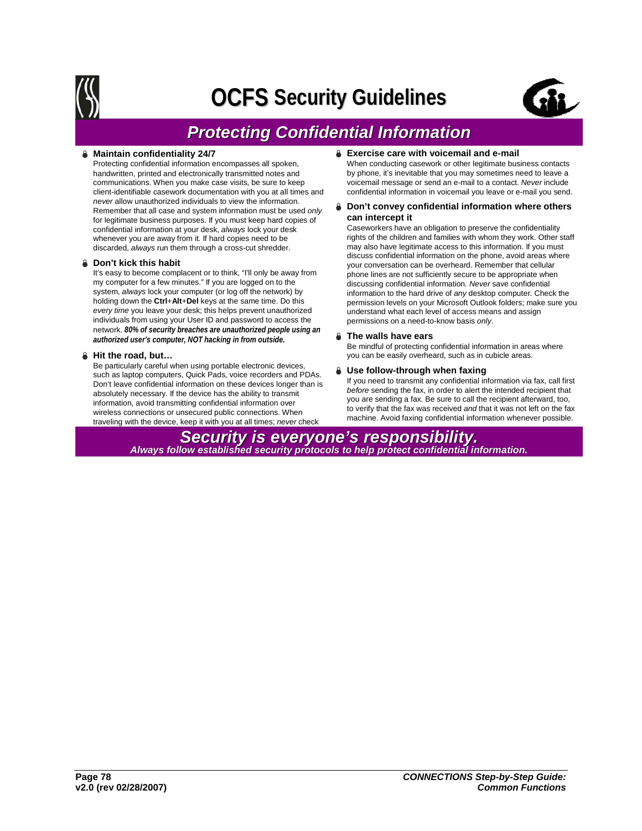

# **OCFS Security Guidelines Security Guidelines**



# *Protecting Confidential Information Protecting Confidential Information*

#### **Maintain confidentiality 24/7**

Protecting confidential information encompasses all spoken, handwritten, printed and electronically transmitted notes and communications. When you make case visits, be sure to keep client-identifiable casework documentation with you at all times and *never* allow unauthorized individuals to view the information. Remember that all case and system information must be used *only*  for legitimate business purposes. If you must keep hard copies of confidential information at your desk, *always* lock your desk whenever you are away from it. If hard copies need to be discarded, *always* run them through a cross-cut shredder.

#### ± **Don't kick this habit**

It's easy to become complacent or to think, "I'll only be away from my computer for a few minutes." If you are logged on to the system, *always* lock your computer (or log off the network) by holding down the **Ctrl**+**Alt**+**Del** keys at the same time. Do this *every time* you leave your desk; this helps prevent unauthorized individuals from using your User ID and password to access the network. *80% of security breaches are unauthorized people using an authorized user's computer, NOT hacking in from outside.*

#### ± **Hit the road, but…**

Be particularly careful when using portable electronic devices, such as laptop computers, Quick Pads, voice recorders and PDAs. Don't leave confidential information on these devices longer than is absolutely necessary. If the device has the ability to transmit information, avoid transmitting confidential information over wireless connections or unsecured public connections. When traveling with the device, keep it with you at all times; *never* check

#### $\triangle$  Exercise care with voicemail and e-mail

When conducting casework or other legitimate business contacts by phone, it's inevitable that you may sometimes need to leave a voicemail message or send an e-mail to a contact. *Never* include confidential information in voicemail you leave or e-mail you send.

#### $\triangle$  Don't convey confidential information where others **can intercept it**

Caseworkers have an obligation to preserve the confidentiality rights of the children and families with whom they work. Other staff may also have legitimate access to this information. If you must discuss confidential information on the phone, avoid areas where your conversation can be overheard. Remember that cellular phone lines are not sufficiently secure to be appropriate when discussing confidential information*. Never* save confidential information to the hard drive of *any* desktop computer. Check the permission levels on your Microsoft Outlook folders; make sure you understand what each level of access means and assign permissions on a need-to-know basis *only*.

#### ± **The walls have ears**

Be mindful of protecting confidential information in areas where you can be easily overheard, such as in cubicle areas.

#### ± **Use follow-through when faxing**

If you need to transmit any confidential information via fax, call first *before* sending the fax, in order to alert the intended recipient that you are sending a fax. Be sure to call the recipient afterward, too, to verify that the fax was received *and* that it was not left on the fax machine. Avoid faxing confidential information whenever possible.

**Security is everyone's responsibility.**<br>Always follow established security protocols to help protect confidential information.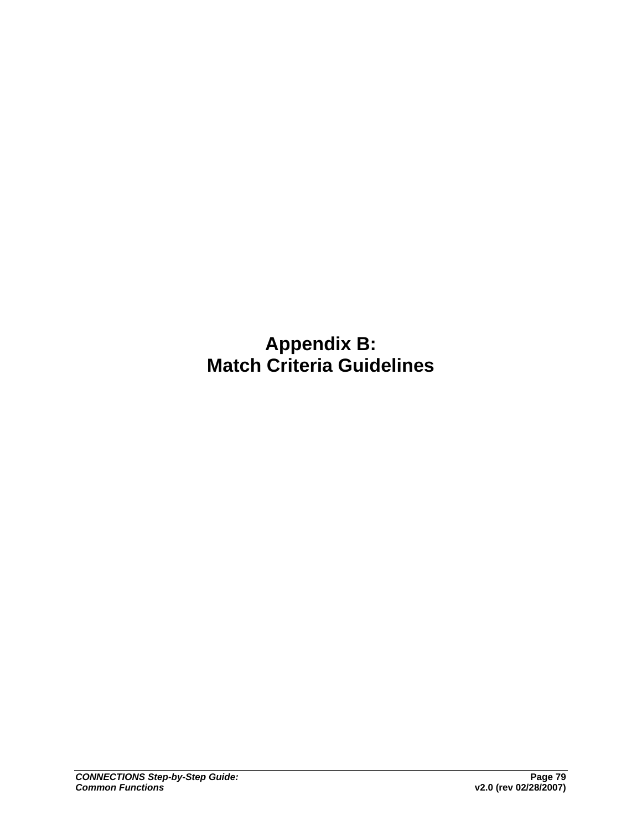**Appendix B: Match Criteria Guidelines**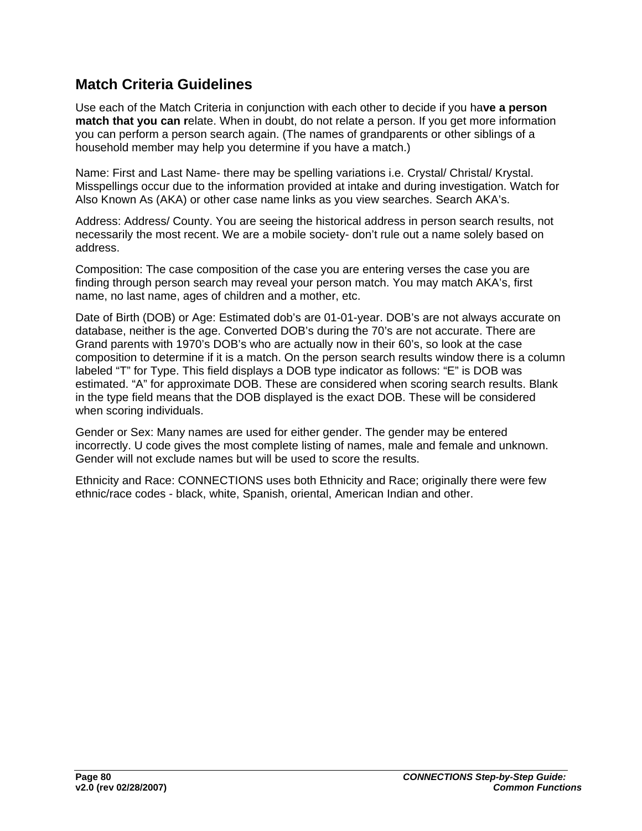## **Match Criteria Guidelines**

Use each of the Match Criteria in conjunction with each other to decide if you ha**ve a person match that you can r**elate. When in doubt, do not relate a person. If you get more information you can perform a person search again. (The names of grandparents or other siblings of a household member may help you determine if you have a match.)

Name: First and Last Name- there may be spelling variations i.e. Crystal/ Christal/ Krystal. Misspellings occur due to the information provided at intake and during investigation. Watch for Also Known As (AKA) or other case name links as you view searches. Search AKA's.

Address: Address/ County. You are seeing the historical address in person search results, not necessarily the most recent. We are a mobile society- don't rule out a name solely based on address.

Composition: The case composition of the case you are entering verses the case you are finding through person search may reveal your person match. You may match AKA's, first name, no last name, ages of children and a mother, etc.

Date of Birth (DOB) or Age: Estimated dob's are 01-01-year. DOB's are not always accurate on database, neither is the age. Converted DOB's during the 70's are not accurate. There are Grand parents with 1970's DOB's who are actually now in their 60's, so look at the case composition to determine if it is a match. On the person search results window there is a column labeled "T" for Type. This field displays a DOB type indicator as follows: "E" is DOB was estimated. "A" for approximate DOB. These are considered when scoring search results. Blank in the type field means that the DOB displayed is the exact DOB. These will be considered when scoring individuals.

Gender or Sex: Many names are used for either gender. The gender may be entered incorrectly. U code gives the most complete listing of names, male and female and unknown. Gender will not exclude names but will be used to score the results.

Ethnicity and Race: CONNECTIONS uses both Ethnicity and Race; originally there were few ethnic/race codes - black, white, Spanish, oriental, American Indian and other.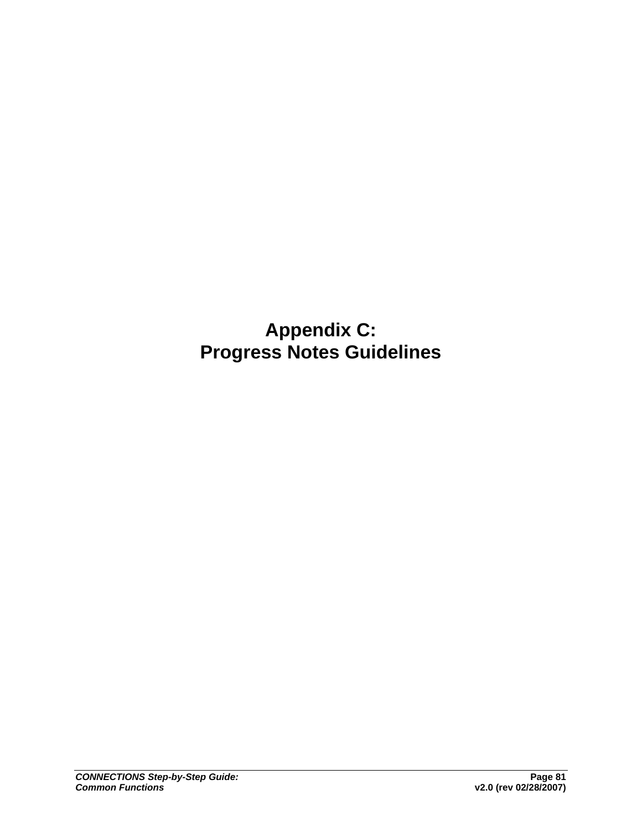# **Appendix C: Progress Notes Guidelines**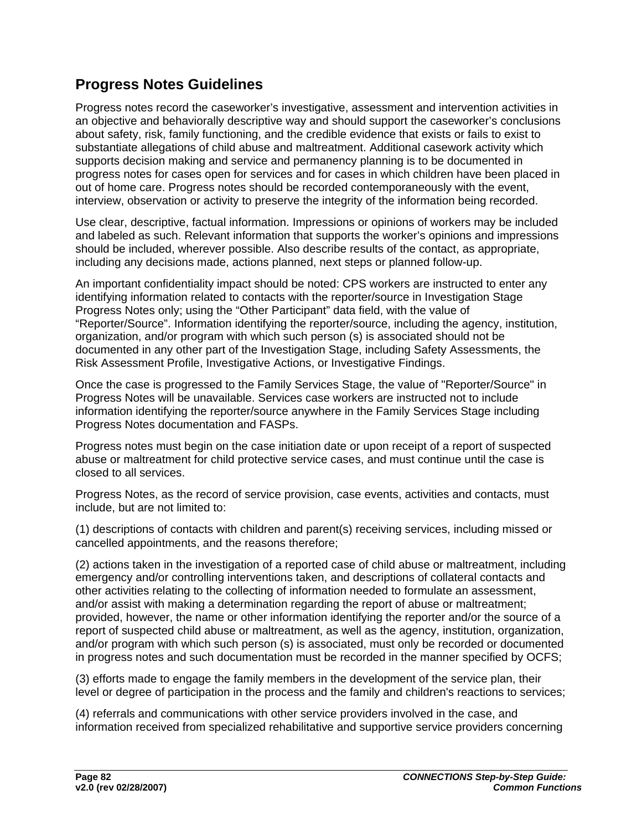## **Progress Notes Guidelines**

Progress notes record the caseworker's investigative, assessment and intervention activities in an objective and behaviorally descriptive way and should support the caseworker's conclusions about safety, risk, family functioning, and the credible evidence that exists or fails to exist to substantiate allegations of child abuse and maltreatment. Additional casework activity which supports decision making and service and permanency planning is to be documented in progress notes for cases open for services and for cases in which children have been placed in out of home care. Progress notes should be recorded contemporaneously with the event, interview, observation or activity to preserve the integrity of the information being recorded.

Use clear, descriptive, factual information. Impressions or opinions of workers may be included and labeled as such. Relevant information that supports the worker's opinions and impressions should be included, wherever possible. Also describe results of the contact, as appropriate, including any decisions made, actions planned, next steps or planned follow-up.

An important confidentiality impact should be noted: CPS workers are instructed to enter any identifying information related to contacts with the reporter/source in Investigation Stage Progress Notes only; using the "Other Participant" data field, with the value of "Reporter/Source". Information identifying the reporter/source, including the agency, institution, organization, and/or program with which such person (s) is associated should not be documented in any other part of the Investigation Stage, including Safety Assessments, the Risk Assessment Profile, Investigative Actions, or Investigative Findings.

Once the case is progressed to the Family Services Stage, the value of "Reporter/Source" in Progress Notes will be unavailable. Services case workers are instructed not to include information identifying the reporter/source anywhere in the Family Services Stage including Progress Notes documentation and FASPs.

Progress notes must begin on the case initiation date or upon receipt of a report of suspected abuse or maltreatment for child protective service cases, and must continue until the case is closed to all services.

Progress Notes, as the record of service provision, case events, activities and contacts, must include, but are not limited to:

(1) descriptions of contacts with children and parent(s) receiving services, including missed or cancelled appointments, and the reasons therefore;

(2) actions taken in the investigation of a reported case of child abuse or maltreatment, including emergency and/or controlling interventions taken, and descriptions of collateral contacts and other activities relating to the collecting of information needed to formulate an assessment, and/or assist with making a determination regarding the report of abuse or maltreatment; provided, however, the name or other information identifying the reporter and/or the source of a report of suspected child abuse or maltreatment, as well as the agency, institution, organization, and/or program with which such person (s) is associated, must only be recorded or documented in progress notes and such documentation must be recorded in the manner specified by OCFS;

(3) efforts made to engage the family members in the development of the service plan, their level or degree of participation in the process and the family and children's reactions to services;

(4) referrals and communications with other service providers involved in the case, and information received from specialized rehabilitative and supportive service providers concerning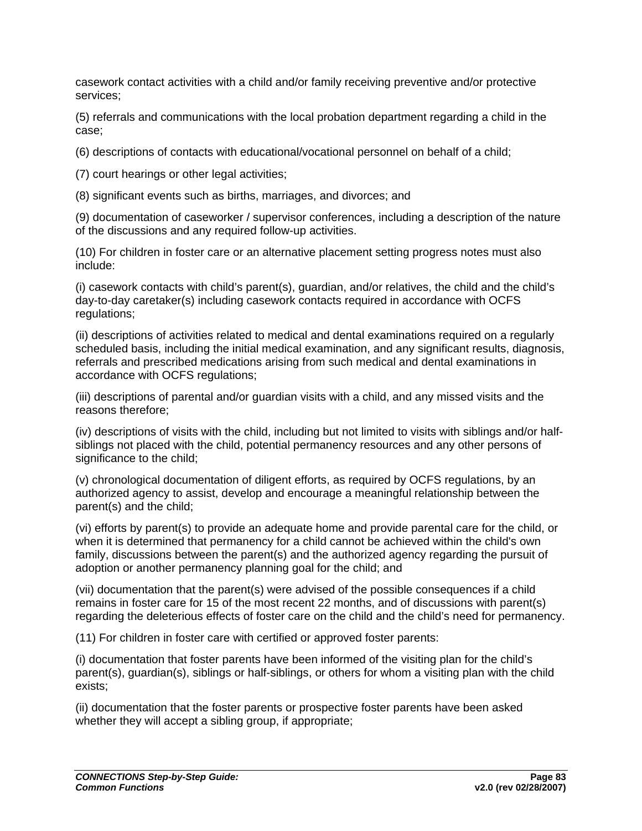casework contact activities with a child and/or family receiving preventive and/or protective services;

(5) referrals and communications with the local probation department regarding a child in the case;

(6) descriptions of contacts with educational/vocational personnel on behalf of a child;

(7) court hearings or other legal activities;

(8) significant events such as births, marriages, and divorces; and

(9) documentation of caseworker / supervisor conferences, including a description of the nature of the discussions and any required follow-up activities.

(10) For children in foster care or an alternative placement setting progress notes must also include:

(i) casework contacts with child's parent(s), guardian, and/or relatives, the child and the child's day-to-day caretaker(s) including casework contacts required in accordance with OCFS regulations;

(ii) descriptions of activities related to medical and dental examinations required on a regularly scheduled basis, including the initial medical examination, and any significant results, diagnosis, referrals and prescribed medications arising from such medical and dental examinations in accordance with OCFS regulations;

(iii) descriptions of parental and/or guardian visits with a child, and any missed visits and the reasons therefore;

(iv) descriptions of visits with the child, including but not limited to visits with siblings and/or halfsiblings not placed with the child, potential permanency resources and any other persons of significance to the child;

(v) chronological documentation of diligent efforts, as required by OCFS regulations, by an authorized agency to assist, develop and encourage a meaningful relationship between the parent(s) and the child;

(vi) efforts by parent(s) to provide an adequate home and provide parental care for the child, or when it is determined that permanency for a child cannot be achieved within the child's own family, discussions between the parent(s) and the authorized agency regarding the pursuit of adoption or another permanency planning goal for the child; and

(vii) documentation that the parent(s) were advised of the possible consequences if a child remains in foster care for 15 of the most recent 22 months, and of discussions with parent(s) regarding the deleterious effects of foster care on the child and the child's need for permanency.

(11) For children in foster care with certified or approved foster parents:

(i) documentation that foster parents have been informed of the visiting plan for the child's parent(s), guardian(s), siblings or half-siblings, or others for whom a visiting plan with the child exists;

(ii) documentation that the foster parents or prospective foster parents have been asked whether they will accept a sibling group, if appropriate;